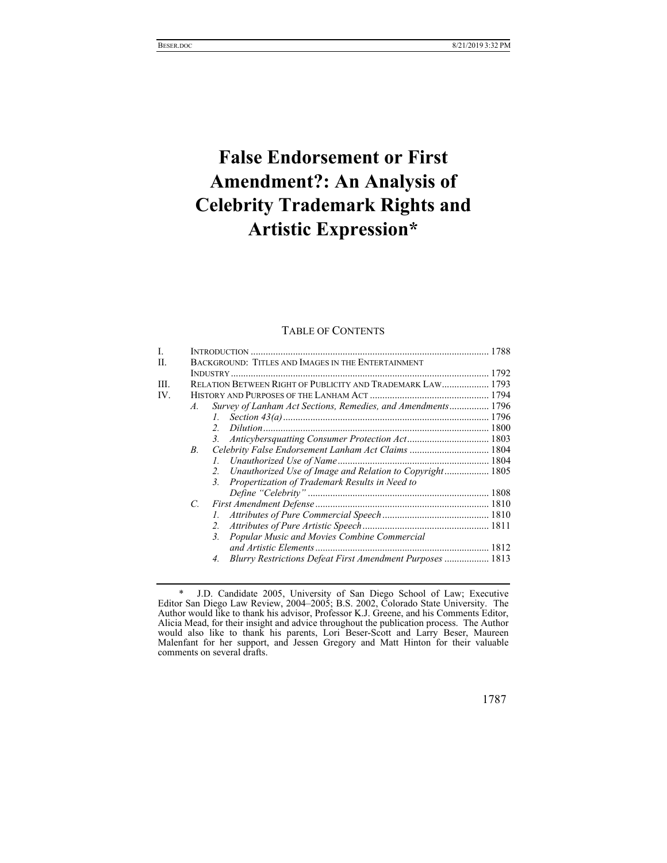# **False Endorsement or First Amendment?: An Analysis of Celebrity Trademark Rights and Artistic Expression\***

# TABLE OF CONTENTS

| L    |               |                                                                 |  |
|------|---------------|-----------------------------------------------------------------|--|
| H.   |               | BACKGROUND: TITLES AND IMAGES IN THE ENTERTAINMENT              |  |
|      |               |                                                                 |  |
| III. |               | RELATION BETWEEN RIGHT OF PUBLICITY AND TRADEMARK LAW 1793      |  |
| IV.  |               |                                                                 |  |
|      | $A_{\cdot}$   | Survey of Lanham Act Sections, Remedies, and Amendments 1796    |  |
|      |               | Ι.                                                              |  |
|      |               | $\overline{2}$                                                  |  |
|      |               | 3.                                                              |  |
|      | B.            | Celebrity False Endorsement Lanham Act Claims  1804             |  |
|      |               | $l_{\perp}$                                                     |  |
|      |               | Unauthorized Use of Image and Relation to Copyright 1805<br>2.  |  |
|      |               | Propertization of Trademark Results in Need to<br>3.            |  |
|      |               |                                                                 |  |
|      | $\mathcal{C}$ |                                                                 |  |
|      |               |                                                                 |  |
|      |               | 2.                                                              |  |
|      |               | Popular Music and Movies Combine Commercial<br>3.               |  |
|      |               |                                                                 |  |
|      |               | Blurry Restrictions Defeat First Amendment Purposes  1813<br>4. |  |
|      |               |                                                                 |  |

 <sup>\*</sup> J.D. Candidate 2005, University of San Diego School of Law; Executive Editor San Diego Law Review, 2004–2005; B.S. 2002, Colorado State University. The Author would like to thank his advisor, Professor K.J. Greene, and his Comments Editor, Alicia Mead, for their insight and advice throughout the publication process. The Author would also like to thank his parents, Lori Beser-Scott and Larry Beser, Maureen Malenfant for her support, and Jessen Gregory and Matt Hinton for their valuable comments on several drafts.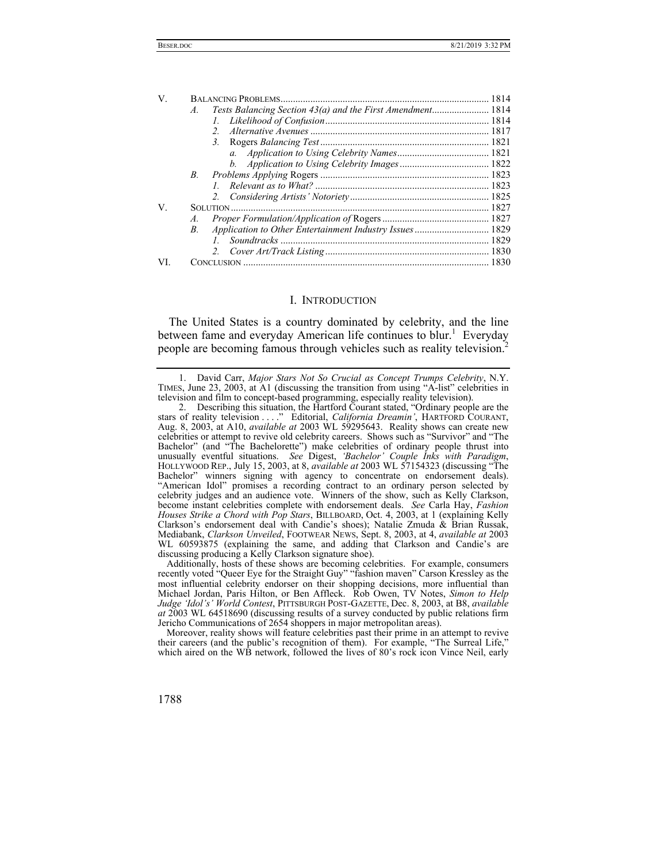| V.  |            |                                                         |  |
|-----|------------|---------------------------------------------------------|--|
|     | A.         |                                                         |  |
|     |            |                                                         |  |
|     |            |                                                         |  |
|     |            |                                                         |  |
|     |            |                                                         |  |
|     |            |                                                         |  |
|     | <i>B</i> . |                                                         |  |
|     |            |                                                         |  |
|     |            |                                                         |  |
| V.  |            |                                                         |  |
|     | A.         |                                                         |  |
|     | B.         | Application to Other Entertainment Industry Issues 1829 |  |
|     |            |                                                         |  |
|     |            |                                                         |  |
| VI. |            |                                                         |  |
|     |            |                                                         |  |

#### I. INTRODUCTION

The United States is a country dominated by celebrity, and the line between fame and everyday American life continues to blur.<sup>1</sup> Everyday people are becoming famous through vehicles such as reality television.<sup>2</sup>

Additionally, hosts of these shows are becoming celebrities. For example, consumers recently voted "Queer Eye for the Straight Guy" "fashion maven" Carson Kressley as the most influential celebrity endorser on their shopping decisions, more influential than Michael Jordan, Paris Hilton, or Ben Affleck. Rob Owen, TV Notes, *Simon to Help Judge 'Idol's' World Contest*, PITTSBURGH POST-GAZETTE, Dec. 8, 2003, at B8, *available at* 2003 WL 64518690 (discussing results of a survey conducted by public relations firm Jericho Communications of 2654 shoppers in major metropolitan areas).

Moreover, reality shows will feature celebrities past their prime in an attempt to revive their careers (and the public's recognition of them). For example, "The Surreal Life," which aired on the WB network, followed the lives of 80's rock icon Vince Neil, early

 <sup>1.</sup> David Carr, *Major Stars Not So Crucial as Concept Trumps Celebrity*, N.Y. TIMES, June 23, 2003, at A1 (discussing the transition from using "A-list" celebrities in television and film to concept-based programming, especially reality television).

 <sup>2.</sup> Describing this situation, the Hartford Courant stated, "Ordinary people are the stars of reality television . . . ." Editorial, *California Dreamin'*, HARTFORD COURANT, Aug. 8, 2003, at A10, *available at* 2003 WL 59295643. Reality shows can create new celebrities or attempt to revive old celebrity careers. Shows such as "Survivor" and "The Bachelor" (and "The Bachelorette") make celebrities of ordinary people thrust into unusually eventful situations. *See* Digest, *'Bachelor' Couple Inks with Paradigm*, HOLLYWOOD REP., July 15, 2003, at 8, *available at* 2003 WL 57154323 (discussing "The Bachelor" winners signing with agency to concentrate on endorsement deals). "American Idol" promises a recording contract to an ordinary person selected by celebrity judges and an audience vote. Winners of the show, such as Kelly Clarkson, become instant celebrities complete with endorsement deals. *See* Carla Hay, *Fashion Houses Strike a Chord with Pop Stars*, BILLBOARD, Oct. 4, 2003, at 1 (explaining Kelly Clarkson's endorsement deal with Candie's shoes); Natalie Zmuda & Brian Russak, Mediabank, *Clarkson Unveiled*, FOOTWEAR NEWS, Sept. 8, 2003, at 4, *available at* 2003 WL 60593875 (explaining the same, and adding that Clarkson and Candie's are discussing producing a Kelly Clarkson signature shoe).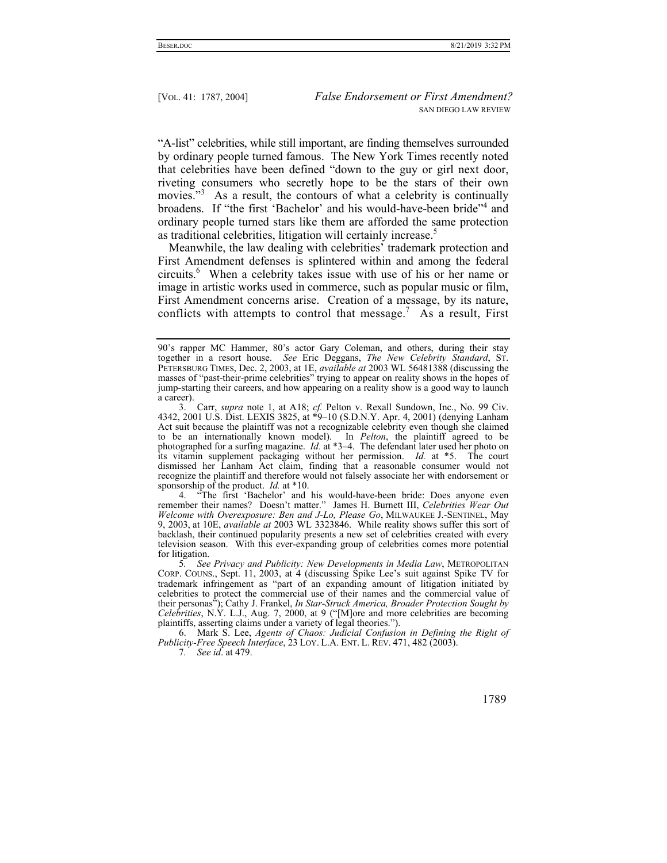"A-list" celebrities, while still important, are finding themselves surrounded by ordinary people turned famous. The New York Times recently noted that celebrities have been defined "down to the guy or girl next door, riveting consumers who secretly hope to be the stars of their own movies."<sup>3</sup> As a result, the contours of what a celebrity is continually broadens. If "the first 'Bachelor' and his would-have-been bride"<sup>4</sup> and ordinary people turned stars like them are afforded the same protection as traditional celebrities, litigation will certainly increase.<sup>5</sup>

Meanwhile, the law dealing with celebrities' trademark protection and First Amendment defenses is splintered within and among the federal circuits.<sup>6</sup> When a celebrity takes issue with use of his or her name or image in artistic works used in commerce, such as popular music or film, First Amendment concerns arise. Creation of a message, by its nature, conflicts with attempts to control that message.<sup>7</sup> As a result, First

 4. "The first 'Bachelor' and his would-have-been bride: Does anyone even remember their names? Doesn't matter." James H. Burnett III, *Celebrities Wear Out Welcome with Overexposure: Ben and J-Lo, Please Go*, MILWAUKEE J.-SENTINEL, May 9, 2003, at 10E, *available at* 2003 WL 3323846. While reality shows suffer this sort of backlash, their continued popularity presents a new set of celebrities created with every television season. With this ever-expanding group of celebrities comes more potential for litigation.

5*. See Privacy and Publicity: New Developments in Media Law*, METROPOLITAN CORP. COUNS., Sept. 11, 2003, at 4 (discussing Spike Lee's suit against Spike TV for trademark infringement as "part of an expanding amount of litigation initiated by celebrities to protect the commercial use of their names and the commercial value of their personas"); Cathy J. Frankel, *In Star-Struck America, Broader Protection Sought by Celebrities*, N.Y. L.J., Aug. 7, 2000, at 9 ("[M]ore and more celebrities are becoming plaintiffs, asserting claims under a variety of legal theories.").

 6. Mark S. Lee, *Agents of Chaos: Judicial Confusion in Defining the Right of Publicity-Free Speech Interface*, 23 LOY. L.A. ENT. L. REV. 471, 482 (2003).

7*. See id*. at 479.

<sup>90&#</sup>x27;s rapper MC Hammer, 80's actor Gary Coleman, and others, during their stay together in a resort house. *See* Eric Deggans, *The New Celebrity Standard*, ST. PETERSBURG TIMES, Dec. 2, 2003, at 1E, *available at* 2003 WL 56481388 (discussing the masses of "past-their-prime celebrities" trying to appear on reality shows in the hopes of jump-starting their careers, and how appearing on a reality show is a good way to launch a career).

 <sup>3.</sup> Carr, *supra* note 1, at A18; *cf.* Pelton v. Rexall Sundown, Inc., No. 99 Civ. 4342, 2001 U.S. Dist. LEXIS 3825, at \*9–10 (S.D.N.Y. Apr. 4, 2001) (denying Lanham Act suit because the plaintiff was not a recognizable celebrity even though she claimed to be an internationally known model). In *Pelton*, the plaintiff agreed to be photographed for a surfing magazine. *Id.* at \*3–4. The defendant later used her photo on its vitamin supplement packaging without her permission. *Id.* at \*5. The court dismissed her Lanham Act claim, finding that a reasonable consumer would not recognize the plaintiff and therefore would not falsely associate her with endorsement or sponsorship of the product. *Id.* at \*10.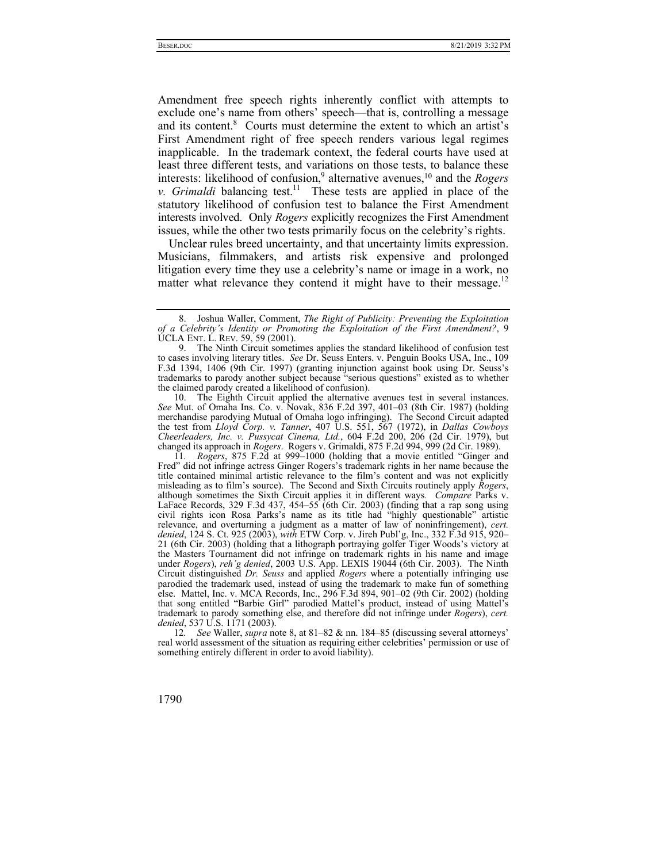Amendment free speech rights inherently conflict with attempts to exclude one's name from others' speech—that is, controlling a message and its content.<sup>8</sup> Courts must determine the extent to which an artist's First Amendment right of free speech renders various legal regimes inapplicable. In the trademark context, the federal courts have used at least three different tests, and variations on those tests, to balance these interests: likelihood of confusion,<sup>9</sup> alternative avenues,<sup>10</sup> and the *Rogers v. Grimaldi* balancing test.<sup>11</sup> These tests are applied in place of the statutory likelihood of confusion test to balance the First Amendment interests involved. Only *Rogers* explicitly recognizes the First Amendment issues, while the other two tests primarily focus on the celebrity's rights.

Unclear rules breed uncertainty, and that uncertainty limits expression. Musicians, filmmakers, and artists risk expensive and prolonged litigation every time they use a celebrity's name or image in a work, no matter what relevance they contend it might have to their message.<sup>12</sup>

 10. The Eighth Circuit applied the alternative avenues test in several instances. *See* Mut. of Omaha Ins. Co. v. Novak, 836 F.2d 397, 401–03 (8th Cir. 1987) (holding merchandise parodying Mutual of Omaha logo infringing). The Second Circuit adapted the test from *Lloyd Corp. v. Tanner*, 407 U.S. 551, 567 (1972), in *Dallas Cowboys Cheerleaders, Inc. v. Pussycat Cinema, Ltd.*, 604 F.2d 200, 206 (2d Cir. 1979), but changed its approach in *Rogers*. Rogers v. Grimaldi, 875 F.2d 994, 999 (2d Cir. 1989).

11*. Rogers*, 875 F.2d at 999–1000 (holding that a movie entitled "Ginger and Fred" did not infringe actress Ginger Rogers's trademark rights in her name because the title contained minimal artistic relevance to the film's content and was not explicitly misleading as to film's source). The Second and Sixth Circuits routinely apply *Rogers*, although sometimes the Sixth Circuit applies it in different ways*. Compare* Parks v. LaFace Records, 329 F.3d 437, 454–55 (6th Cir. 2003) (finding that a rap song using civil rights icon Rosa Parks's name as its title had "highly questionable" artistic relevance, and overturning a judgment as a matter of law of noninfringement), *cert. denied*, 124 S. Ct. 925 (2003), *with* ETW Corp. v. Jireh Publ'g, Inc., 332 F.3d 915, 920– 21 (6th Cir. 2003) (holding that a lithograph portraying golfer Tiger Woods's victory at the Masters Tournament did not infringe on trademark rights in his name and image under *Rogers*), *reh'g denied*, 2003 U.S. App. LEXIS 19044 (6th Cir. 2003). The Ninth Circuit distinguished *Dr. Seuss* and applied *Rogers* where a potentially infringing use parodied the trademark used, instead of using the trademark to make fun of something else. Mattel, Inc. v. MCA Records, Inc., 296 F.3d 894, 901–02 (9th Cir. 2002) (holding that song entitled "Barbie Girl" parodied Mattel's product, instead of using Mattel's trademark to parody something else, and therefore did not infringe under *Rogers*), *cert. denied*, 537 U.S. 1171 (2003).

12*. See* Waller, *supra* note 8, at 81–82 & nn. 184–85 (discussing several attorneys' real world assessment of the situation as requiring either celebrities' permission or use of something entirely different in order to avoid liability).

 <sup>8.</sup> Joshua Waller, Comment, *The Right of Publicity: Preventing the Exploitation of a Celebrity's Identity or Promoting the Exploitation of the First Amendment?*, 9 UCLA ENT. L. REV. 59, 59 (2001).

 <sup>9.</sup> The Ninth Circuit sometimes applies the standard likelihood of confusion test to cases involving literary titles. *See* Dr. Seuss Enters. v. Penguin Books USA, Inc., 109 F.3d 1394, 1406 (9th Cir. 1997) (granting injunction against book using Dr. Seuss's trademarks to parody another subject because "serious questions" existed as to whether the claimed parody created a likelihood of confusion).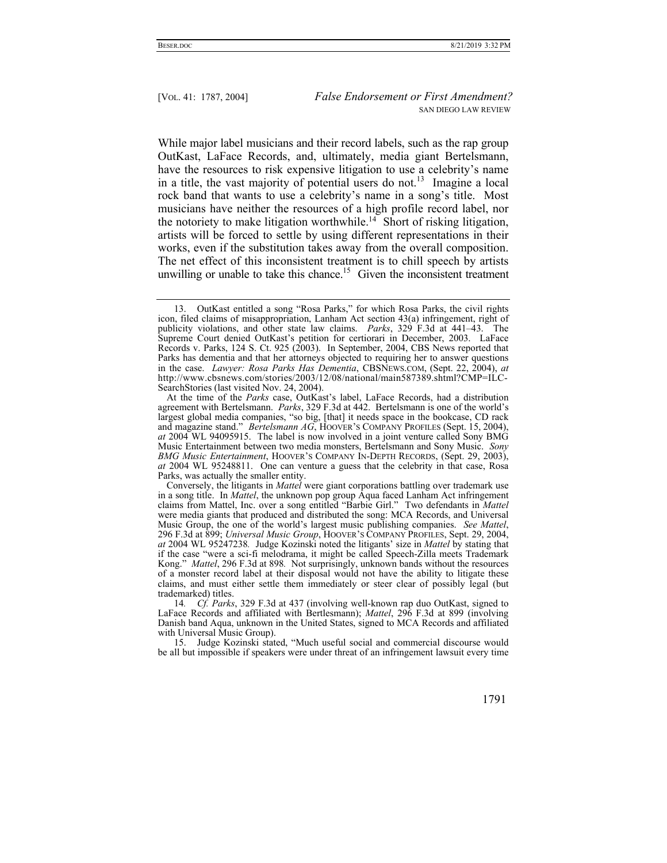While major label musicians and their record labels, such as the rap group OutKast, LaFace Records, and, ultimately, media giant Bertelsmann, have the resources to risk expensive litigation to use a celebrity's name in a title, the vast majority of potential users do not.<sup>13</sup> Imagine a local rock band that wants to use a celebrity's name in a song's title. Most musicians have neither the resources of a high profile record label, nor the notoriety to make litigation worthwhile.<sup>14</sup> Short of risking litigation, artists will be forced to settle by using different representations in their works, even if the substitution takes away from the overall composition. The net effect of this inconsistent treatment is to chill speech by artists unwilling or unable to take this chance.<sup>15</sup> Given the inconsistent treatment

 <sup>15.</sup> Judge Kozinski stated, "Much useful social and commercial discourse would be all but impossible if speakers were under threat of an infringement lawsuit every time



 <sup>13.</sup> OutKast entitled a song "Rosa Parks," for which Rosa Parks, the civil rights icon, filed claims of misappropriation, Lanham Act section 43(a) infringement, right of publicity violations, and other state law claims. *Parks*, 329 F.3d at 441–43. The Supreme Court denied OutKast's petition for certiorari in December, 2003. LaFace Records v. Parks, 124 S. Ct. 925 (2003). In September, 2004, CBS News reported that Parks has dementia and that her attorneys objected to requiring her to answer questions in the case. *Lawyer: Rosa Parks Has Dementia*, CBSNEWS.COM, (Sept. 22, 2004), *at*  http://www.cbsnews.com/stories/2003/12/08/national/main587389.shtml?CMP=ILC-SearchStories (last visited Nov. 24, 2004).

At the time of the *Parks* case, OutKast's label, LaFace Records, had a distribution agreement with Bertelsmann. *Parks*, 329 F.3d at 442. Bertelsmann is one of the world's largest global media companies, "so big, [that] it needs space in the bookcase, CD rack and magazine stand." *Bertelsmann AG*, HOOVER'S COMPANY PROFILES (Sept. 15, 2004), *at* 2004 WL 94095915. The label is now involved in a joint venture called Sony BMG Music Entertainment between two media monsters, Bertelsmann and Sony Music. *Sony BMG Music Entertainment*, HOOVER'S COMPANY IN-DEPTH RECORDS, (Sept. 29, 2003), *at* 2004 WL 95248811. One can venture a guess that the celebrity in that case, Rosa Parks, was actually the smaller entity.

Conversely, the litigants in *Mattel* were giant corporations battling over trademark use in a song title. In *Mattel*, the unknown pop group Aqua faced Lanham Act infringement claims from Mattel, Inc. over a song entitled "Barbie Girl." Two defendants in *Mattel* were media giants that produced and distributed the song: MCA Records, and Universal Music Group, the one of the world's largest music publishing companies. *See Mattel*, 296 F.3d at 899; *Universal Music Group*, HOOVER'S COMPANY PROFILES, Sept. 29, 2004, *at* 2004 WL 95247238*.* Judge Kozinski noted the litigants' size in *Mattel* by stating that if the case "were a sci-fi melodrama, it might be called Speech-Zilla meets Trademark Kong." *Mattel*, 296 F.3d at 898*.* Not surprisingly, unknown bands without the resources of a monster record label at their disposal would not have the ability to litigate these claims, and must either settle them immediately or steer clear of possibly legal (but trademarked) titles.

<sup>14</sup>*. Cf. Parks*, 329 F.3d at 437 (involving well-known rap duo OutKast, signed to LaFace Records and affiliated with Bertlesmann); *Mattel*, 296 F.3d at 899 (involving Danish band Aqua, unknown in the United States, signed to MCA Records and affiliated with Universal Music Group).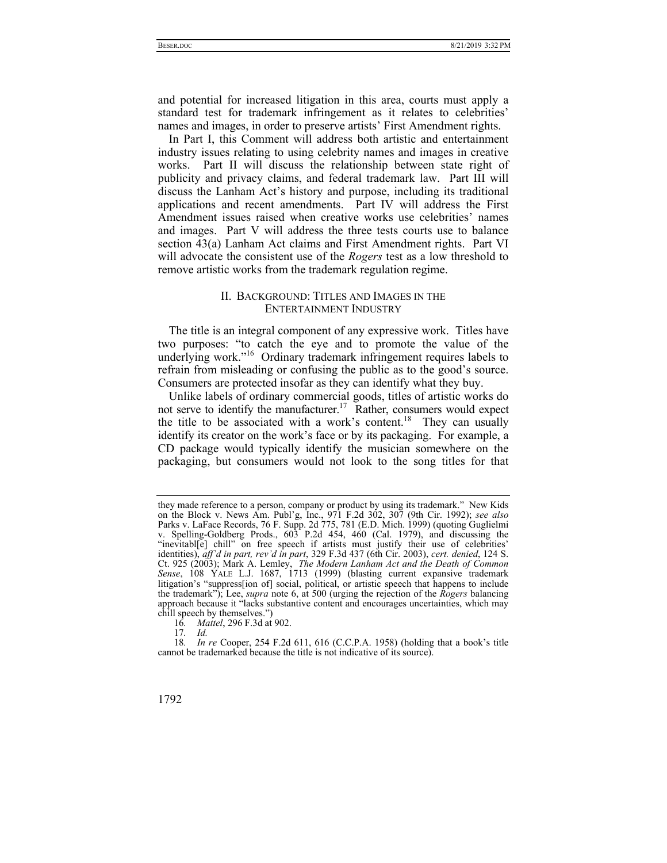and potential for increased litigation in this area, courts must apply a standard test for trademark infringement as it relates to celebrities' names and images, in order to preserve artists' First Amendment rights.

In Part I, this Comment will address both artistic and entertainment industry issues relating to using celebrity names and images in creative works. Part II will discuss the relationship between state right of publicity and privacy claims, and federal trademark law. Part III will discuss the Lanham Act's history and purpose, including its traditional applications and recent amendments. Part IV will address the First Amendment issues raised when creative works use celebrities' names and images. Part V will address the three tests courts use to balance section 43(a) Lanham Act claims and First Amendment rights. Part VI will advocate the consistent use of the *Rogers* test as a low threshold to remove artistic works from the trademark regulation regime.

# II. BACKGROUND: TITLES AND IMAGES IN THE ENTERTAINMENT INDUSTRY

The title is an integral component of any expressive work. Titles have two purposes: "to catch the eye and to promote the value of the underlying work."<sup>16</sup> Ordinary trademark infringement requires labels to refrain from misleading or confusing the public as to the good's source. Consumers are protected insofar as they can identify what they buy.

Unlike labels of ordinary commercial goods, titles of artistic works do not serve to identify the manufacturer.<sup>17</sup> Rather, consumers would expect the title to be associated with a work's content.<sup>18</sup> They can usually identify its creator on the work's face or by its packaging. For example, a CD package would typically identify the musician somewhere on the packaging, but consumers would not look to the song titles for that

<sup>18</sup>*. In re* Cooper, 254 F.2d 611, 616 (C.C.P.A. 1958) (holding that a book's title cannot be trademarked because the title is not indicative of its source).



they made reference to a person, company or product by using its trademark." New Kids on the Block v. News Am. Publ'g, Inc., 971 F.2d 302, 307 (9th Cir. 1992); *see also*  Parks v. LaFace Records, 76 F. Supp. 2d 775, 781 (E.D. Mich. 1999) (quoting Guglielmi v. Spelling-Goldberg Prods., 603 P.2d 454, 460 (Cal. 1979), and discussing the "inevitabl[e] chill" on free speech if artists must justify their use of celebrities' identities), *aff'd in part, rev'd in part*, 329 F.3d 437 (6th Cir. 2003), *cert. denied*, 124 S. Ct. 925 (2003); Mark A. Lemley, *The Modern Lanham Act and the Death of Common Sense*, 108 YALE L.J. 1687, 1713 (1999) (blasting current expansive trademark litigation's "suppress[ion of] social, political, or artistic speech that happens to include the trademark"); Lee, *supra* note 6, at 500 (urging the rejection of the *Rogers* balancing approach because it "lacks substantive content and encourages uncertainties, which may chill speech by themselves.")

<sup>16</sup>*. Mattel*, 296 F.3d at 902.

<sup>17</sup>*. Id.*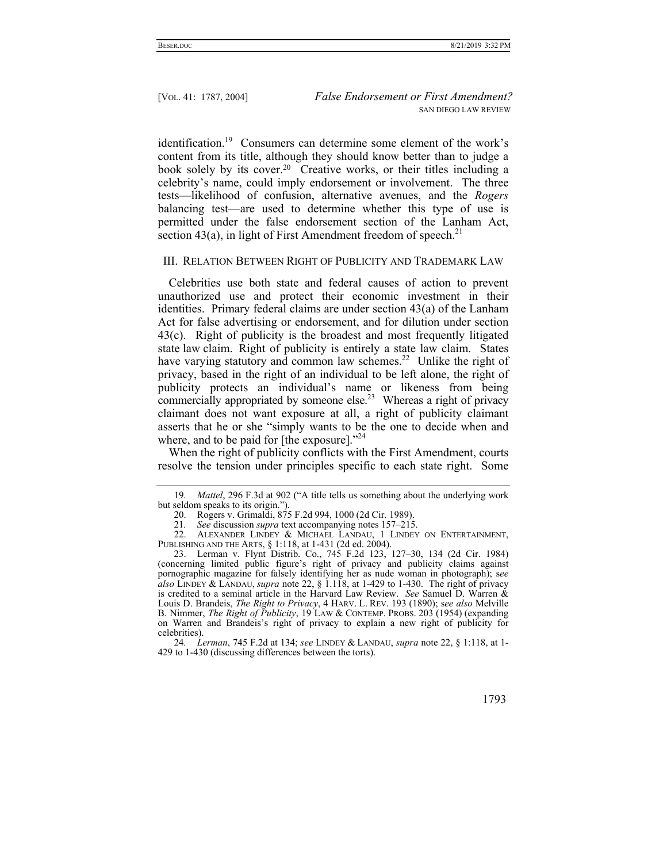identification.<sup>19</sup> Consumers can determine some element of the work's content from its title, although they should know better than to judge a book solely by its cover.20 Creative works, or their titles including a celebrity's name, could imply endorsement or involvement. The three tests—likelihood of confusion, alternative avenues, and the *Rogers* balancing test—are used to determine whether this type of use is permitted under the false endorsement section of the Lanham Act, section 43(a), in light of First Amendment freedom of speech.<sup>21</sup>

## III. RELATION BETWEEN RIGHT OF PUBLICITY AND TRADEMARK LAW

Celebrities use both state and federal causes of action to prevent unauthorized use and protect their economic investment in their identities. Primary federal claims are under section 43(a) of the Lanham Act for false advertising or endorsement, and for dilution under section 43(c). Right of publicity is the broadest and most frequently litigated state law claim. Right of publicity is entirely a state law claim. States have varying statutory and common law schemes.<sup>22</sup> Unlike the right of privacy, based in the right of an individual to be left alone, the right of publicity protects an individual's name or likeness from being commercially appropriated by someone else.<sup>23</sup> Whereas a right of privacy claimant does not want exposure at all, a right of publicity claimant asserts that he or she "simply wants to be the one to decide when and where, and to be paid for [the exposure]."<sup>24</sup>

When the right of publicity conflicts with the First Amendment, courts resolve the tension under principles specific to each state right. Some

<sup>24</sup>*. Lerman*, 745 F.2d at 134; *see* LINDEY & LANDAU, *supra* note 22, § 1:118, at 1- 429 to 1-430 (discussing differences between the torts).



<sup>19</sup>*. Mattel*, 296 F.3d at 902 ("A title tells us something about the underlying work but seldom speaks to its origin.").

 <sup>20.</sup> Rogers v. Grimaldi, 875 F.2d 994, 1000 (2d Cir. 1989).

<sup>21</sup>*. See* discussion *supra* text accompanying notes 157–215.

 <sup>22.</sup> ALEXANDER LINDEY & MICHAEL LANDAU, 1 LINDEY ON ENTERTAINMENT, PUBLISHING AND THE ARTS, § 1:118, at 1-431 (2d ed. 2004).

 <sup>23.</sup> Lerman v. Flynt Distrib. Co., 745 F.2d 123, 127–30, 134 (2d Cir. 1984) (concerning limited public figure's right of privacy and publicity claims against pornographic magazine for falsely identifying her as nude woman in photograph); s*ee also* LINDEY & LANDAU, *supra* note 22, § 1.118, at 1-429 to 1-430. The right of privacy is credited to a seminal article in the Harvard Law Review. *See* Samuel D. Warren & Louis D. Brandeis, *The Right to Privacy*, 4 HARV. L. REV. 193 (1890); s*ee also* Melville B. Nimmer, *The Right of Publicity*, 19 LAW & CONTEMP. PROBS. 203 (1954) (expanding on Warren and Brandeis's right of privacy to explain a new right of publicity for celebrities).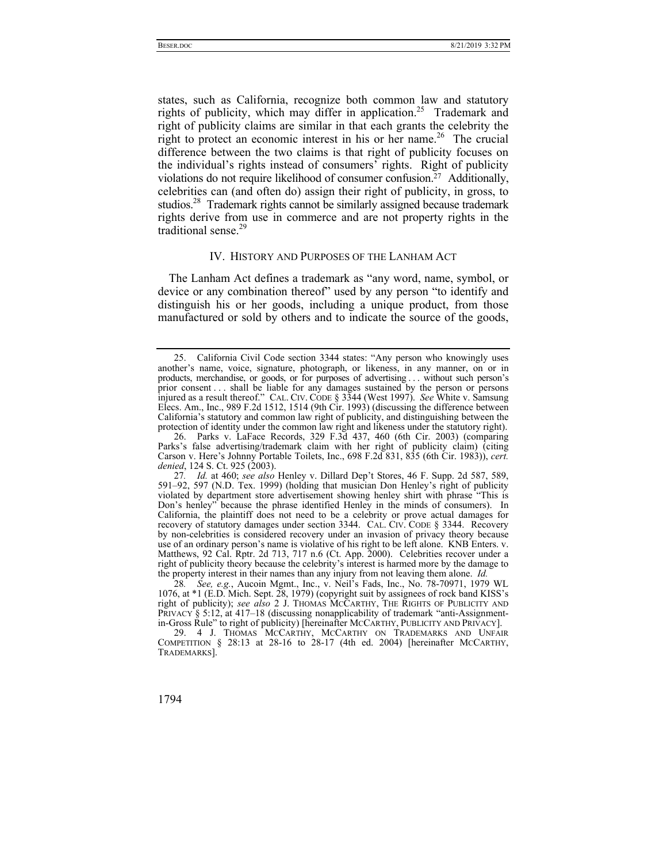states, such as California, recognize both common law and statutory rights of publicity, which may differ in application.<sup>25</sup> Trademark and right of publicity claims are similar in that each grants the celebrity the right to protect an economic interest in his or her name.<sup>26</sup> The crucial difference between the two claims is that right of publicity focuses on the individual's rights instead of consumers' rights. Right of publicity violations do not require likelihood of consumer confusion.27 Additionally, celebrities can (and often do) assign their right of publicity, in gross, to studios.<sup>28</sup> Trademark rights cannot be similarly assigned because trademark rights derive from use in commerce and are not property rights in the traditional sense.<sup>29</sup>

#### IV. HISTORY AND PURPOSES OF THE LANHAM ACT

The Lanham Act defines a trademark as "any word, name, symbol, or device or any combination thereof" used by any person "to identify and distinguish his or her goods, including a unique product, from those manufactured or sold by others and to indicate the source of the goods,

 <sup>25.</sup> California Civil Code section 3344 states: "Any person who knowingly uses another's name, voice, signature, photograph, or likeness, in any manner, on or in products, merchandise, or goods, or for purposes of advertising . . . without such person's prior consent . . . shall be liable for any damages sustained by the person or persons injured as a result thereof." CAL. CIV. CODE § 3344 (West 1997). *See* White v. Samsung Elecs. Am., Inc., 989 F.2d 1512, 1514 (9th Cir. 1993) (discussing the difference between California's statutory and common law right of publicity, and distinguishing between the protection of identity under the common law right and likeness under the statutory right).

 <sup>26.</sup> Parks v. LaFace Records, 329 F.3d 437, 460 (6th Cir. 2003) (comparing Parks's false advertising/trademark claim with her right of publicity claim) (citing Carson v. Here's Johnny Portable Toilets, Inc., 698 F.2d 831, 835 (6th Cir. 1983)), *cert. denied*, 124 S. Ct. 925 (2003).

<sup>27</sup>*. Id.* at 460; *see also* Henley v. Dillard Dep't Stores, 46 F. Supp. 2d 587, 589, 591–92, 597 (N.D. Tex. 1999) (holding that musician Don Henley's right of publicity violated by department store advertisement showing henley shirt with phrase "This is Don's henley" because the phrase identified Henley in the minds of consumers). In California, the plaintiff does not need to be a celebrity or prove actual damages for recovery of statutory damages under section 3344. CAL. CIV. CODE § 3344. Recovery by non-celebrities is considered recovery under an invasion of privacy theory because use of an ordinary person's name is violative of his right to be left alone. KNB Enters. v. Matthews, 92 Cal. Rptr. 2d 713, 717 n.6 (Ct. App. 2000). Celebrities recover under a right of publicity theory because the celebrity's interest is harmed more by the damage to the property interest in their names than any injury from not leaving them alone. *Id.* 

<sup>28</sup>*. See, e.g.*, Aucoin Mgmt., Inc., v. Neil's Fads, Inc., No. 78-70971, 1979 WL 1076, at \*1 (E.D. Mich. Sept. 28, 1979) (copyright suit by assignees of rock band KISS's right of publicity); *see also* 2 J. THOMAS MCCARTHY, THE RIGHTS OF PUBLICITY AND PRIVACY § 5:12, at 417–18 (discussing nonapplicability of trademark "anti-Assignmentin-Gross Rule" to right of publicity) [hereinafter MCCARTHY, PUBLICITY AND PRIVACY].

 <sup>29. 4</sup> J. THOMAS MCCARTHY, MCCARTHY ON TRADEMARKS AND UNFAIR COMPETITION § 28:13 at 28-16 to 28-17 (4th ed. 2004) [hereinafter MCCARTHY, TRADEMARKS].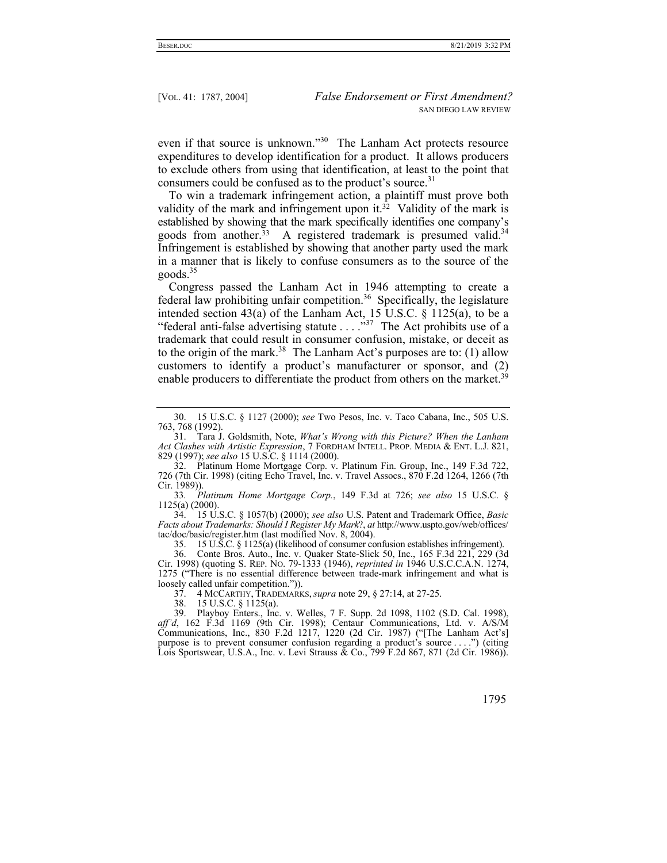even if that source is unknown."<sup>30</sup> The Lanham Act protects resource expenditures to develop identification for a product. It allows producers to exclude others from using that identification, at least to the point that consumers could be confused as to the product's source.<sup>31</sup>

To win a trademark infringement action, a plaintiff must prove both validity of the mark and infringement upon it.<sup>32</sup> Validity of the mark is established by showing that the mark specifically identifies one company's goods from another.<sup>33</sup> A registered trademark is presumed valid.<sup>34</sup> Infringement is established by showing that another party used the mark in a manner that is likely to confuse consumers as to the source of the  $goods.<sup>35</sup>$ 

Congress passed the Lanham Act in 1946 attempting to create a federal law prohibiting unfair competition.<sup>36</sup> Specifically, the legislature intended section 43(a) of the Lanham Act, 15 U.S.C.  $\frac{1}{9}$  1125(a), to be a "federal anti-false advertising statute  $\dots$  ..."<sup>37</sup> The Act prohibits use of a trademark that could result in consumer confusion, mistake, or deceit as to the origin of the mark.<sup>38</sup> The Lanham Act's purposes are to: (1) allow customers to identify a product's manufacturer or sponsor, and (2) enable producers to differentiate the product from others on the market.<sup>39</sup>

 34. 15 U.S.C. § 1057(b) (2000); *see also* U.S. Patent and Trademark Office, *Basic Facts about Trademarks: Should I Register My Mark*?, *at* http://www.uspto.gov/web/offices/ tac/doc/basic/register.htm (last modified Nov. 8, 2004).

35. 15 U.S.C. § 1125(a) (likelihood of consumer confusion establishes infringement).

 36. Conte Bros. Auto., Inc. v. Quaker State-Slick 50, Inc., 165 F.3d 221, 229 (3d Cir. 1998) (quoting S. REP. NO. 79-1333 (1946), *reprinted in* 1946 U.S.C.C.A.N. 1274, 1275 ("There is no essential difference between trade-mark infringement and what is loosely called unfair competition.")).

37. 4 MCCARTHY, TRADEMARKS, *supra* note 29, § 27:14, at 27-25.

38. 15 U.S.C. § 1125(a).

 39. Playboy Enters., Inc. v. Welles, 7 F. Supp. 2d 1098, 1102 (S.D. Cal. 1998), *aff'd*, 162 F.3d 1169 (9th Cir. 1998); Centaur Communications, Ltd. v. A/S/M Communications, Inc., 830 F.2d 1217, 1220 (2d Cir. 1987) ("[The Lanham Act's] purpose is to prevent consumer confusion regarding a product's source . . . .") (citing Lois Sportswear, U.S.A., Inc. v. Levi Strauss & Co., 799 F.2d 867, 871 (2d Cir. 1986)).

 <sup>30. 15</sup> U.S.C. § 1127 (2000); *see* Two Pesos, Inc. v. Taco Cabana, Inc., 505 U.S. 763, 768 (1992).

 <sup>31.</sup> Tara J. Goldsmith, Note, *What's Wrong with this Picture? When the Lanham Act Clashes with Artistic Expression*, 7 FORDHAM INTELL. PROP. MEDIA & ENT. L.J. 821, 829 (1997); *see also* 15 U.S.C. § 1114 (2000).

 <sup>32.</sup> Platinum Home Mortgage Corp. v. Platinum Fin. Group, Inc., 149 F.3d 722, 726 (7th Cir. 1998) (citing Echo Travel, Inc. v. Travel Assocs., 870 F.2d 1264, 1266 (7th Cir. 1989)).

<sup>33</sup>*. Platinum Home Mortgage Corp.*, 149 F.3d at 726; *see also* 15 U.S.C. § 1125(a) (2000).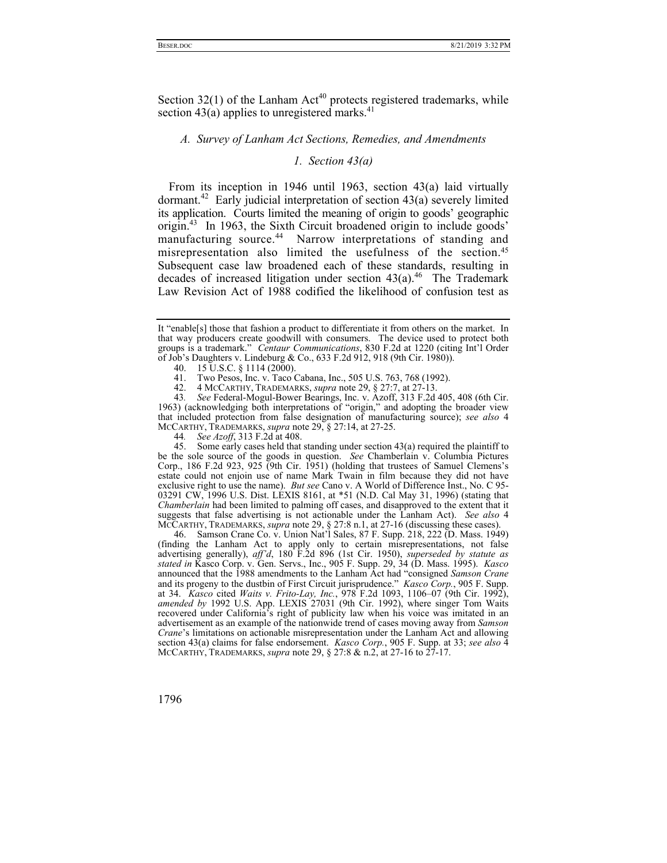Section  $32(1)$  of the Lanham Act<sup>40</sup> protects registered trademarks, while section 43(a) applies to unregistered marks.<sup>41</sup>

### *A. Survey of Lanham Act Sections, Remedies, and Amendments*

# *1. Section 43(a)*

From its inception in 1946 until 1963, section 43(a) laid virtually dormant.<sup>42</sup> Early judicial interpretation of section 43(a) severely limited its application. Courts limited the meaning of origin to goods' geographic origin.43 In 1963, the Sixth Circuit broadened origin to include goods' manufacturing source.<sup>44</sup> Narrow interpretations of standing and misrepresentation also limited the usefulness of the section.45 Subsequent case law broadened each of these standards, resulting in decades of increased litigation under section  $43(a)$ .<sup>46</sup> The Trademark Law Revision Act of 1988 codified the likelihood of confusion test as

45. Some early cases held that standing under section  $43(a)$  required the plaintiff to be the sole source of the goods in question. *See* Chamberlain v. Columbia Pictures Corp., 186 F.2d 923, 925 (9th Cir. 1951) (holding that trustees of Samuel Clemens's estate could not enjoin use of name Mark Twain in film because they did not have exclusive right to use the name). *But see* Cano v. A World of Difference Inst., No. C 95- 03291 CW, 1996 U.S. Dist. LEXIS 8161, at \*51 (N.D. Cal May 31, 1996) (stating that *Chamberlain* had been limited to palming off cases, and disapproved to the extent that it suggests that false advertising is not actionable under the Lanham Act). *See also* 4 MCCARTHY, TRADEMARKS, *supra* note 29, § 27:8 n.1, at 27-16 (discussing these cases).

 46. Samson Crane Co. v. Union Nat'l Sales, 87 F. Supp. 218, 222 (D. Mass. 1949) (finding the Lanham Act to apply only to certain misrepresentations, not false advertising generally), *aff'd*, 180 F.2d 896 (1st Cir. 1950), *superseded by statute as stated in* Kasco Corp. v. Gen. Servs., Inc., 905 F. Supp. 29, 34 (D. Mass. 1995). *Kasco* announced that the 1988 amendments to the Lanham Act had "consigned *Samson Crane* and its progeny to the dustbin of First Circuit jurisprudence." *Kasco Corp.*, 905 F. Supp. at 34. *Kasco* cited *Waits v. Frito-Lay, Inc.*, 978 F.2d 1093, 1106–07 (9th Cir. 1992), *amended by* 1992 U.S. App. LEXIS 27031 (9th Cir. 1992), where singer Tom Waits recovered under California's right of publicity law when his voice was imitated in an advertisement as an example of the nationwide trend of cases moving away from *Samson Crane*'s limitations on actionable misrepresentation under the Lanham Act and allowing section 43(a) claims for false endorsement. *Kasco Corp.*, 905 F. Supp. at 33; *see also* 4 MCCARTHY, TRADEMARKS, *supra* note 29, § 27:8 & n.2, at 27-16 to 27-17.

It "enable[s] those that fashion a product to differentiate it from others on the market. In that way producers create goodwill with consumers. The device used to protect both groups is a trademark." *Centaur Communications*, 830 F.2d at 1220 (citing Int'l Order of Job's Daughters v. Lindeburg & Co., 633 F.2d 912, 918 (9th Cir. 1980)).

<sup>40. 15</sup> U.S.C. § 1114 (2000).<br>41. Two Pesos. Inc. v. Taco 0

Two Pesos, Inc. v. Taco Cabana, Inc., 505 U.S. 763, 768 (1992).

 <sup>42. 4</sup> MCCARTHY, TRADEMARKS, *supra* note 29, § 27:7, at 27-13.

<sup>43</sup>*. See* Federal-Mogul-Bower Bearings, Inc. v. Azoff, 313 F.2d 405, 408 (6th Cir. 1963) (acknowledging both interpretations of "origin," and adopting the broader view that included protection from false designation of manufacturing source); *see also* 4 MCCARTHY, TRADEMARKS, *supra* note 29, § 27:14, at 27-25.

<sup>44</sup>*. See Azoff*, 313 F.2d at 408.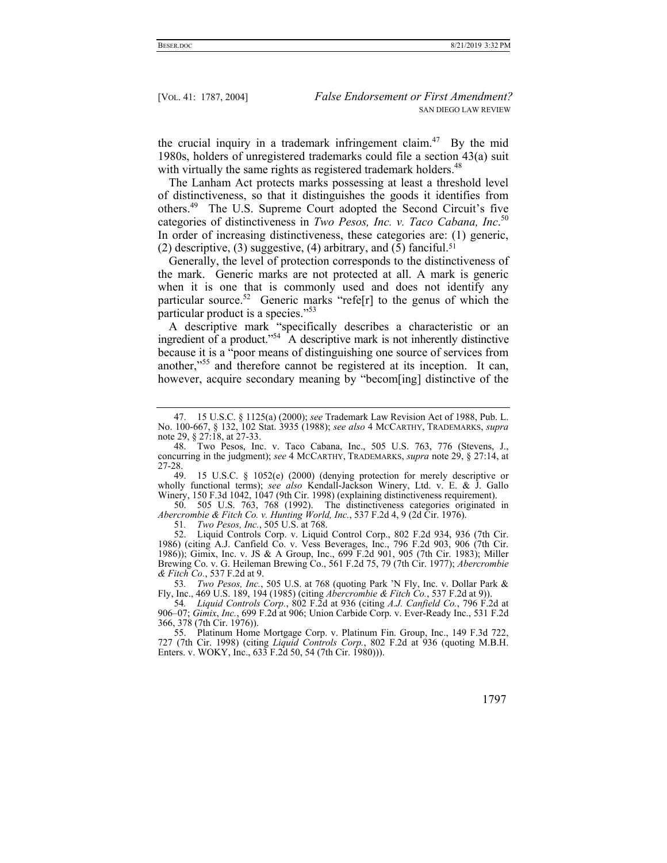the crucial inquiry in a trademark infringement claim.<sup>47</sup> By the mid 1980s, holders of unregistered trademarks could file a section 43(a) suit with virtually the same rights as registered trademark holders.<sup>48</sup>

The Lanham Act protects marks possessing at least a threshold level of distinctiveness, so that it distinguishes the goods it identifies from others.49 The U.S. Supreme Court adopted the Second Circuit's five categories of distinctiveness in *Two Pesos, Inc. v. Taco Cabana, Inc*. 50 In order of increasing distinctiveness, these categories are: (1) generic, (2) descriptive, (3) suggestive, (4) arbitrary, and (5) fanciful.<sup>51</sup>

Generally, the level of protection corresponds to the distinctiveness of the mark. Generic marks are not protected at all. A mark is generic when it is one that is commonly used and does not identify any particular source.<sup>52</sup> Generic marks "refe<sup>[r]</sup> to the genus of which the particular product is a species."<sup>53</sup>

A descriptive mark "specifically describes a characteristic or an ingredient of a product."<sup>54</sup> A descriptive mark is not inherently distinctive because it is a "poor means of distinguishing one source of services from another,"<sup>55</sup> and therefore cannot be registered at its inception. It can, however, acquire secondary meaning by "becom[ing] distinctive of the

 50. 505 U.S. 763, 768 (1992). The distinctiveness categories originated in *Abercrombie & Fitch Co. v. Hunting World, Inc.*, 537 F.2d 4, 9 (2d Cir. 1976).

51*. Two Pesos, Inc.*, 505 U.S. at 768.

 52. Liquid Controls Corp. v. Liquid Control Corp., 802 F.2d 934, 936 (7th Cir. 1986) (citing A.J. Canfield Co. v. Vess Beverages, Inc., 796 F.2d 903, 906 (7th Cir. 1986)); Gimix, Inc. v. JS & A Group, Inc., 699 F.2d 901, 905 (7th Cir. 1983); Miller Brewing Co. v. G. Heileman Brewing Co., 561 F.2d 75, 79 (7th Cir. 1977); *Abercrombie & Fitch Co.*, 537 F.2d at 9.

53*. Two Pesos, Inc.*, 505 U.S. at 768 (quoting Park 'N Fly, Inc. v. Dollar Park & Fly, Inc., 469 U.S. 189, 194 (1985) (citing *Abercrombie & Fitch Co.*, 537 F.2d at 9)).

54*. Liquid Controls Corp.*, 802 F.2d at 936 (citing *A.J. Canfield Co.*, 796 F.2d at 906–07; *Gimix*, *Inc.*, 699 F.2d at 906; Union Carbide Corp. v. Ever-Ready Inc., 531 F.2d 366, 378 (7th Cir. 1976)).

 55. Platinum Home Mortgage Corp. v. Platinum Fin. Group, Inc., 149 F.3d 722, 727 (7th Cir. 1998) (citing *Liquid Controls Corp.*, 802 F.2d at 936 (quoting M.B.H. Enters. v. WOKY, Inc., 633 F.2d 50, 54 (7th Cir. 1980)).

 <sup>47. 15</sup> U.S.C. § 1125(a) (2000); *see* Trademark Law Revision Act of 1988, Pub. L. No. 100-667, § 132, 102 Stat. 3935 (1988); *see also* 4 MCCARTHY, TRADEMARKS, *supra*  note 29, § 27:18, at 27-33.

 <sup>48.</sup> Two Pesos, Inc. v. Taco Cabana, Inc., 505 U.S. 763, 776 (Stevens, J., concurring in the judgment); *see* 4 MCCARTHY, TRADEMARKS, *supra* note 29, § 27:14, at 27-28.

 <sup>49. 15</sup> U.S.C. § 1052(e) (2000) (denying protection for merely descriptive or wholly functional terms); *see also* Kendall-Jackson Winery, Ltd. v. E. & J. Gallo Winery, 150 F.3d 1042, 1047 (9th Cir. 1998) (explaining distinctiveness requirement).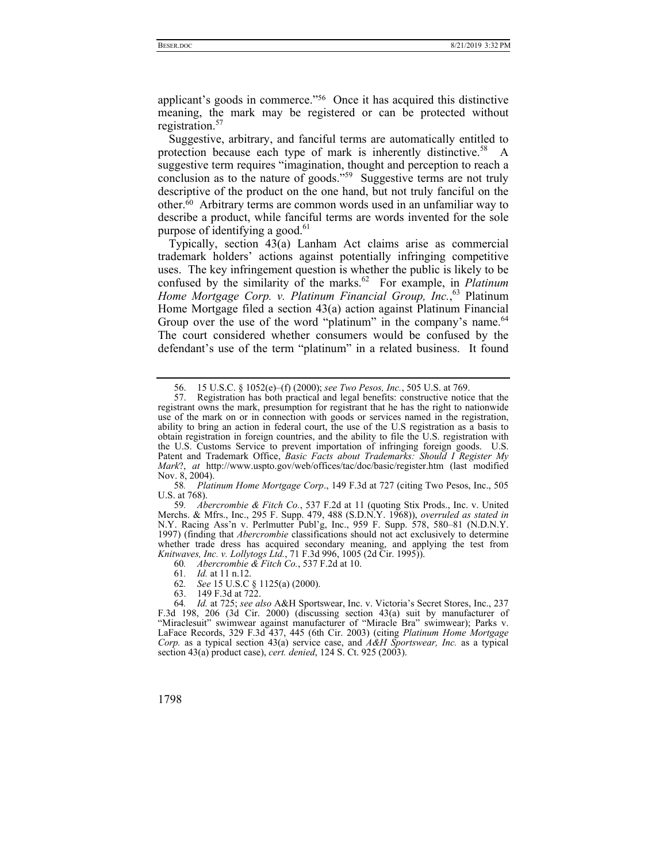applicant's goods in commerce."56 Once it has acquired this distinctive meaning, the mark may be registered or can be protected without registration. $57$ 

Suggestive, arbitrary, and fanciful terms are automatically entitled to protection because each type of mark is inherently distinctive.<sup>58</sup> A suggestive term requires "imagination, thought and perception to reach a conclusion as to the nature of goods."<sup>59</sup> Suggestive terms are not truly descriptive of the product on the one hand, but not truly fanciful on the other.60 Arbitrary terms are common words used in an unfamiliar way to describe a product, while fanciful terms are words invented for the sole purpose of identifying a good. $61$ 

Typically, section 43(a) Lanham Act claims arise as commercial trademark holders' actions against potentially infringing competitive uses. The key infringement question is whether the public is likely to be confused by the similarity of the marks.<sup>62</sup> For example, in *Platinum Home Mortgage Corp. v. Platinum Financial Group, Inc.*, 63 Platinum Home Mortgage filed a section 43(a) action against Platinum Financial Group over the use of the word "platinum" in the company's name.<sup>64</sup> The court considered whether consumers would be confused by the defendant's use of the term "platinum" in a related business. It found

58*. Platinum Home Mortgage Corp*., 149 F.3d at 727 (citing Two Pesos, Inc., 505 U.S. at 768).

59*. Abercrombie & Fitch Co.*, 537 F.2d at 11 (quoting Stix Prods., Inc. v. United Merchs. & Mfrs., Inc., 295 F. Supp. 479, 488 (S.D.N.Y. 1968)), *overruled as stated in* N.Y. Racing Ass'n v. Perlmutter Publ'g, Inc., 959 F. Supp. 578, 580–81 (N.D.N.Y. 1997) (finding that *Abercrombie* classifications should not act exclusively to determine whether trade dress has acquired secondary meaning, and applying the test from *Knitwaves, Inc. v. Lollytogs Ltd.*, 71 F.3d 996, 1005 (2d Cir. 1995)).

60*. Abercrombie & Fitch Co.*, 537 F.2d at 10.

61*. Id.* at 11 n.12.

62*. See* 15 U.S.C § 1125(a) (2000).

63. 149 F.3d at 722.

64*. Id.* at 725; *see also* A&H Sportswear, Inc. v. Victoria's Secret Stores, Inc., 237 F.3d 198, 206 (3d Cir. 2000) (discussing section 43(a) suit by manufacturer of "Miraclesuit" swimwear against manufacturer of "Miracle Bra" swimwear); Parks v. LaFace Records, 329 F.3d 437, 445 (6th Cir. 2003) (citing *Platinum Home Mortgage Corp.* as a typical section 43(a) service case, and *A&H Sportswear, Inc.* as a typical section 43(a) product case), *cert. denied*, 124 S. Ct. 925 (2003).

 <sup>56. 15</sup> U.S.C. § 1052(e)–(f) (2000); *see Two Pesos, Inc.*, 505 U.S. at 769.

 <sup>57.</sup> Registration has both practical and legal benefits: constructive notice that the registrant owns the mark, presumption for registrant that he has the right to nationwide use of the mark on or in connection with goods or services named in the registration, ability to bring an action in federal court, the use of the U.S registration as a basis to obtain registration in foreign countries, and the ability to file the U.S. registration with the U.S. Customs Service to prevent importation of infringing foreign goods. U.S. Patent and Trademark Office, *Basic Facts about Trademarks: Should I Register My Mark*?, *at* http://www.uspto.gov/web/offices/tac/doc/basic/register.htm (last modified Nov. 8, 2004).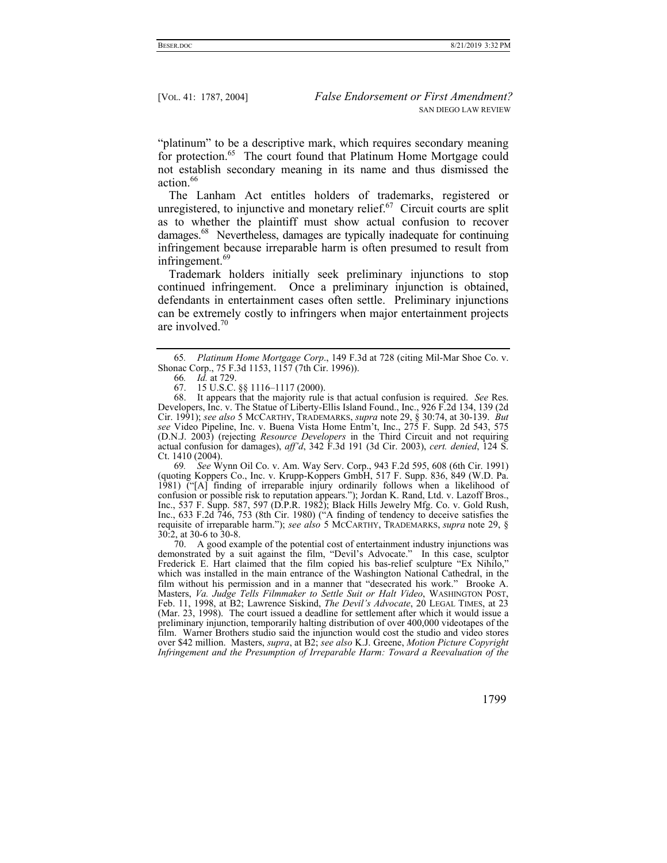"platinum" to be a descriptive mark, which requires secondary meaning for protection.<sup>65</sup> The court found that Platinum Home Mortgage could not establish secondary meaning in its name and thus dismissed the action.<sup>66</sup>

The Lanham Act entitles holders of trademarks, registered or unregistered, to injunctive and monetary relief. $67$  Circuit courts are split as to whether the plaintiff must show actual confusion to recover damages.68 Nevertheless, damages are typically inadequate for continuing infringement because irreparable harm is often presumed to result from infringement.<sup>69</sup>

Trademark holders initially seek preliminary injunctions to stop continued infringement. Once a preliminary injunction is obtained, defendants in entertainment cases often settle. Preliminary injunctions can be extremely costly to infringers when major entertainment projects are involved.70

69*. See* Wynn Oil Co. v. Am. Way Serv. Corp., 943 F.2d 595, 608 (6th Cir. 1991) (quoting Koppers Co., Inc. v. Krupp-Koppers GmbH, 517 F. Supp. 836, 849 (W.D. Pa. 1981) ("[A] finding of irreparable injury ordinarily follows when a likelihood of confusion or possible risk to reputation appears."); Jordan K. Rand, Ltd. v. Lazoff Bros., Inc., 537 F. Supp. 587, 597 (D.P.R. 1982); Black Hills Jewelry Mfg. Co. v. Gold Rush, Inc., 633 F.2d 746, 753 (8th Cir. 1980) ("A finding of tendency to deceive satisfies the requisite of irreparable harm."); *see also* 5 MCCARTHY, TRADEMARKS, *supra* note 29, § 30:2, at 30-6 to 30-8.

 70. A good example of the potential cost of entertainment industry injunctions was demonstrated by a suit against the film, "Devil's Advocate." In this case, sculptor Frederick E. Hart claimed that the film copied his bas-relief sculpture "Ex Nihilo," which was installed in the main entrance of the Washington National Cathedral, in the film without his permission and in a manner that "desecrated his work." Brooke A. Masters, *Va. Judge Tells Filmmaker to Settle Suit or Halt Video*, WASHINGTON POST, Feb. 11, 1998, at B2; Lawrence Siskind, *The Devil's Advocate*, 20 LEGAL TIMES, at 23 (Mar. 23, 1998). The court issued a deadline for settlement after which it would issue a preliminary injunction, temporarily halting distribution of over 400,000 videotapes of the film. Warner Brothers studio said the injunction would cost the studio and video stores over \$42 million. Masters, *supra*, at B2; *see also* K.J. Greene, *Motion Picture Copyright Infringement and the Presumption of Irreparable Harm: Toward a Reevaluation of the* 

<sup>65</sup>*. Platinum Home Mortgage Corp*., 149 F.3d at 728 (citing Mil-Mar Shoe Co. v. Shonac Corp., 75 F.3d 1153, 1157 (7th Cir. 1996)).

<sup>66</sup>*. Id.* at 729.

 <sup>67. 15</sup> U.S.C. §§ 1116–1117 (2000).

 <sup>68.</sup> It appears that the majority rule is that actual confusion is required. *See* Res. Developers, Inc. v. The Statue of Liberty-Ellis Island Found., Inc., 926 F.2d 134, 139 (2d Cir. 1991); *see also* 5 MCCARTHY, TRADEMARKS, *supra* note 29, § 30:74, at 30-139. *But see* Video Pipeline, Inc. v. Buena Vista Home Entm't, Inc., 275 F. Supp. 2d 543, 575 (D.N.J. 2003) (rejecting *Resource Developers* in the Third Circuit and not requiring actual confusion for damages), *aff'd*, 342 F.3d 191 (3d Cir. 2003), *cert. denied*, 124 S. Ct. 1410 (2004).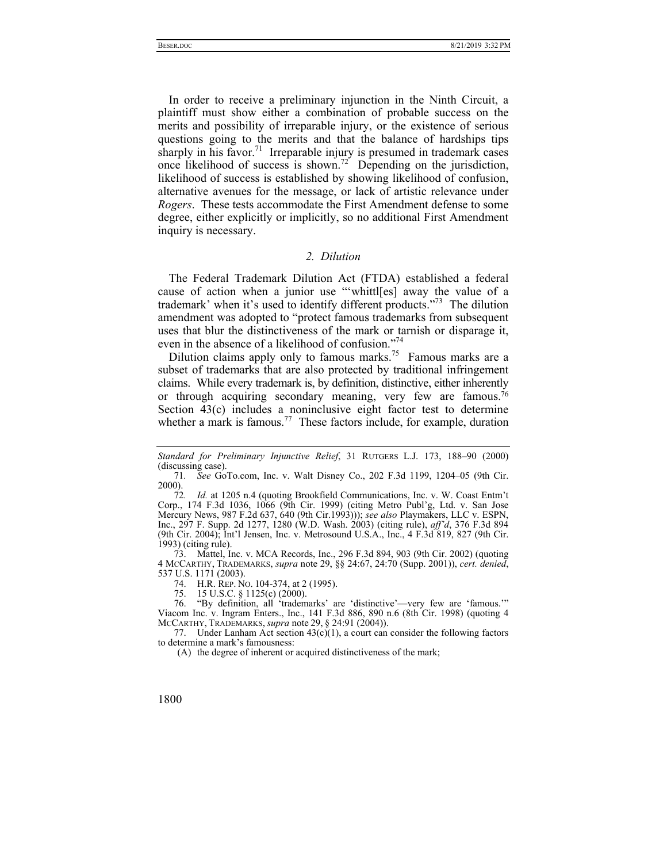In order to receive a preliminary injunction in the Ninth Circuit, a plaintiff must show either a combination of probable success on the merits and possibility of irreparable injury, or the existence of serious questions going to the merits and that the balance of hardships tips sharply in his favor.<sup>71</sup> Irreparable injury is presumed in trademark cases once likelihood of success is shown.<sup>72</sup> Depending on the jurisdiction, likelihood of success is established by showing likelihood of confusion, alternative avenues for the message, or lack of artistic relevance under *Rogers*. These tests accommodate the First Amendment defense to some degree, either explicitly or implicitly, so no additional First Amendment inquiry is necessary.

# *2. Dilution*

The Federal Trademark Dilution Act (FTDA) established a federal cause of action when a junior use "'whittl[es] away the value of a trademark' when it's used to identify different products."73 The dilution amendment was adopted to "protect famous trademarks from subsequent uses that blur the distinctiveness of the mark or tarnish or disparage it, even in the absence of a likelihood of confusion."74

Dilution claims apply only to famous marks.<sup>75</sup> Famous marks are a subset of trademarks that are also protected by traditional infringement claims. While every trademark is, by definition, distinctive, either inherently or through acquiring secondary meaning, very few are famous.<sup>76</sup> Section 43(c) includes a noninclusive eight factor test to determine whether a mark is famous.<sup>77</sup> These factors include, for example, duration

 73. Mattel, Inc. v. MCA Records, Inc., 296 F.3d 894, 903 (9th Cir. 2002) (quoting 4 MCCARTHY, TRADEMARKS, *supra* note 29, §§ 24:67, 24:70 (Supp. 2001)), *cert. denied*, 537 U.S. 1171 (2003).

74. H.R. REP. NO. 104-374, at 2 (1995).

75. 15 U.S.C. § 1125(c) (2000).

 76. "By definition, all 'trademarks' are 'distinctive'—very few are 'famous.'" Viacom Inc. v. Ingram Enters., Inc., 141 F.3d 886, 890 n.6 (8th Cir. 1998) (quoting 4 MCCARTHY, TRADEMARKS, *supra* note 29, § 24:91 (2004)).

77. Under Lanham Act section  $43(c)(1)$ , a court can consider the following factors to determine a mark's famousness:

(A) the degree of inherent or acquired distinctiveness of the mark;

*Standard for Preliminary Injunctive Relief*, 31 RUTGERS L.J. 173, 188–90 (2000) (discussing case).

<sup>71</sup>*. See* GoTo.com, Inc. v. Walt Disney Co., 202 F.3d 1199, 1204–05 (9th Cir. 2000).

<sup>72</sup>*. Id.* at 1205 n.4 (quoting Brookfield Communications, Inc. v. W. Coast Entm't Corp., 174 F.3d 1036, 1066 (9th Cir. 1999) (citing Metro Publ'g, Ltd. v. San Jose Mercury News, 987 F.2d 637, 640 (9th Cir.1993))); *see also* Playmakers, LLC v. ESPN, Inc., 297 F. Supp. 2d 1277, 1280 (W.D. Wash. 2003) (citing rule), *aff'd*, 376 F.3d 894 (9th Cir. 2004); Int'l Jensen, Inc. v. Metrosound U.S.A., Inc., 4 F.3d 819, 827 (9th Cir. 1993) (citing rule).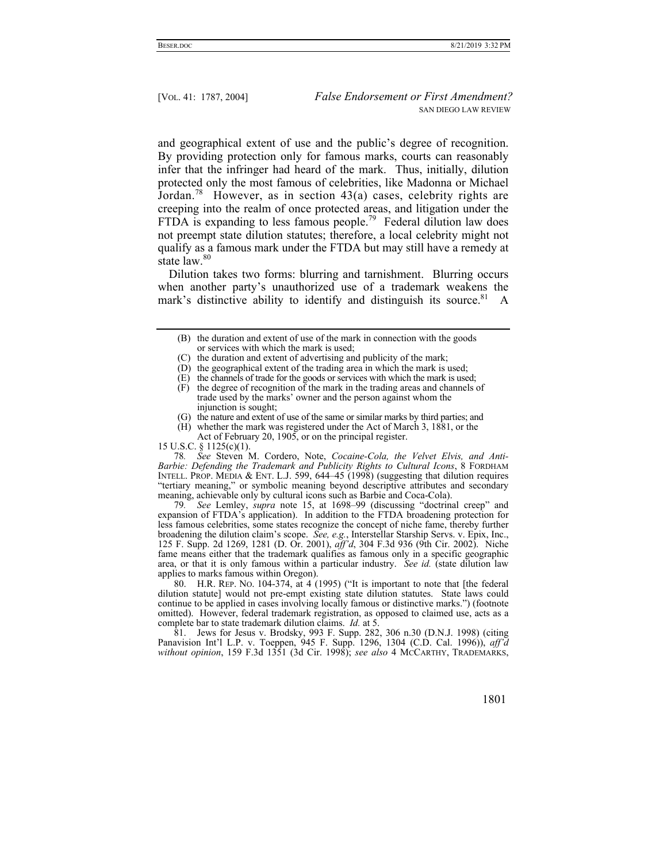and geographical extent of use and the public's degree of recognition. By providing protection only for famous marks, courts can reasonably infer that the infringer had heard of the mark. Thus, initially, dilution protected only the most famous of celebrities, like Madonna or Michael Jordan.<sup>78</sup> However, as in section  $43(a)$  cases, celebrity rights are creeping into the realm of once protected areas, and litigation under the FTDA is expanding to less famous people.<sup>79</sup> Federal dilution law does not preempt state dilution statutes; therefore, a local celebrity might not qualify as a famous mark under the FTDA but may still have a remedy at state law.<sup>80</sup>

Dilution takes two forms: blurring and tarnishment. Blurring occurs when another party's unauthorized use of a trademark weakens the mark's distinctive ability to identify and distinguish its source.<sup>81</sup> A

- (B) the duration and extent of use of the mark in connection with the goods or services with which the mark is used;
- (C) the duration and extent of advertising and publicity of the mark;
- (D) the geographical extent of the trading area in which the mark is used;
- (E) the channels of trade for the goods or services with which the mark is used;
- (F) the degree of recognition of the mark in the trading areas and channels of trade used by the marks' owner and the person against whom the injunction is sought;
- (G) the nature and extent of use of the same or similar marks by third parties; and
- (H) whether the mark was registered under the Act of March 3, 1881, or the Act of February 20, 1905, or on the principal register.

15 U.S.C. § 1125(c)(1).

78*. See* Steven M. Cordero, Note, *Cocaine-Cola, the Velvet Elvis, and Anti-Barbie: Defending the Trademark and Publicity Rights to Cultural Icons*, 8 FORDHAM INTELL. PROP. MEDIA & ENT. L.J. 599, 644–45 (1998) (suggesting that dilution requires "tertiary meaning," or symbolic meaning beyond descriptive attributes and secondary meaning, achievable only by cultural icons such as Barbie and Coca-Cola).

79*. See* Lemley, *supra* note 15, at 1698–99 (discussing "doctrinal creep" and expansion of FTDA's application). In addition to the FTDA broadening protection for less famous celebrities, some states recognize the concept of niche fame, thereby further broadening the dilution claim's scope. *See, e.g.*, Interstellar Starship Servs. v. Epix, Inc., 125 F. Supp. 2d 1269, 1281 (D. Or. 2001), *aff'd*, 304 F.3d 936 (9th Cir. 2002). Niche fame means either that the trademark qualifies as famous only in a specific geographic area, or that it is only famous within a particular industry. *See id.* (state dilution law applies to marks famous within Oregon).

 80. H.R. REP. NO. 104-374, at 4 (1995) ("It is important to note that [the federal dilution statute] would not pre-empt existing state dilution statutes. State laws could continue to be applied in cases involving locally famous or distinctive marks.") (footnote omitted). However, federal trademark registration, as opposed to claimed use, acts as a complete bar to state trademark dilution claims. *Id.* at 5.

 81. Jews for Jesus v. Brodsky, 993 F. Supp. 282, 306 n.30 (D.N.J. 1998) (citing Panavision Int'l L.P. v. Toeppen, 945 F. Supp. 1296, 1304 (C.D. Cal. 1996)), *aff'd without opinion*, 159 F.3d 1351 (3d Cir. 1998); *see also* 4 MCCARTHY, TRADEMARKS,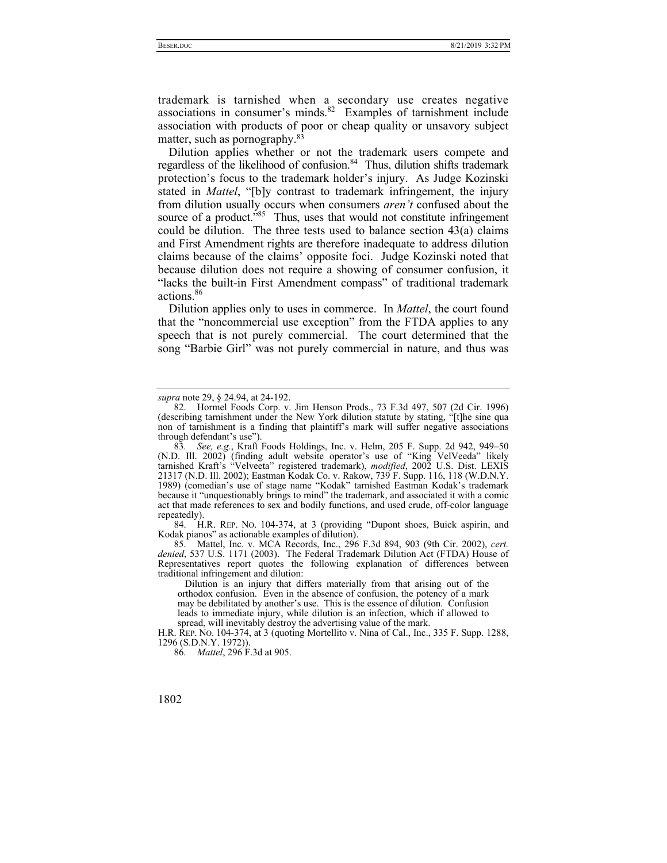trademark is tarnished when a secondary use creates negative associations in consumer's minds.<sup>82</sup> Examples of tarnishment include association with products of poor or cheap quality or unsavory subject matter, such as pornography.83

Dilution applies whether or not the trademark users compete and regardless of the likelihood of confusion.<sup>84</sup> Thus, dilution shifts trademark protection's focus to the trademark holder's injury. As Judge Kozinski stated in *Mattel*, "[b]y contrast to trademark infringement, the injury from dilution usually occurs when consumers *aren't* confused about the source of a product."<sup>85</sup> Thus, uses that would not constitute infringement could be dilution. The three tests used to balance section 43(a) claims and First Amendment rights are therefore inadequate to address dilution claims because of the claims' opposite foci. Judge Kozinski noted that because dilution does not require a showing of consumer confusion, it "lacks the built-in First Amendment compass" of traditional trademark actions.<sup>86</sup>

Dilution applies only to uses in commerce. In *Mattel*, the court found that the "noncommercial use exception" from the FTDA applies to any speech that is not purely commercial. The court determined that the song "Barbie Girl" was not purely commercial in nature, and thus was

 84. H.R. REP. NO. 104-374, at 3 (providing "Dupont shoes, Buick aspirin, and Kodak pianos" as actionable examples of dilution).

 85. Mattel, Inc. v. MCA Records, Inc., 296 F.3d 894, 903 (9th Cir. 2002), *cert. denied*, 537 U.S. 1171 (2003). The Federal Trademark Dilution Act (FTDA) House of Representatives report quotes the following explanation of differences between traditional infringement and dilution:

 Dilution is an injury that differs materially from that arising out of the orthodox confusion. Even in the absence of confusion, the potency of a mark may be debilitated by another's use. This is the essence of dilution. Confusion leads to immediate injury, while dilution is an infection, which if allowed to spread, will inevitably destroy the advertising value of the mark.

H.R. REP. NO. 104-374, at 3 (quoting Mortellito v. Nina of Cal., Inc., 335 F. Supp. 1288, 1296 (S.D.N.Y. 1972)).

86*. Mattel*, 296 F.3d at 905.

*supra* note 29, § 24.94, at 24-192.

 <sup>82.</sup> Hormel Foods Corp. v. Jim Henson Prods., 73 F.3d 497, 507 (2d Cir. 1996) (describing tarnishment under the New York dilution statute by stating, "[t]he sine qua non of tarnishment is a finding that plaintiff's mark will suffer negative associations through defendant's use").

<sup>83</sup>*. See, e.g.*, Kraft Foods Holdings, Inc. v. Helm, 205 F. Supp. 2d 942, 949–50 (N.D. Ill. 2002) (finding adult website operator's use of "King VelVeeda" likely tarnished Kraft's "Velveeta" registered trademark), *modified*, 2002 U.S. Dist. LEXIS 21317 (N.D. Ill. 2002); Eastman Kodak Co. v. Rakow, 739 F. Supp. 116, 118 (W.D.N.Y. 1989) (comedian's use of stage name "Kodak" tarnished Eastman Kodak's trademark because it "unquestionably brings to mind" the trademark, and associated it with a comic act that made references to sex and bodily functions, and used crude, off-color language repeatedly).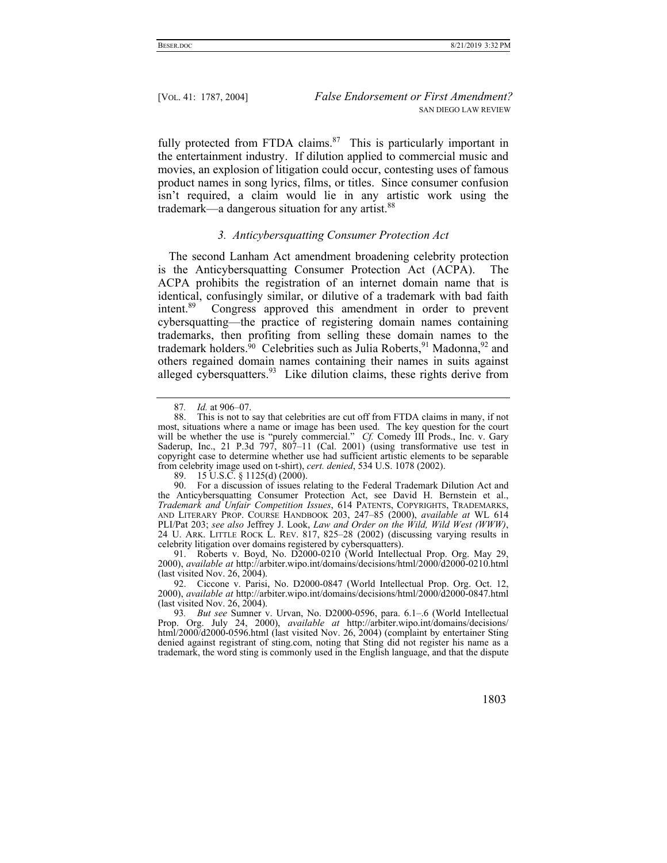fully protected from FTDA claims. $87$  This is particularly important in the entertainment industry. If dilution applied to commercial music and movies, an explosion of litigation could occur, contesting uses of famous product names in song lyrics, films, or titles. Since consumer confusion isn't required, a claim would lie in any artistic work using the trademark—a dangerous situation for any artist.<sup>88</sup>

#### *3. Anticybersquatting Consumer Protection Act*

The second Lanham Act amendment broadening celebrity protection is the Anticybersquatting Consumer Protection Act (ACPA). The ACPA prohibits the registration of an internet domain name that is identical, confusingly similar, or dilutive of a trademark with bad faith intent.<sup>89</sup> Congress approved this amendment in order to prevent Congress approved this amendment in order to prevent cybersquatting—the practice of registering domain names containing trademarks, then profiting from selling these domain names to the trademark holders.<sup>90</sup> Celebrities such as Julia Roberts,<sup>91</sup> Madonna,<sup>92</sup> and others regained domain names containing their names in suits against alleged cybersquatters.<sup>93</sup> Like dilution claims, these rights derive from

 91. Roberts v. Boyd, No. D2000-0210 (World Intellectual Prop. Org. May 29, 2000), *available at* http://arbiter.wipo.int/domains/decisions/html/2000/d2000-0210.html (last visited Nov. 26, 2004).

 92. Ciccone v. Parisi, No. D2000-0847 (World Intellectual Prop. Org. Oct. 12, 2000), *available at* http://arbiter.wipo.int/domains/decisions/html/2000/d2000-0847.html (last visited Nov. 26, 2004).

93*. But see* Sumner v. Urvan, No. D2000-0596, para. 6.1–.6 (World Intellectual Prop. Org. July 24, 2000), *available at* http://arbiter.wipo.int/domains/decisions/ html/2000/d2000-0596.html (last visited Nov. 26, 2004) (complaint by entertainer Sting denied against registrant of sting.com, noting that Sting did not register his name as a trademark, the word sting is commonly used in the English language, and that the dispute

<sup>87</sup>*. Id.* at 906–07.

 <sup>88.</sup> This is not to say that celebrities are cut off from FTDA claims in many, if not most, situations where a name or image has been used. The key question for the court will be whether the use is "purely commercial." *Cf.* Comedy III Prods., Inc. v. Gary Saderup, Inc., 21 P.3d  $797$ ,  $807-11$  (Cal. 2001) (using transformative use test in copyright case to determine whether use had sufficient artistic elements to be separable from celebrity image used on t-shirt), *cert. denied*, 534 U.S. 1078 (2002).

 <sup>89. 15</sup> U.S.C. § 1125(d) (2000).

 <sup>90.</sup> For a discussion of issues relating to the Federal Trademark Dilution Act and the Anticybersquatting Consumer Protection Act, see David H. Bernstein et al., *Trademark and Unfair Competition Issues*, 614 PATENTS, COPYRIGHTS, TRADEMARKS, AND LITERARY PROP. COURSE HANDBOOK 203, 247–85 (2000), *available at* WL 614 PLI/Pat 203; *see also* Jeffrey J. Look, *Law and Order on the Wild, Wild West (WWW)*, 24 U. ARK. LITTLE ROCK L. REV. 817, 825–28 (2002) (discussing varying results in celebrity litigation over domains registered by cybersquatters).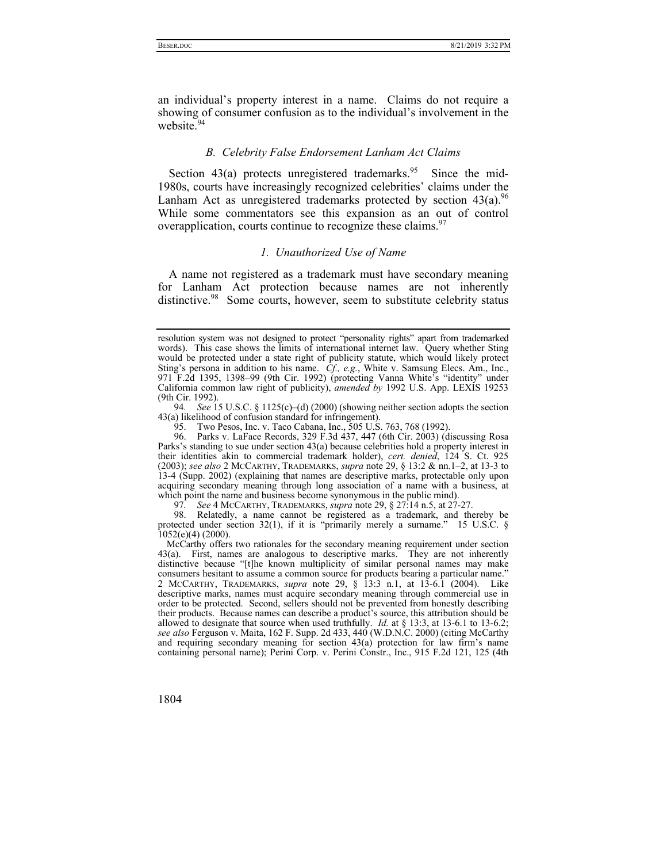an individual's property interest in a name. Claims do not require a showing of consumer confusion as to the individual's involvement in the website.<sup>94</sup>

## *B. Celebrity False Endorsement Lanham Act Claims*

Section  $43(a)$  protects unregistered trademarks.<sup>95</sup> Since the mid-1980s, courts have increasingly recognized celebrities' claims under the Lanham Act as unregistered trademarks protected by section  $43(a)$ . <sup>96</sup> While some commentators see this expansion as an out of control overapplication, courts continue to recognize these claims.<sup>97</sup>

# *1. Unauthorized Use of Name*

A name not registered as a trademark must have secondary meaning for Lanham Act protection because names are not inherently distinctive.<sup>98</sup> Some courts, however, seem to substitute celebrity status

94*. See* 15 U.S.C. § 1125(c)–(d) (2000) (showing neither section adopts the section 43(a) likelihood of confusion standard for infringement).

97*. See* 4 MCCARTHY, TRADEMARKS, *supra* note 29, § 27:14 n.5, at 27-27.

 98. Relatedly, a name cannot be registered as a trademark, and thereby be protected under section 32(1), if it is "primarily merely a surname." 15 U.S.C. §  $1052(e)(4)$  (2000).

McCarthy offers two rationales for the secondary meaning requirement under section 43(a). First, names are analogous to descriptive marks. They are not inherently distinctive because "[t]he known multiplicity of similar personal names may make consumers hesitant to assume a common source for products bearing a particular name." 2 MCCARTHY, TRADEMARKS, *supra* note 29, § 13:3 n.1, at 13-6.1 (2004). Like descriptive marks, names must acquire secondary meaning through commercial use in order to be protected. Second, sellers should not be prevented from honestly describing their products. Because names can describe a product's source, this attribution should be allowed to designate that source when used truthfully. *Id.* at § 13:3, at 13-6.1 to 13-6.2; *see also* Ferguson v. Maita, 162 F. Supp. 2d 433, 440 (W.D.N.C. 2000) (citing McCarthy and requiring secondary meaning for section 43(a) protection for law firm's name containing personal name); Perini Corp. v. Perini Constr., Inc., 915 F.2d 121, 125 (4th

resolution system was not designed to protect "personality rights" apart from trademarked words). This case shows the limits of international internet law. Query whether Sting would be protected under a state right of publicity statute, which would likely protect Sting's persona in addition to his name. *Cf., e.g.*, White v. Samsung Elecs. Am., Inc., 971 F.2d 1395, 1398–99 (9th Cir. 1992) (protecting Vanna White's "identity" under California common law right of publicity), *amended by* 1992 U.S. App. LEXIS 19253 (9th Cir. 1992).

<sup>95.</sup> Two Pesos, Inc. v. Taco Cabana, Inc., 505 U.S. 763, 768 (1992).

 <sup>96.</sup> Parks v. LaFace Records, 329 F.3d 437, 447 (6th Cir. 2003) (discussing Rosa Parks's standing to sue under section 43(a) because celebrities hold a property interest in their identities akin to commercial trademark holder), *cert. denied*, 124 S. Ct. 925 (2003); *see also* 2 MCCARTHY, TRADEMARKS, *supra* note 29, § 13:2 & nn.1–2, at 13-3 to 13-4 (Supp. 2002) (explaining that names are descriptive marks, protectable only upon acquiring secondary meaning through long association of a name with a business, at which point the name and business become synonymous in the public mind).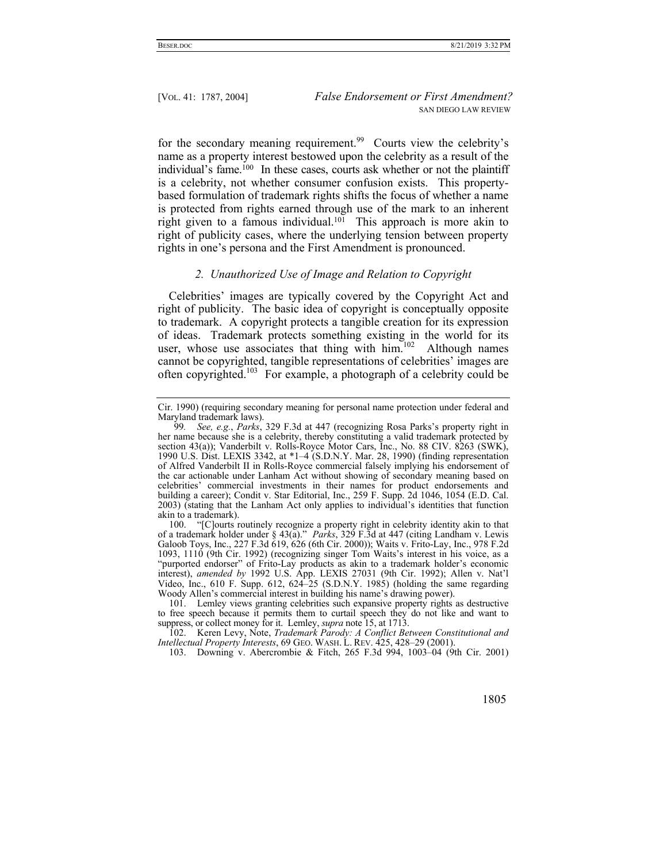for the secondary meaning requirement.<sup>99</sup> Courts view the celebrity's name as a property interest bestowed upon the celebrity as a result of the individual's fame.100 In these cases, courts ask whether or not the plaintiff is a celebrity, not whether consumer confusion exists. This propertybased formulation of trademark rights shifts the focus of whether a name is protected from rights earned through use of the mark to an inherent right given to a famous individual.<sup>101</sup> This approach is more akin to right of publicity cases, where the underlying tension between property rights in one's persona and the First Amendment is pronounced.

## *2. Unauthorized Use of Image and Relation to Copyright*

Celebrities' images are typically covered by the Copyright Act and right of publicity. The basic idea of copyright is conceptually opposite to trademark. A copyright protects a tangible creation for its expression of ideas. Trademark protects something existing in the world for its user, whose use associates that thing with  $\lim_{n \to \infty}$  Although names cannot be copyrighted, tangible representations of celebrities' images are often copyrighted.103 For example, a photograph of a celebrity could be

 100. "[C]ourts routinely recognize a property right in celebrity identity akin to that of a trademark holder under § 43(a)." *Parks*, 329 F.3d at 447 (citing Landham v. Lewis Galoob Toys, Inc., 227 F.3d 619, 626 (6th Cir. 2000)); Waits v. Frito-Lay, Inc., 978 F.2d 1093, 1110 (9th Cir. 1992) (recognizing singer Tom Waits's interest in his voice, as a "purported endorser" of Frito-Lay products as akin to a trademark holder's economic interest), *amended by* 1992 U.S. App. LEXIS 27031 (9th Cir. 1992); Allen v. Nat'l Video, Inc., 610 F. Supp. 612, 624–25 (S.D.N.Y. 1985) (holding the same regarding Woody Allen's commercial interest in building his name's drawing power).

 101. Lemley views granting celebrities such expansive property rights as destructive to free speech because it permits them to curtail speech they do not like and want to suppress, or collect money for it. Lemley, *supra* note 15, at 1713.

 102. Keren Levy, Note, *Trademark Parody: A Conflict Between Constitutional and Intellectual Property Interests*, 69 GEO. WASH. L. REV. 425, 428–29 (2001).

103. Downing v. Abercrombie & Fitch, 265 F.3d 994, 1003–04 (9th Cir. 2001)

Cir. 1990) (requiring secondary meaning for personal name protection under federal and Maryland trademark laws).

<sup>99</sup>*. See, e.g.*, *Parks*, 329 F.3d at 447 (recognizing Rosa Parks's property right in her name because she is a celebrity, thereby constituting a valid trademark protected by section 43(a)); Vanderbilt v. Rolls-Royce Motor Cars, Inc., No. 88 CIV. 8263 (SWK), 1990 U.S. Dist. LEXIS 3342, at \*1–4 (S.D.N.Y. Mar. 28, 1990) (finding representation of Alfred Vanderbilt II in Rolls-Royce commercial falsely implying his endorsement of the car actionable under Lanham Act without showing of secondary meaning based on celebrities' commercial investments in their names for product endorsements and building a career); Condit v. Star Editorial, Inc., 259 F. Supp. 2d 1046, 1054 (E.D. Cal. 2003) (stating that the Lanham Act only applies to individual's identities that function akin to a trademark).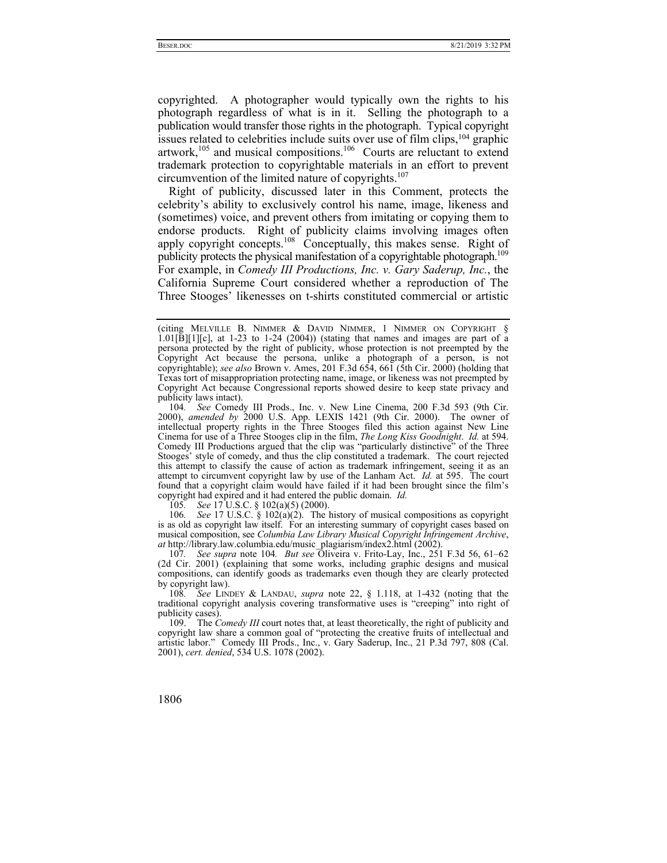copyrighted. A photographer would typically own the rights to his photograph regardless of what is in it. Selling the photograph to a publication would transfer those rights in the photograph. Typical copyright issues related to celebrities include suits over use of film clips,104 graphic artwork, $105$  and musical compositions. $106$  Courts are reluctant to extend trademark protection to copyrightable materials in an effort to prevent circumvention of the limited nature of copyrights.<sup>107</sup>

Right of publicity, discussed later in this Comment, protects the celebrity's ability to exclusively control his name, image, likeness and (sometimes) voice, and prevent others from imitating or copying them to endorse products. Right of publicity claims involving images often apply copyright concepts.<sup>108</sup> Conceptually, this makes sense. Right of publicity protects the physical manifestation of a copyrightable photograph.<sup>109</sup> For example, in *Comedy III Productions, Inc. v. Gary Saderup, Inc.*, the California Supreme Court considered whether a reproduction of The Three Stooges' likenesses on t-shirts constituted commercial or artistic

105*. See* 17 U.S.C. § 102(a)(5) (2000).

106*. See* 17 U.S.C. § 102(a)(2). The history of musical compositions as copyright is as old as copyright law itself. For an interesting summary of copyright cases based on musical composition, see *Columbia Law Library Musical Copyright Infringement Archive*, *at* http://library.law.columbia.edu/music\_plagiarism/index2.html (2002).

107*. See supra* note 104*. But see* Oliveira v. Frito-Lay, Inc., 251 F.3d 56, 61–62 (2d Cir. 2001) (explaining that some works, including graphic designs and musical compositions, can identify goods as trademarks even though they are clearly protected by copyright law).

108*. See* LINDEY & LANDAU, *supra* note 22, § 1.118, at 1-432 (noting that the traditional copyright analysis covering transformative uses is "creeping" into right of publicity cases).

 109. The *Comedy III* court notes that, at least theoretically, the right of publicity and copyright law share a common goal of "protecting the creative fruits of intellectual and artistic labor." Comedy III Prods., Inc., v. Gary Saderup, Inc., 21 P.3d 797, 808 (Cal. 2001), *cert. denied*, 534 U.S. 1078 (2002).

<sup>(</sup>citing MELVILLE B. NIMMER & DAVID NIMMER, 1 NIMMER ON COPYRIGHT §  $1.01[\overline{B}][1][c]$ , at 1-23 to 1-24 (2004)) (stating that names and images are part of a persona protected by the right of publicity, whose protection is not preempted by the Copyright Act because the persona, unlike a photograph of a person, is not copyrightable); *see also* Brown v. Ames, 201 F.3d 654, 661 (5th Cir. 2000) (holding that Texas tort of misappropriation protecting name, image, or likeness was not preempted by Copyright Act because Congressional reports showed desire to keep state privacy and publicity laws intact).

<sup>104</sup>*. See* Comedy III Prods., Inc. v. New Line Cinema, 200 F.3d 593 (9th Cir. 2000), *amended by* 2000 U.S. App. LEXIS 1421 (9th Cir. 2000). The owner of intellectual property rights in the Three Stooges filed this action against New Line Cinema for use of a Three Stooges clip in the film, *The Long Kiss Goodnight*. *Id.* at 594. Comedy III Productions argued that the clip was "particularly distinctive" of the Three Stooges' style of comedy, and thus the clip constituted a trademark. The court rejected this attempt to classify the cause of action as trademark infringement, seeing it as an attempt to circumvent copyright law by use of the Lanham Act. *Id.* at 595. The court found that a copyright claim would have failed if it had been brought since the film's copyright had expired and it had entered the public domain. *Id.*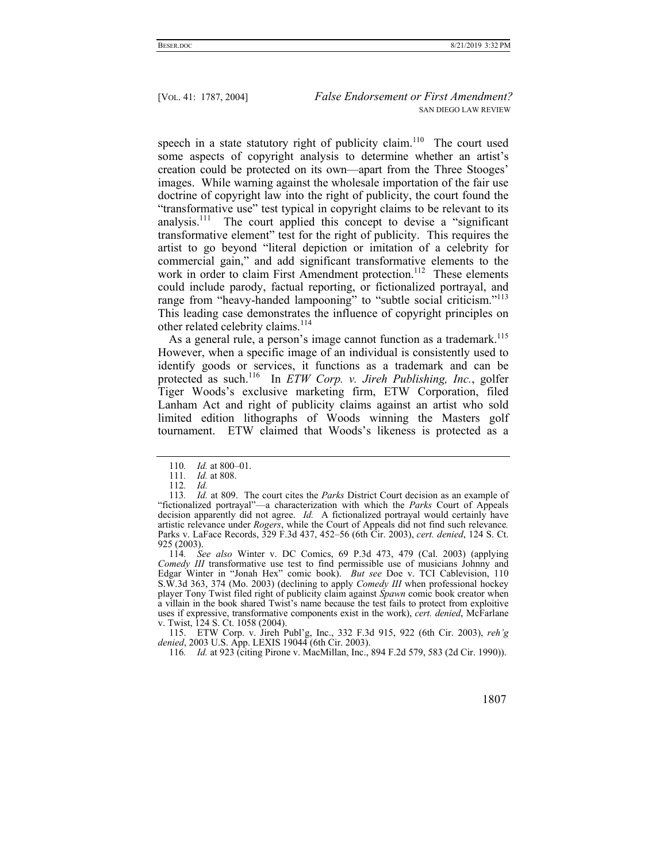speech in a state statutory right of publicity claim.<sup>110</sup> The court used some aspects of copyright analysis to determine whether an artist's creation could be protected on its own—apart from the Three Stooges' images. While warning against the wholesale importation of the fair use doctrine of copyright law into the right of publicity, the court found the "transformative use" test typical in copyright claims to be relevant to its analysis.111 The court applied this concept to devise a "significant transformative element" test for the right of publicity. This requires the artist to go beyond "literal depiction or imitation of a celebrity for commercial gain," and add significant transformative elements to the work in order to claim First Amendment protection.<sup>112</sup> These elements could include parody, factual reporting, or fictionalized portrayal, and range from "heavy-handed lampooning" to "subtle social criticism."<sup>113</sup> This leading case demonstrates the influence of copyright principles on other related celebrity claims.<sup>114</sup>

As a general rule, a person's image cannot function as a trademark.<sup>115</sup> However, when a specific image of an individual is consistently used to identify goods or services, it functions as a trademark and can be protected as such.116 In *ETW Corp. v. Jireh Publishing, Inc.*, golfer Tiger Woods's exclusive marketing firm, ETW Corporation, filed Lanham Act and right of publicity claims against an artist who sold limited edition lithographs of Woods winning the Masters golf tournament. ETW claimed that Woods's likeness is protected as a

114*. See also* Winter v. DC Comics, 69 P.3d 473, 479 (Cal. 2003) (applying *Comedy III* transformative use test to find permissible use of musicians Johnny and Edgar Winter in "Jonah Hex" comic book). *But see* Doe v. TCI Cablevision, 110 S.W.3d 363, 374 (Mo. 2003) (declining to apply *Comedy III* when professional hockey player Tony Twist filed right of publicity claim against *Spawn* comic book creator when a villain in the book shared Twist's name because the test fails to protect from exploitive uses if expressive, transformative components exist in the work), *cert. denied*, McFarlane v. Twist, 124 S. Ct. 1058 (2004).

 115. ETW Corp. v. Jireh Publ'g, Inc., 332 F.3d 915, 922 (6th Cir. 2003), *reh'g denied*, 2003 U.S. App. LEXIS 19044 (6th Cir. 2003).

116*. Id.* at 923 (citing Pirone v. MacMillan, Inc., 894 F.2d 579, 583 (2d Cir. 1990)).

<sup>110</sup>*. Id.* at 800–01.

<sup>111</sup>*. Id.* at 808.

<sup>112</sup>*. Id.*

<sup>113</sup>*. Id.* at 809. The court cites the *Parks* District Court decision as an example of "fictionalized portrayal"—a characterization with which the *Parks* Court of Appeals decision apparently did not agree. *Id.* A fictionalized portrayal would certainly have artistic relevance under *Rogers*, while the Court of Appeals did not find such relevance*.*  Parks v. LaFace Records, 329 F.3d 437, 452–56 (6th Cir. 2003), *cert. denied*, 124 S. Ct. 925 (2003).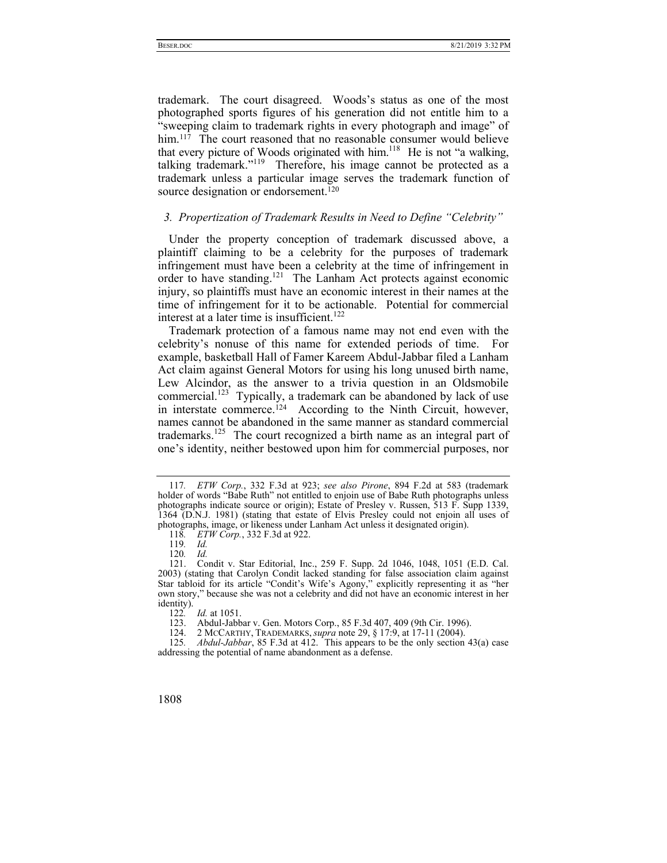trademark. The court disagreed. Woods's status as one of the most photographed sports figures of his generation did not entitle him to a "sweeping claim to trademark rights in every photograph and image" of him.<sup>117</sup> The court reasoned that no reasonable consumer would believe that every picture of Woods originated with him. $118$  He is not "a walking, talking trademark."<sup>119</sup> Therefore, his image cannot be protected as a trademark unless a particular image serves the trademark function of source designation or endorsement.<sup>120</sup>

# *3. Propertization of Trademark Results in Need to Define "Celebrity"*

Under the property conception of trademark discussed above, a plaintiff claiming to be a celebrity for the purposes of trademark infringement must have been a celebrity at the time of infringement in order to have standing.<sup>121</sup> The Lanham Act protects against economic injury, so plaintiffs must have an economic interest in their names at the time of infringement for it to be actionable. Potential for commercial interest at a later time is insufficient.<sup>122</sup>

Trademark protection of a famous name may not end even with the celebrity's nonuse of this name for extended periods of time. For example, basketball Hall of Famer Kareem Abdul-Jabbar filed a Lanham Act claim against General Motors for using his long unused birth name, Lew Alcindor, as the answer to a trivia question in an Oldsmobile commercial.<sup>123</sup> Typically, a trademark can be abandoned by lack of use in interstate commerce.<sup>124</sup> According to the Ninth Circuit, however, names cannot be abandoned in the same manner as standard commercial trademarks.<sup>125</sup> The court recognized a birth name as an integral part of one's identity, neither bestowed upon him for commercial purposes, nor

<sup>117</sup>*. ETW Corp.*, 332 F.3d at 923; *see also Pirone*, 894 F.2d at 583 (trademark holder of words "Babe Ruth" not entitled to enjoin use of Babe Ruth photographs unless photographs indicate source or origin); Estate of Presley v. Russen, 513 F. Supp 1339, 1364 (D.N.J. 1981) (stating that estate of Elvis Presley could not enjoin all uses of photographs, image, or likeness under Lanham Act unless it designated origin).

<sup>118</sup>*.* ETW Corp., 332 F.3d at 922.<br>119. Id.

<sup>119</sup>*. Id.*

<sup>120</sup>*. Id.*

 <sup>121.</sup> Condit v. Star Editorial, Inc., 259 F. Supp. 2d 1046, 1048, 1051 (E.D. Cal. 2003) (stating that Carolyn Condit lacked standing for false association claim against Star tabloid for its article "Condit's Wife's Agony," explicitly representing it as "her own story," because she was not a celebrity and did not have an economic interest in her identity).

<sup>122</sup>*. Id.* at 1051.

<sup>123.</sup> Abdul-Jabbar v. Gen. Motors Corp., 85 F.3d 407, 409 (9th Cir. 1996).<br>124. 2 McCARTHY, TRADEMARKS, *supra* note 29, § 17:9, at 17-11 (2004).

 <sup>124. 2</sup> MCCARTHY, TRADEMARKS, *supra* note 29, § 17:9, at 17-11 (2004).

<sup>125</sup>*. Abdul-Jabbar*, 85 F.3d at 412. This appears to be the only section 43(a) case addressing the potential of name abandonment as a defense.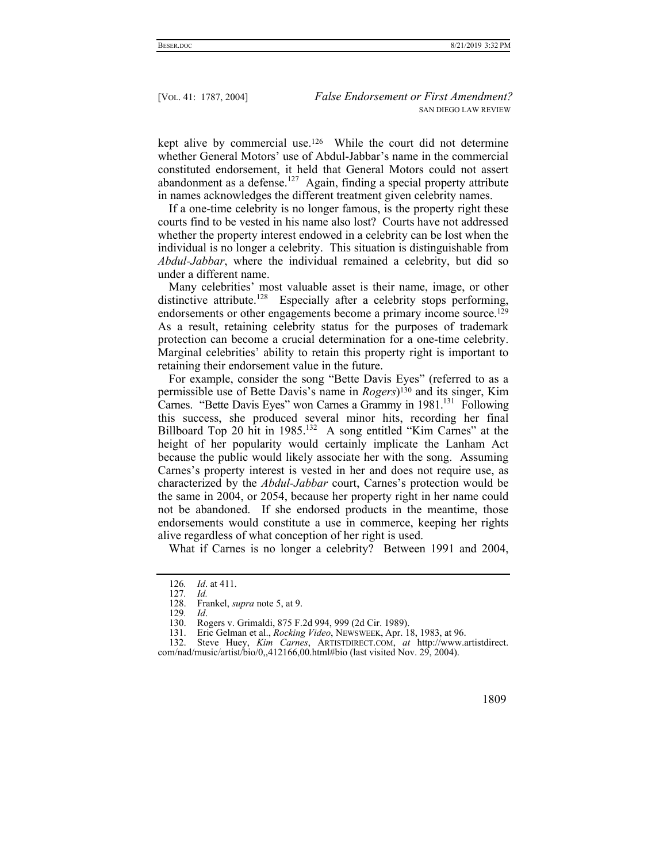kept alive by commercial use.126 While the court did not determine whether General Motors' use of Abdul-Jabbar's name in the commercial constituted endorsement, it held that General Motors could not assert abandonment as a defense.<sup>127</sup> Again, finding a special property attribute in names acknowledges the different treatment given celebrity names.

If a one-time celebrity is no longer famous, is the property right these courts find to be vested in his name also lost? Courts have not addressed whether the property interest endowed in a celebrity can be lost when the individual is no longer a celebrity. This situation is distinguishable from *Abdul-Jabbar*, where the individual remained a celebrity, but did so under a different name.

Many celebrities' most valuable asset is their name, image, or other distinctive attribute.<sup>128</sup> Especially after a celebrity stops performing, endorsements or other engagements become a primary income source.<sup>129</sup> As a result, retaining celebrity status for the purposes of trademark protection can become a crucial determination for a one-time celebrity. Marginal celebrities' ability to retain this property right is important to retaining their endorsement value in the future.

For example, consider the song "Bette Davis Eyes" (referred to as a permissible use of Bette Davis's name in *Rogers*)130 and its singer, Kim Carnes. "Bette Davis Eyes" won Carnes a Grammy in 1981.<sup>131</sup> Following this success, she produced several minor hits, recording her final Billboard Top 20 hit in 1985.<sup>132</sup> A song entitled "Kim Carnes" at the height of her popularity would certainly implicate the Lanham Act because the public would likely associate her with the song. Assuming Carnes's property interest is vested in her and does not require use, as characterized by the *Abdul-Jabbar* court, Carnes's protection would be the same in 2004, or 2054, because her property right in her name could not be abandoned. If she endorsed products in the meantime, those endorsements would constitute a use in commerce, keeping her rights alive regardless of what conception of her right is used.

What if Carnes is no longer a celebrity? Between 1991 and 2004,

 <sup>132.</sup> Steve Huey, *Kim Carnes*, ARTISTDIRECT.COM, *at* http://www.artistdirect. com/nad/music/artist/bio/0,,412166,00.html#bio (last visited Nov. 29, 2004).



<sup>126</sup>*. Id*. at 411.

<sup>127</sup>*. Id.*

 <sup>128.</sup> Frankel, *supra* note 5, at 9.

<sup>129</sup>*. Id*.

 <sup>130.</sup> Rogers v. Grimaldi, 875 F.2d 994, 999 (2d Cir. 1989).

 <sup>131.</sup> Eric Gelman et al., *Rocking Video*, NEWSWEEK, Apr. 18, 1983, at 96.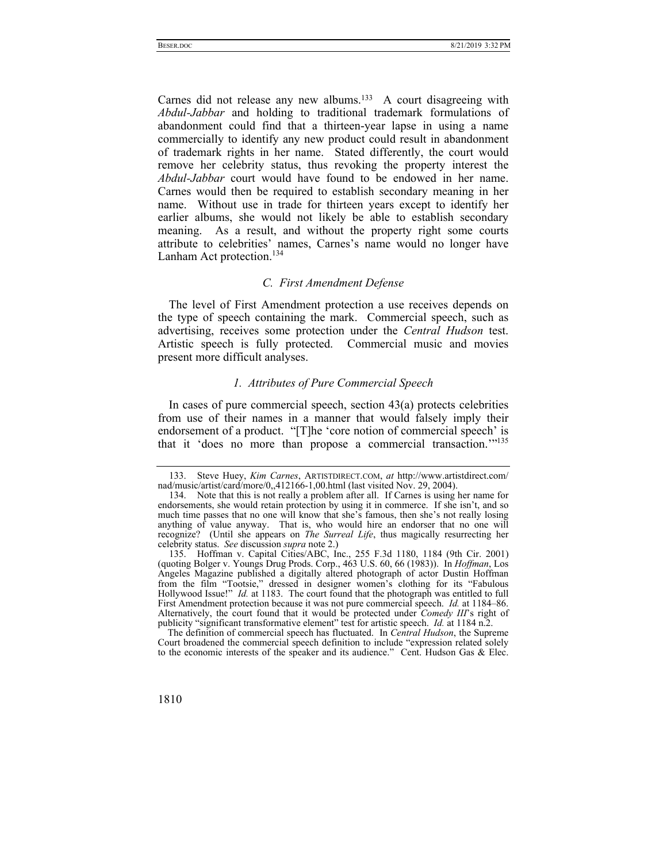Carnes did not release any new albums.<sup>133</sup> A court disagreeing with *Abdul-Jabbar* and holding to traditional trademark formulations of abandonment could find that a thirteen-year lapse in using a name commercially to identify any new product could result in abandonment of trademark rights in her name. Stated differently, the court would remove her celebrity status, thus revoking the property interest the *Abdul-Jabbar* court would have found to be endowed in her name. Carnes would then be required to establish secondary meaning in her name. Without use in trade for thirteen years except to identify her earlier albums, she would not likely be able to establish secondary meaning. As a result, and without the property right some courts attribute to celebrities' names, Carnes's name would no longer have Lanham Act protection.<sup>134</sup>

## *C. First Amendment Defense*

The level of First Amendment protection a use receives depends on the type of speech containing the mark. Commercial speech, such as advertising, receives some protection under the *Central Hudson* test. Artistic speech is fully protected. Commercial music and movies present more difficult analyses.

## *1. Attributes of Pure Commercial Speech*

In cases of pure commercial speech, section  $43(a)$  protects celebrities from use of their names in a manner that would falsely imply their endorsement of a product. "[T]he 'core notion of commercial speech' is that it 'does no more than propose a commercial transaction.'"135

The definition of commercial speech has fluctuated. In *Central Hudson*, the Supreme Court broadened the commercial speech definition to include "expression related solely to the economic interests of the speaker and its audience." Cent. Hudson Gas & Elec.



 <sup>133.</sup> Steve Huey, *Kim Carnes*, ARTISTDIRECT.COM, *at* http://www.artistdirect.com/ nad/music/artist/card/more/0,,412166-1,00.html (last visited Nov. 29, 2004).

 <sup>134.</sup> Note that this is not really a problem after all. If Carnes is using her name for endorsements, she would retain protection by using it in commerce. If she isn't, and so much time passes that no one will know that she's famous, then she's not really losing anything of value anyway. That is, who would hire an endorser that no one will recognize? (Until she appears on *The Surreal Life*, thus magically resurrecting her celebrity status. *See* discussion *supra* note 2.)

 <sup>135.</sup> Hoffman v. Capital Cities/ABC, Inc., 255 F.3d 1180, 1184 (9th Cir. 2001) (quoting Bolger v. Youngs Drug Prods. Corp., 463 U.S. 60, 66 (1983)). In *Hoffman*, Los Angeles Magazine published a digitally altered photograph of actor Dustin Hoffman from the film "Tootsie," dressed in designer women's clothing for its "Fabulous Hollywood Issue!" *Id.* at 1183. The court found that the photograph was entitled to full First Amendment protection because it was not pure commercial speech. *Id.* at 1184–86. Alternatively, the court found that it would be protected under *Comedy III*'s right of publicity "significant transformative element" test for artistic speech. *Id.* at 1184 n.2.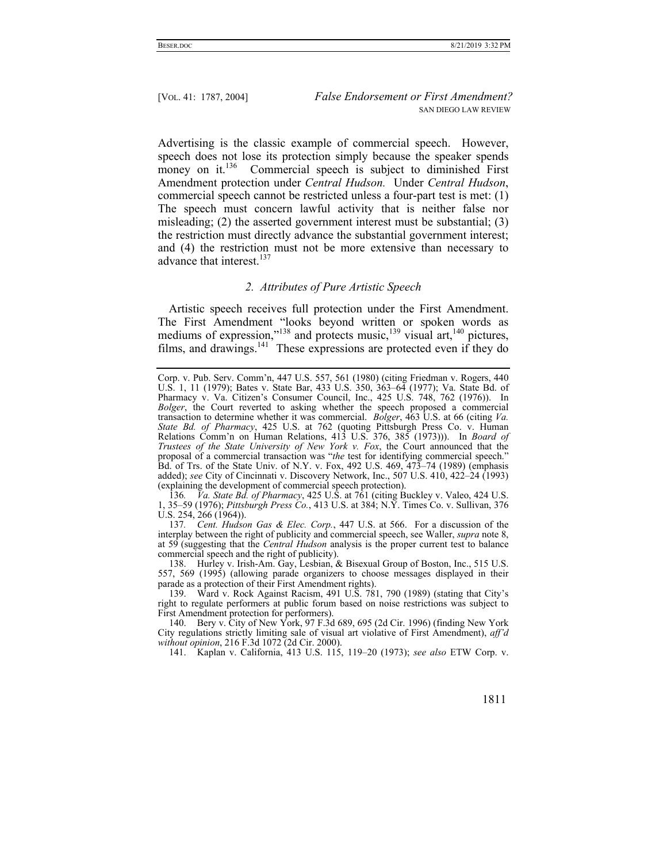Advertising is the classic example of commercial speech. However, speech does not lose its protection simply because the speaker spends money on it.<sup>136</sup> Commercial speech is subject to diminished First Amendment protection under *Central Hudson.* Under *Central Hudson*, commercial speech cannot be restricted unless a four-part test is met: (1) The speech must concern lawful activity that is neither false nor misleading; (2) the asserted government interest must be substantial; (3) the restriction must directly advance the substantial government interest; and (4) the restriction must not be more extensive than necessary to advance that interest.<sup>137</sup>

### *2. Attributes of Pure Artistic Speech*

Artistic speech receives full protection under the First Amendment. The First Amendment "looks beyond written or spoken words as mediums of expression,"<sup>138</sup> and protects music,<sup>139</sup> visual art,<sup>140</sup> pictures, films, and drawings. $141$  These expressions are protected even if they do

136*. Va. State Bd. of Pharmacy*, 425 U.S. at 761 (citing Buckley v. Valeo, 424 U.S. 1, 35–59 (1976); *Pittsburgh Press Co.*, 413 U.S. at 384; N.Y. Times Co. v. Sullivan, 376 U.S. 254, 266 (1964)).

137*. Cent. Hudson Gas & Elec. Corp.*, 447 U.S. at 566. For a discussion of the interplay between the right of publicity and commercial speech, see Waller, *supra* note 8, at 59 (suggesting that the *Central Hudson* analysis is the proper current test to balance commercial speech and the right of publicity).

 138. Hurley v. Irish-Am. Gay, Lesbian, & Bisexual Group of Boston, Inc., 515 U.S. 557, 569 (1995) (allowing parade organizers to choose messages displayed in their parade as a protection of their First Amendment rights).

 139. Ward v. Rock Against Racism, 491 U.S. 781, 790 (1989) (stating that City's right to regulate performers at public forum based on noise restrictions was subject to First Amendment protection for performers).

 140. Bery v. City of New York, 97 F.3d 689, 695 (2d Cir. 1996) (finding New York City regulations strictly limiting sale of visual art violative of First Amendment), *aff'd without opinion*, 216 F.3d 1072 (2d Cir. 2000).

141. Kaplan v. California, 413 U.S. 115, 119–20 (1973); *see also* ETW Corp. v.

Corp. v. Pub. Serv. Comm'n, 447 U.S. 557, 561 (1980) (citing Friedman v. Rogers, 440 U.S. 1, 11 (1979); Bates v. State Bar, 433 U.S. 350, 363–64 (1977); Va. State Bd. of Pharmacy v. Va. Citizen's Consumer Council, Inc., 425 U.S. 748, 762 (1976)). In *Bolger*, the Court reverted to asking whether the speech proposed a commercial transaction to determine whether it was commercial. *Bolger*, 463 U.S. at 66 (citing *Va. State Bd. of Pharmacy*, 425 U.S. at 762 (quoting Pittsburgh Press Co. v. Human Relations Comm'n on Human Relations, 413 U.S. 376, 385 (1973))). In *Board of Trustees of the State University of New York v. Fox*, the Court announced that the proposal of a commercial transaction was "*the* test for identifying commercial speech." Bd. of Trs. of the State Univ. of N.Y. v. Fox, 492 U.S. 469, 473–74 (1989) (emphasis added); *see* City of Cincinnati v. Discovery Network, Inc., 507 U.S. 410, 422–24 (1993) (explaining the development of commercial speech protection).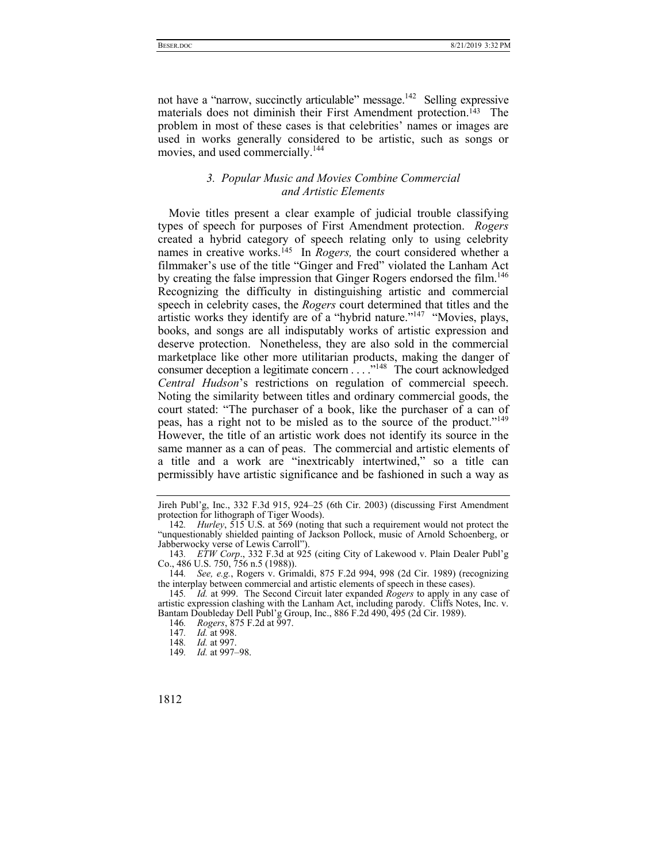not have a "narrow, succinctly articulable" message.<sup>142</sup> Selling expressive materials does not diminish their First Amendment protection.<sup>143</sup> The problem in most of these cases is that celebrities' names or images are used in works generally considered to be artistic, such as songs or movies, and used commercially.144

## *3. Popular Music and Movies Combine Commercial and Artistic Elements*

Movie titles present a clear example of judicial trouble classifying types of speech for purposes of First Amendment protection. *Rogers* created a hybrid category of speech relating only to using celebrity names in creative works.145 In *Rogers,* the court considered whether a filmmaker's use of the title "Ginger and Fred" violated the Lanham Act by creating the false impression that Ginger Rogers endorsed the film.<sup>146</sup> Recognizing the difficulty in distinguishing artistic and commercial speech in celebrity cases, the *Rogers* court determined that titles and the artistic works they identify are of a "hybrid nature."147 "Movies, plays, books, and songs are all indisputably works of artistic expression and deserve protection. Nonetheless, they are also sold in the commercial marketplace like other more utilitarian products, making the danger of consumer deception a legitimate concern . . . .<sup>148</sup> The court acknowledged *Central Hudson*'s restrictions on regulation of commercial speech. Noting the similarity between titles and ordinary commercial goods, the court stated: "The purchaser of a book, like the purchaser of a can of peas, has a right not to be misled as to the source of the product."149 However, the title of an artistic work does not identify its source in the same manner as a can of peas. The commercial and artistic elements of a title and a work are "inextricably intertwined," so a title can permissibly have artistic significance and be fashioned in such a way as

Jireh Publ'g, Inc., 332 F.3d 915, 924–25 (6th Cir. 2003) (discussing First Amendment protection for lithograph of Tiger Woods).

<sup>142</sup>*. Hurley*, 515 U.S. at 569 (noting that such a requirement would not protect the "unquestionably shielded painting of Jackson Pollock, music of Arnold Schoenberg, or Jabberwocky verse of Lewis Carroll").

<sup>143</sup>*. ETW Corp*., 332 F.3d at 925 (citing City of Lakewood v. Plain Dealer Publ'g Co., 486 U.S. 750, 756 n.5 (1988)).

<sup>144</sup>*. See, e.g.*, Rogers v. Grimaldi, 875 F.2d 994, 998 (2d Cir. 1989) (recognizing the interplay between commercial and artistic elements of speech in these cases).

<sup>145</sup>*. Id.* at 999. The Second Circuit later expanded *Rogers* to apply in any case of artistic expression clashing with the Lanham Act, including parody. Cliffs Notes, Inc. v. Bantam Doubleday Dell Publ'g Group, Inc., 886 F.2d 490, 495 (2d Cir. 1989).

<sup>146.</sup> *Rogers*, 875 F.2d at 997.

<sup>147</sup>*. Id.* at 998.

<sup>148</sup>*. Id.* at 997.

<sup>149</sup>*. Id.* at 997–98.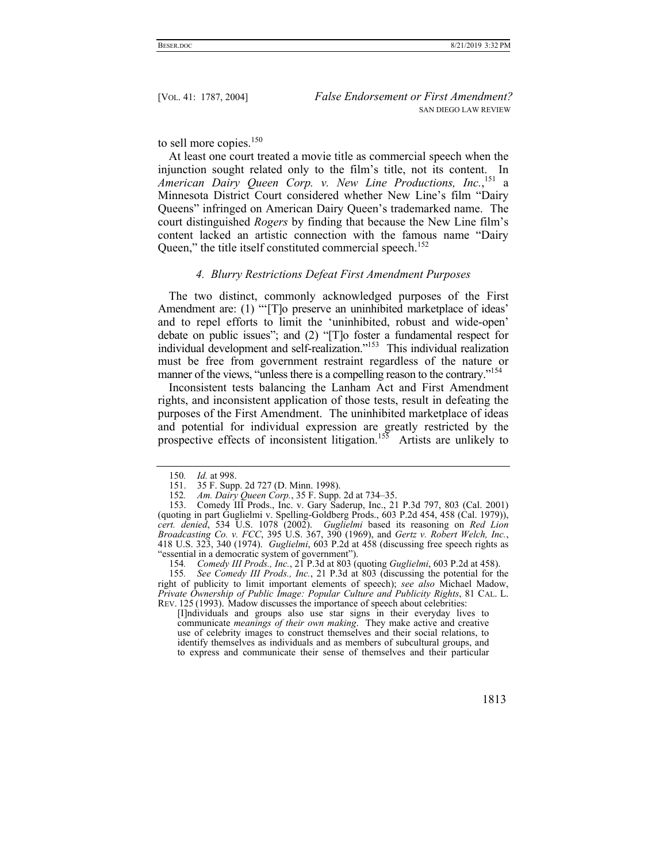to sell more copies.<sup>150</sup>

At least one court treated a movie title as commercial speech when the injunction sought related only to the film's title, not its content. In *American Dairy Queen Corp. v. New Line Productions, Inc.*, <sup>151</sup> a Minnesota District Court considered whether New Line's film "Dairy Queens" infringed on American Dairy Queen's trademarked name. The court distinguished *Rogers* by finding that because the New Line film's content lacked an artistic connection with the famous name "Dairy Queen," the title itself constituted commercial speech.<sup>152</sup>

#### *4. Blurry Restrictions Defeat First Amendment Purposes*

The two distinct, commonly acknowledged purposes of the First Amendment are: (1) "To preserve an uninhibited marketplace of ideas' and to repel efforts to limit the 'uninhibited, robust and wide-open' debate on public issues"; and (2) "[T]o foster a fundamental respect for individual development and self-realization."153 This individual realization must be free from government restraint regardless of the nature or manner of the views, "unless there is a compelling reason to the contrary."<sup>154</sup>

Inconsistent tests balancing the Lanham Act and First Amendment rights, and inconsistent application of those tests, result in defeating the purposes of the First Amendment. The uninhibited marketplace of ideas and potential for individual expression are greatly restricted by the prospective effects of inconsistent litigation.<sup>155</sup> Artists are unlikely to

[I]ndividuals and groups also use star signs in their everyday lives to communicate *meanings of their own making*. They make active and creative use of celebrity images to construct themselves and their social relations, to identify themselves as individuals and as members of subcultural groups, and to express and communicate their sense of themselves and their particular

<sup>150</sup>*. Id.* at 998.

 <sup>151. 35</sup> F. Supp. 2d 727 (D. Minn. 1998).

<sup>152</sup>*. Am. Dairy Queen Corp.*, 35 F. Supp. 2d at 734–35.

 <sup>153.</sup> Comedy III Prods., Inc. v. Gary Saderup, Inc., 21 P.3d 797, 803 (Cal. 2001) (quoting in part Guglielmi v. Spelling-Goldberg Prods., 603 P.2d 454, 458 (Cal. 1979)), *cert. denied*, 534 U.S. 1078 (2002). *Guglielmi* based its reasoning on *Red Lion Broadcasting Co. v. FCC*, 395 U.S. 367, 390 (1969), and *Gertz v. Robert Welch, Inc.*, 418 U.S. 323, 340 (1974). *Guglielmi*, 603 P.2d at 458 (discussing free speech rights as "essential in a democratic system of government").

<sup>154</sup>*. Comedy III Prods., Inc.*, 21 P.3d at 803 (quoting *Guglielmi*, 603 P.2d at 458).

<sup>155</sup>*. See Comedy III Prods., Inc.*, 21 P.3d at 803 (discussing the potential for the right of publicity to limit important elements of speech); *see also* Michael Madow, *Private Ownership of Public Image: Popular Culture and Publicity Rights*, 81 CAL. L. REV. 125 (1993). Madow discusses the importance of speech about celebrities: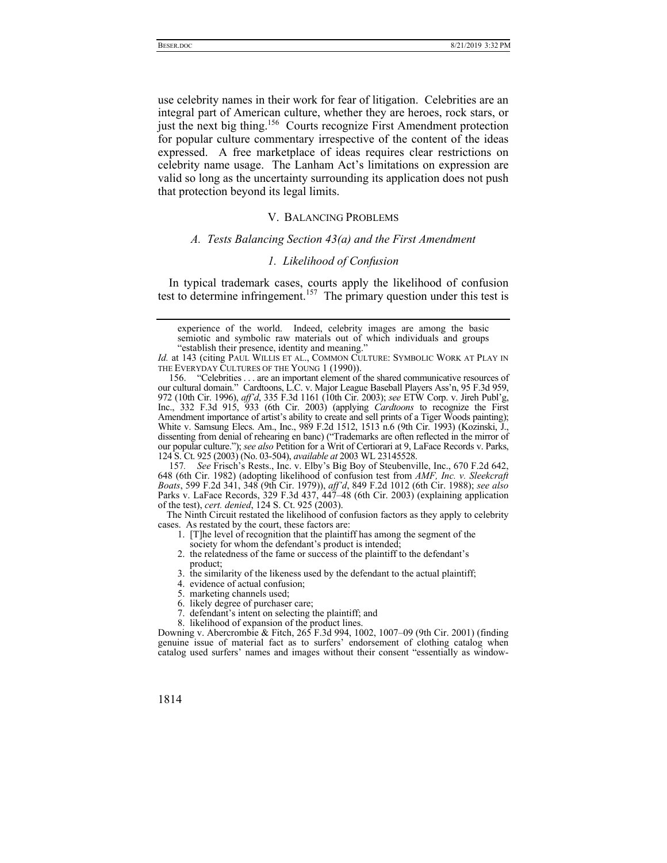use celebrity names in their work for fear of litigation. Celebrities are an integral part of American culture, whether they are heroes, rock stars, or just the next big thing.<sup>156</sup> Courts recognize First Amendment protection for popular culture commentary irrespective of the content of the ideas expressed. A free marketplace of ideas requires clear restrictions on celebrity name usage. The Lanham Act's limitations on expression are valid so long as the uncertainty surrounding its application does not push that protection beyond its legal limits.

## V. BALANCING PROBLEMS

# *A. Tests Balancing Section 43(a) and the First Amendment*

#### *1. Likelihood of Confusion*

In typical trademark cases, courts apply the likelihood of confusion test to determine infringement.<sup>157</sup> The primary question under this test is

 156. "Celebrities . . . are an important element of the shared communicative resources of our cultural domain." Cardtoons, L.C. v. Major League Baseball Players Ass'n, 95 F.3d 959, 972 (10th Cir. 1996), *aff'd*, 335 F.3d 1161 (10th Cir. 2003); *see* ETW Corp. v. Jireh Publ'g, Inc., 332 F.3d 915, 933 (6th Cir. 2003) (applying *Cardtoons* to recognize the First Amendment importance of artist's ability to create and sell prints of a Tiger Woods painting); White v. Samsung Elecs. Am., Inc., 989 F.2d 1512, 1513 n.6 (9th Cir. 1993) (Kozinski, J., dissenting from denial of rehearing en banc) ("Trademarks are often reflected in the mirror of our popular culture."); *see also* Petition for a Writ of Certiorari at 9, LaFace Records v. Parks, 124 S. Ct. 925 (2003) (No. 03-504), *available at* 2003 WL 23145528.

157*. See* Frisch's Rests., Inc. v. Elby's Big Boy of Steubenville, Inc., 670 F.2d 642, 648 (6th Cir. 1982) (adopting likelihood of confusion test from *AMF, Inc. v. Sleekcraft Boats*, 599 F.2d 341, 348 (9th Cir. 1979)), *aff'd*, 849 F.2d 1012 (6th Cir. 1988); *see also*  Parks v. LaFace Records, 329 F.3d 437, 447–48 (6th Cir. 2003) (explaining application of the test), *cert. denied*, 124 S. Ct. 925 (2003).

The Ninth Circuit restated the likelihood of confusion factors as they apply to celebrity cases. As restated by the court, these factors are:

- 1. [T]he level of recognition that the plaintiff has among the segment of the society for whom the defendant's product is intended;
- 2. the relatedness of the fame or success of the plaintiff to the defendant's product;
- 3. the similarity of the likeness used by the defendant to the actual plaintiff;
- 4. evidence of actual confusion;
- 5. marketing channels used;
- 6. likely degree of purchaser care;
- 7. defendant's intent on selecting the plaintiff; and
- 8. likelihood of expansion of the product lines.

Downing v. Abercrombie & Fitch, 265 F.3d 994, 1002, 1007–09 (9th Cir. 2001) (finding genuine issue of material fact as to surfers' endorsement of clothing catalog when catalog used surfers' names and images without their consent "essentially as window-

experience of the world. Indeed, celebrity images are among the basic semiotic and symbolic raw materials out of which individuals and groups "establish their presence, identity and meaning."

Id. at 143 (citing PAUL WILLIS ET AL., COMMON CULTURE: SYMBOLIC WORK AT PLAY IN THE EVERYDAY CULTURES OF THE YOUNG 1 (1990)).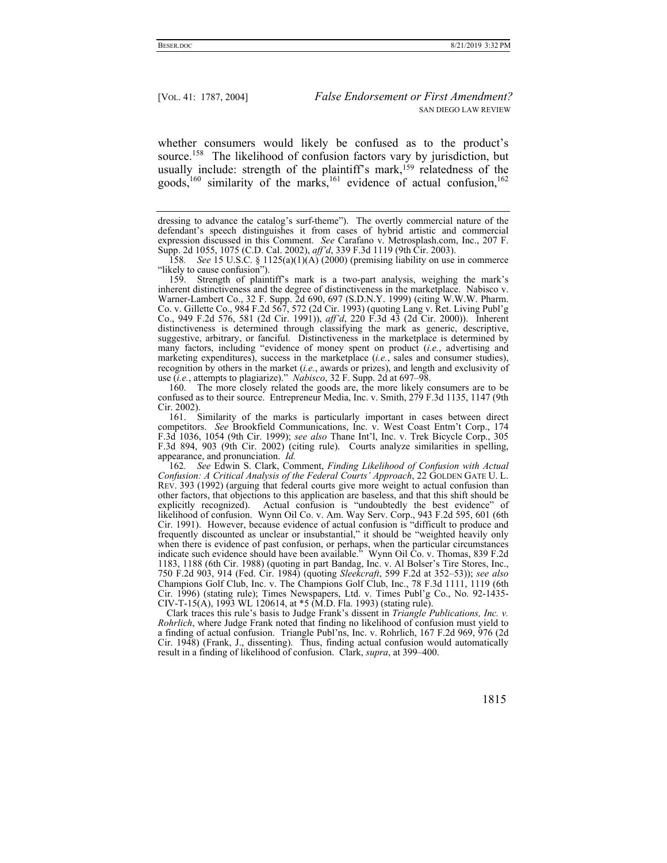whether consumers would likely be confused as to the product's source.<sup>158</sup> The likelihood of confusion factors vary by jurisdiction, but usually include: strength of the plaintiff's mark,<sup>159</sup> relatedness of the goods,<sup>160</sup> similarity of the marks,<sup>161</sup> evidence of actual confusion,<sup>162</sup>

 160. The more closely related the goods are, the more likely consumers are to be confused as to their source. Entrepreneur Media, Inc. v. Smith, 279 F.3d 1135, 1147 (9th Cir. 2002).

 161. Similarity of the marks is particularly important in cases between direct competitors. *See* Brookfield Communications, Inc. v. West Coast Entm't Corp., 174 F.3d 1036, 1054 (9th Cir. 1999); *see also* Thane Int'l, Inc. v. Trek Bicycle Corp., 305 F.3d 894, 903 (9th Cir. 2002) (citing rule). Courts analyze similarities in spelling, appearance, and pronunciation. *Id.*

162*. See* Edwin S. Clark, Comment, *Finding Likelihood of Confusion with Actual Confusion: A Critical Analysis of the Federal Courts' Approach*, 22 GOLDEN GATE U. L. REV. 393 (1992) (arguing that federal courts give more weight to actual confusion than other factors, that objections to this application are baseless, and that this shift should be explicitly recognized). Actual confusion is "undoubtedly the best evidence" of likelihood of confusion. Wynn Oil Co. v. Am. Way Serv. Corp., 943 F.2d 595, 601 (6th Cir. 1991). However, because evidence of actual confusion is "difficult to produce and frequently discounted as unclear or insubstantial," it should be "weighted heavily only when there is evidence of past confusion, or perhaps, when the particular circumstances indicate such evidence should have been available." Wynn Oil Co. v. Thomas, 839 F.2d 1183, 1188 (6th Cir. 1988) (quoting in part Bandag, Inc. v. Al Bolser's Tire Stores, Inc., 750 F.2d 903, 914 (Fed. Cir. 1984) (quoting *Sleekcraft*, 599 F.2d at 352–53)); *see also* Champions Golf Club, Inc. v. The Champions Golf Club, Inc., 78 F.3d 1111, 1119 (6th Cir. 1996) (stating rule); Times Newspapers, Ltd. v. Times Publ'g Co., No. 92-1435- CIV-T-15(A), 1993 WL 120614, at \*5 (M.D. Fla. 1993) (stating rule).

Clark traces this rule's basis to Judge Frank's dissent in *Triangle Publications, Inc. v. Rohrlich*, where Judge Frank noted that finding no likelihood of confusion must yield to a finding of actual confusion. Triangle Publ'ns, Inc. v. Rohrlich, 167 F.2d 969, 976 (2d Cir. 1948) (Frank, J., dissenting). Thus, finding actual confusion would automatically result in a finding of likelihood of confusion. Clark, *supra*, at 399–400.

dressing to advance the catalog's surf-theme"). The overtly commercial nature of the defendant's speech distinguishes it from cases of hybrid artistic and commercial expression discussed in this Comment. *See* Carafano v. Metrosplash.com, Inc., 207 F. Supp. 2d 1055, 1075 (C.D. Cal. 2002), *aff'd*, 339 F.3d 1119 (9th Cir. 2003).

<sup>158</sup>*. See* 15 U.S.C. § 1125(a)(1)(A) (2000) (premising liability on use in commerce "likely to cause confusion").

 <sup>159.</sup> Strength of plaintiff's mark is a two-part analysis, weighing the mark's inherent distinctiveness and the degree of distinctiveness in the marketplace. Nabisco v. Warner-Lambert Co., 32 F. Supp. 2d 690, 697 (S.D.N.Y. 1999) (citing W.W.W. Pharm. Co. v. Gillette Co., 984 F.2d 567, 572 (2d Cir. 1993) (quoting Lang v. Ret. Living Publ'g Co., 949 F.2d 576, 581 (2d Cir. 1991)), *aff'd*, 220 F.3d 43 (2d Cir. 2000)). Inherent distinctiveness is determined through classifying the mark as generic, descriptive, suggestive, arbitrary, or fanciful. Distinctiveness in the marketplace is determined by many factors, including "evidence of money spent on product (*i.e.*, advertising and marketing expenditures), success in the marketplace (*i.e.*, sales and consumer studies), recognition by others in the market (*i.e.*, awards or prizes), and length and exclusivity of use (*i.e.*, attempts to plagiarize)." *Nabisco*, 32 F. Supp. 2d at 697–98.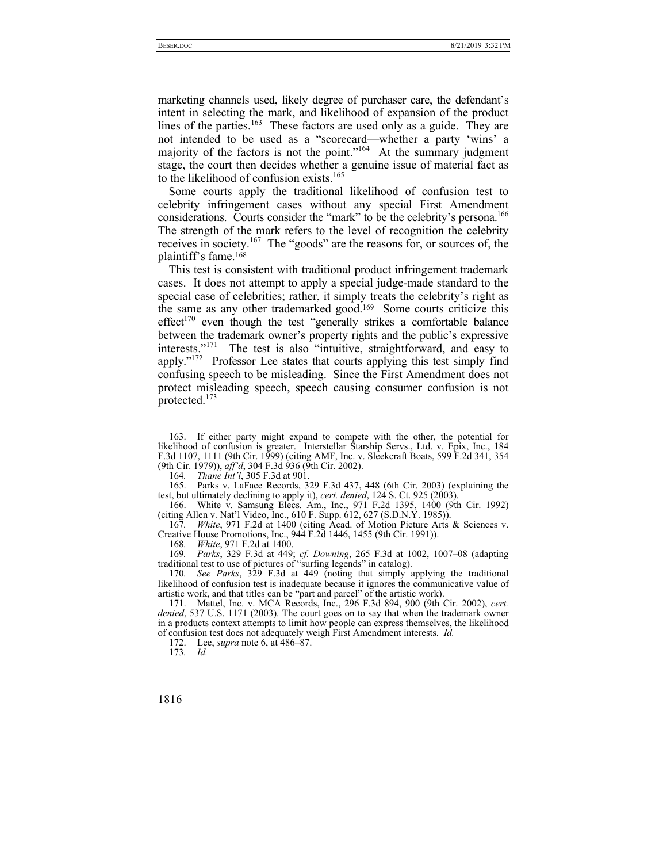marketing channels used, likely degree of purchaser care, the defendant's intent in selecting the mark, and likelihood of expansion of the product lines of the parties.<sup>163</sup> These factors are used only as a guide. They are not intended to be used as a "scorecard—whether a party 'wins' a majority of the factors is not the point."<sup>164</sup> At the summary judgment stage, the court then decides whether a genuine issue of material fact as to the likelihood of confusion exists.<sup>165</sup>

Some courts apply the traditional likelihood of confusion test to celebrity infringement cases without any special First Amendment considerations. Courts consider the "mark" to be the celebrity's persona.<sup>166</sup> The strength of the mark refers to the level of recognition the celebrity receives in society.167 The "goods" are the reasons for, or sources of, the plaintiff's fame.168

This test is consistent with traditional product infringement trademark cases. It does not attempt to apply a special judge-made standard to the special case of celebrities; rather, it simply treats the celebrity's right as the same as any other trademarked good.169 Some courts criticize this effect<sup>170</sup> even though the test "generally strikes a comfortable balance between the trademark owner's property rights and the public's expressive interests."171 The test is also "intuitive, straightforward, and easy to apply."172 Professor Lee states that courts applying this test simply find confusing speech to be misleading. Since the First Amendment does not protect misleading speech, speech causing consumer confusion is not protected.<sup>173</sup>

 165. Parks v. LaFace Records, 329 F.3d 437, 448 (6th Cir. 2003) (explaining the test, but ultimately declining to apply it), *cert. denied*, 124 S. Ct. 925 (2003).

 166. White v. Samsung Elecs. Am., Inc., 971 F.2d 1395, 1400 (9th Cir. 1992) (citing Allen v. Nat'l Video, Inc., 610 F. Supp. 612, 627 (S.D.N.Y. 1985)).

167*. White*, 971 F.2d at 1400 (citing Acad. of Motion Picture Arts & Sciences v. Creative House Promotions, Inc., 944 F.2d 1446, 1455 (9th Cir. 1991)).

168*. White*, 971 F.2d at 1400.

169*. Parks*, 329 F.3d at 449; *cf. Downing*, 265 F.3d at 1002, 1007–08 (adapting traditional test to use of pictures of "surfing legends" in catalog).

170*. See Parks*, 329 F.3d at 449 (noting that simply applying the traditional likelihood of confusion test is inadequate because it ignores the communicative value of artistic work, and that titles can be "part and parcel" of the artistic work).

 171. Mattel, Inc. v. MCA Records, Inc., 296 F.3d 894, 900 (9th Cir. 2002), *cert. denied*, 537 U.S. 1171 (2003). The court goes on to say that when the trademark owner in a products context attempts to limit how people can express themselves, the likelihood of confusion test does not adequately weigh First Amendment interests. *Id.* 

172. Lee, *supra* note 6, at 486–87.

173*. Id.*

 <sup>163.</sup> If either party might expand to compete with the other, the potential for likelihood of confusion is greater. Interstellar Starship Servs., Ltd. v. Epix, Inc., 184 F.3d 1107, 1111 (9th Cir. 1999) (citing AMF, Inc. v. Sleekcraft Boats, 599 F.2d 341, 354 (9th Cir. 1979)), *aff'd*, 304 F.3d 936 (9th Cir. 2002).

<sup>164</sup>*. Thane Int'l*, 305 F.3d at 901.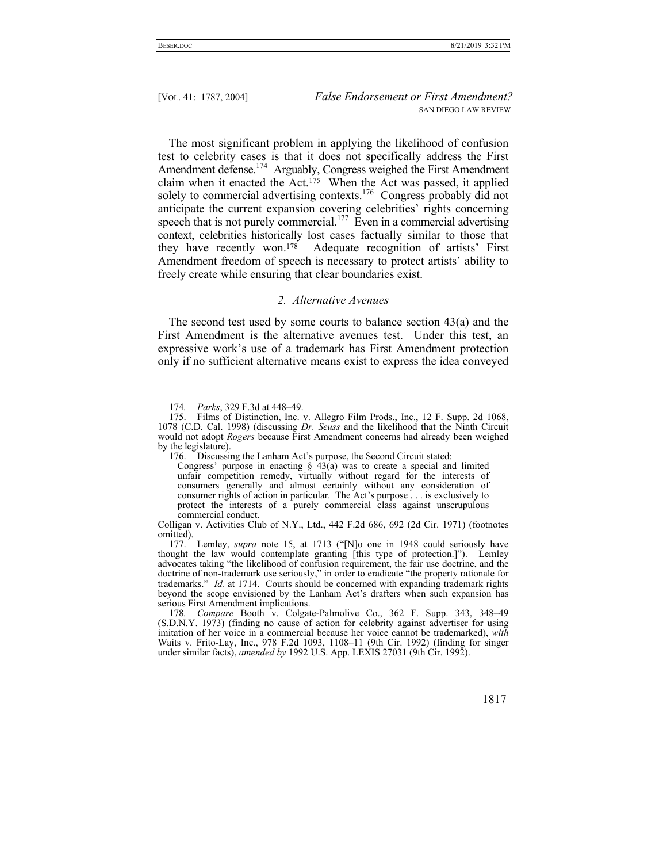The most significant problem in applying the likelihood of confusion test to celebrity cases is that it does not specifically address the First Amendment defense.174 Arguably, Congress weighed the First Amendment claim when it enacted the Act.<sup>175</sup> When the Act was passed, it applied solely to commercial advertising contexts.<sup>176</sup> Congress probably did not anticipate the current expansion covering celebrities' rights concerning speech that is not purely commercial.<sup>177</sup> Even in a commercial advertising context, celebrities historically lost cases factually similar to those that they have recently won.178 Adequate recognition of artists' First Amendment freedom of speech is necessary to protect artists' ability to freely create while ensuring that clear boundaries exist.

#### *2. Alternative Avenues*

The second test used by some courts to balance section  $43(a)$  and the First Amendment is the alternative avenues test. Under this test, an expressive work's use of a trademark has First Amendment protection only if no sufficient alternative means exist to express the idea conveyed

 177. Lemley, *supra* note 15, at 1713 ("[N]o one in 1948 could seriously have thought the law would contemplate granting [this type of protection.]"). Lemley advocates taking "the likelihood of confusion requirement, the fair use doctrine, and the doctrine of non-trademark use seriously," in order to eradicate "the property rationale for trademarks." *Id.* at 1714. Courts should be concerned with expanding trademark rights beyond the scope envisioned by the Lanham Act's drafters when such expansion has serious First Amendment implications.

178*. Compare* Booth v. Colgate-Palmolive Co., 362 F. Supp. 343, 348–49 (S.D.N.Y. 1973) (finding no cause of action for celebrity against advertiser for using imitation of her voice in a commercial because her voice cannot be trademarked), *with* Waits v. Frito-Lay, Inc., 978 F.2d 1093, 1108–11 (9th Cir. 1992) (finding for singer under similar facts), *amended by* 1992 U.S. App. LEXIS 27031 (9th Cir. 1992).

<sup>174</sup>*. Parks*, 329 F.3d at 448–49.

 <sup>175.</sup> Films of Distinction, Inc. v. Allegro Film Prods., Inc., 12 F. Supp. 2d 1068, 1078 (C.D. Cal. 1998) (discussing *Dr. Seuss* and the likelihood that the Ninth Circuit would not adopt *Rogers* because First Amendment concerns had already been weighed by the legislature).

 <sup>176.</sup> Discussing the Lanham Act's purpose, the Second Circuit stated:

Congress' purpose in enacting  $\frac{1}{2}$  43(a) was to create a special and limited unfair competition remedy, virtually without regard for the interests of consumers generally and almost certainly without any consideration of consumer rights of action in particular. The Act's purpose . . . is exclusively to protect the interests of a purely commercial class against unscrupulous commercial conduct.

Colligan v. Activities Club of N.Y., Ltd., 442 F.2d 686, 692 (2d Cir. 1971) (footnotes omitted).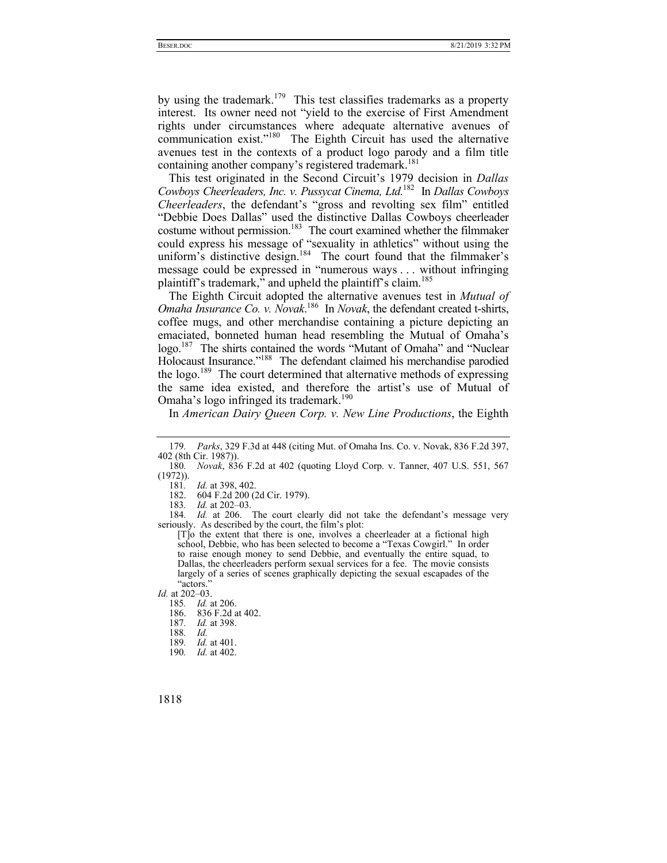by using the trademark.<sup>179</sup> This test classifies trademarks as a property interest. Its owner need not "yield to the exercise of First Amendment rights under circumstances where adequate alternative avenues of communication exist."180 The Eighth Circuit has used the alternative avenues test in the contexts of a product logo parody and a film title containing another company's registered trademark.<sup>181</sup>

This test originated in the Second Circuit's 1979 decision in *Dallas Cowboys Cheerleaders, Inc. v. Pussycat Cinema, Ltd.*182 In *Dallas Cowboys Cheerleaders*, the defendant's "gross and revolting sex film" entitled "Debbie Does Dallas" used the distinctive Dallas Cowboys cheerleader costume without permission.<sup>183</sup> The court examined whether the filmmaker could express his message of "sexuality in athletics" without using the uniform's distinctive design.<sup>184</sup> The court found that the filmmaker's message could be expressed in "numerous ways . . . without infringing plaintiff's trademark," and upheld the plaintiff's claim.<sup>185</sup>

The Eighth Circuit adopted the alternative avenues test in *Mutual of Omaha Insurance Co. v. Novak*. <sup>186</sup> In *Novak*, the defendant created t-shirts, coffee mugs, and other merchandise containing a picture depicting an emaciated, bonneted human head resembling the Mutual of Omaha's logo.<sup>187</sup> The shirts contained the words "Mutant of Omaha" and "Nuclear Holocaust Insurance."188 The defendant claimed his merchandise parodied the logo.<sup>189</sup> The court determined that alternative methods of expressing the same idea existed, and therefore the artist's use of Mutual of Omaha's logo infringed its trademark.<sup>190</sup>

In *American Dairy Queen Corp. v. New Line Productions*, the Eighth

182. 604 F.2d 200 (2d Cir. 1979).

183*. Id.* at 202–03.

184*. Id.* at 206. The court clearly did not take the defendant's message very seriously. As described by the court, the film's plot:

[T]o the extent that there is one, involves a cheerleader at a fictional high school, Debbie, who has been selected to become a "Texas Cowgirl." In order to raise enough money to send Debbie, and eventually the entire squad, to Dallas, the cheerleaders perform sexual services for a fee. The movie consists largely of a series of scenes graphically depicting the sexual escapades of the "actors."

*Id.* at 202–03.

185*. Id.* at 206.

187*. Id.* at 398.

188*. Id.*

- 189*. Id.* at 401.
- 190*. Id.* at 402.

<sup>179</sup>*. Parks*, 329 F.3d at 448 (citing Mut. of Omaha Ins. Co. v. Novak, 836 F.2d 397, 402 (8th Cir. 1987)).

<sup>180</sup>*. Novak*, 836 F.2d at 402 (quoting Lloyd Corp. v. Tanner, 407 U.S. 551, 567 (1972)).

<sup>181</sup>*. Id.* at 398, 402.

 <sup>186. 836</sup> F.2d at 402.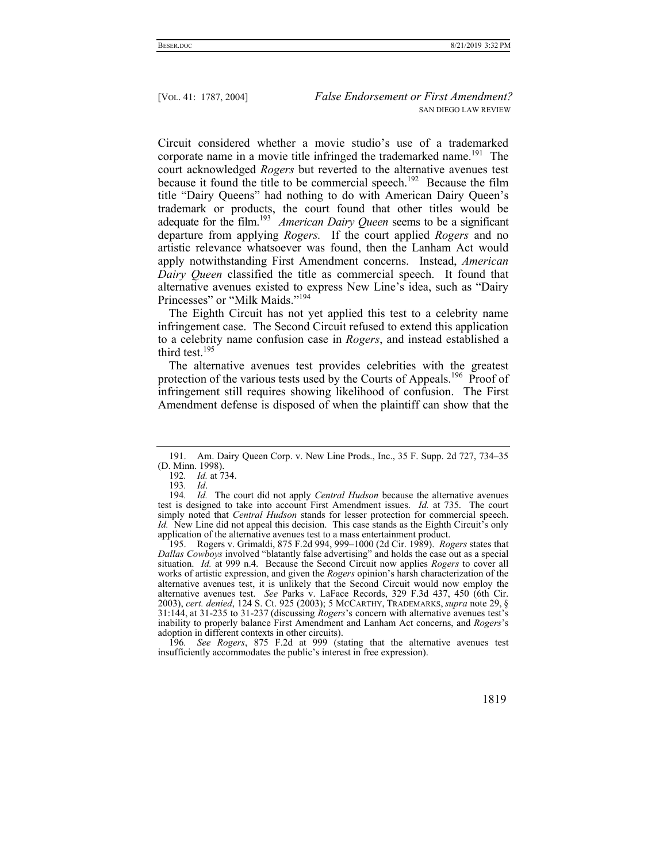Circuit considered whether a movie studio's use of a trademarked corporate name in a movie title infringed the trademarked name.<sup>191</sup> The court acknowledged *Rogers* but reverted to the alternative avenues test because it found the title to be commercial speech.<sup>192</sup> Because the film title "Dairy Queens" had nothing to do with American Dairy Queen's trademark or products, the court found that other titles would be adequate for the film.<sup>193</sup> *American Dairy Queen* seems to be a significant departure from applying *Rogers.* If the court applied *Rogers* and no artistic relevance whatsoever was found, then the Lanham Act would apply notwithstanding First Amendment concerns. Instead, *American Dairy Queen* classified the title as commercial speech. It found that alternative avenues existed to express New Line's idea, such as "Dairy Princesses" or "Milk Maids."<sup>194</sup>

The Eighth Circuit has not yet applied this test to a celebrity name infringement case. The Second Circuit refused to extend this application to a celebrity name confusion case in *Rogers*, and instead established a third test.<sup>195</sup>

The alternative avenues test provides celebrities with the greatest protection of the various tests used by the Courts of Appeals.<sup>196</sup> Proof of infringement still requires showing likelihood of confusion. The First Amendment defense is disposed of when the plaintiff can show that the

 195. Rogers v. Grimaldi, 875 F.2d 994, 999–1000 (2d Cir. 1989). *Rogers* states that *Dallas Cowboys* involved "blatantly false advertising" and holds the case out as a special situation. *Id.* at 999 n.4. Because the Second Circuit now applies *Rogers* to cover all works of artistic expression, and given the *Rogers* opinion's harsh characterization of the alternative avenues test, it is unlikely that the Second Circuit would now employ the alternative avenues test. *See* Parks v. LaFace Records, 329 F.3d 437, 450 (6th Cir. 2003), *cert. denied*, 124 S. Ct. 925 (2003); 5 MCCARTHY, TRADEMARKS, *supra* note 29, § 31:144, at 31-235 to 31-237 (discussing *Rogers*'s concern with alternative avenues test's inability to properly balance First Amendment and Lanham Act concerns, and *Rogers*'s adoption in different contexts in other circuits).

196*. See Rogers*, 875 F.2d at 999 (stating that the alternative avenues test insufficiently accommodates the public's interest in free expression).

 <sup>191.</sup> Am. Dairy Queen Corp. v. New Line Prods., Inc., 35 F. Supp. 2d 727, 734–35 (D. Minn. 1998).

<sup>192</sup>*. Id.* at 734.

<sup>193</sup>*. Id*.

<sup>194</sup>*. Id.* The court did not apply *Central Hudson* because the alternative avenues test is designed to take into account First Amendment issues. *Id.* at 735. The court simply noted that *Central Hudson* stands for lesser protection for commercial speech. *Id.* New Line did not appeal this decision. This case stands as the Eighth Circuit's only application of the alternative avenues test to a mass entertainment product.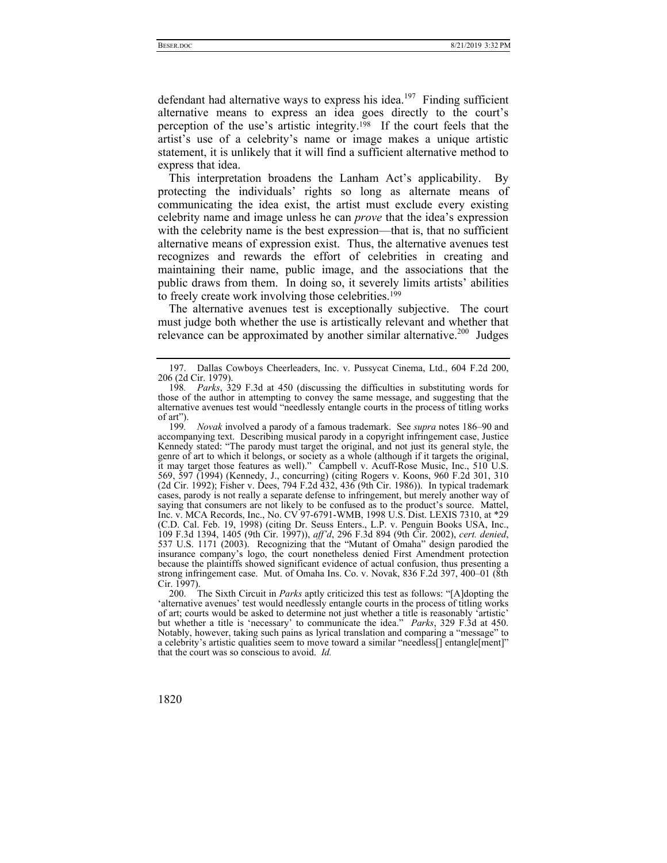defendant had alternative ways to express his idea.<sup>197</sup> Finding sufficient alternative means to express an idea goes directly to the court's perception of the use's artistic integrity.<sup>198</sup> If the court feels that the artist's use of a celebrity's name or image makes a unique artistic statement, it is unlikely that it will find a sufficient alternative method to express that idea.

This interpretation broadens the Lanham Act's applicability. By protecting the individuals' rights so long as alternate means of communicating the idea exist, the artist must exclude every existing celebrity name and image unless he can *prove* that the idea's expression with the celebrity name is the best expression—that is, that no sufficient alternative means of expression exist. Thus, the alternative avenues test recognizes and rewards the effort of celebrities in creating and maintaining their name, public image, and the associations that the public draws from them. In doing so, it severely limits artists' abilities to freely create work involving those celebrities.199

The alternative avenues test is exceptionally subjective. The court must judge both whether the use is artistically relevant and whether that relevance can be approximated by another similar alternative.<sup>200</sup> Judges

 <sup>197.</sup> Dallas Cowboys Cheerleaders, Inc. v. Pussycat Cinema, Ltd., 604 F.2d 200, 206 (2d Cir. 1979).

<sup>198</sup>*. Parks*, 329 F.3d at 450 (discussing the difficulties in substituting words for those of the author in attempting to convey the same message, and suggesting that the alternative avenues test would "needlessly entangle courts in the process of titling works of art").

<sup>199</sup>*. Novak* involved a parody of a famous trademark. See *supra* notes 186–90 and accompanying text. Describing musical parody in a copyright infringement case, Justice Kennedy stated: "The parody must target the original, and not just its general style, the genre of art to which it belongs, or society as a whole (although if it targets the original, it may target those features as well)." Campbell v. Acuff-Rose Music, Inc., 510 U.S. 569, 597 (1994) (Kennedy, J., concurring) (citing Rogers v. Koons, 960 F.2d 301, 310 (2d Cir. 1992); Fisher v. Dees, 794 F.2d 432, 436 (9th Cir. 1986)). In typical trademark cases, parody is not really a separate defense to infringement, but merely another way of saying that consumers are not likely to be confused as to the product's source. Mattel, Inc. v. MCA Records, Inc., No. CV 97-6791-WMB, 1998 U.S. Dist. LEXIS 7310, at \*29 (C.D. Cal. Feb. 19, 1998) (citing Dr. Seuss Enters., L.P. v. Penguin Books USA, Inc., 109 F.3d 1394, 1405 (9th Cir. 1997)), *aff'd*, 296 F.3d 894 (9th Cir. 2002), *cert. denied*, 537 U.S. 1171 (2003). Recognizing that the "Mutant of Omaha" design parodied the insurance company's logo, the court nonetheless denied First Amendment protection because the plaintiffs showed significant evidence of actual confusion, thus presenting a strong infringement case. Mut. of Omaha Ins. Co. v. Novak, 836 F.2d 397, 400–01 (8th Cir. 1997).

 <sup>200.</sup> The Sixth Circuit in *Parks* aptly criticized this test as follows: "[A]dopting the 'alternative avenues' test would needlessly entangle courts in the process of titling works of art; courts would be asked to determine not just whether a title is reasonably 'artistic' but whether a title is 'necessary' to communicate the idea." *Parks*, 329 F.3d at 450. Notably, however, taking such pains as lyrical translation and comparing a "message" to a celebrity's artistic qualities seem to move toward a similar "needless[] entangle[ment]" that the court was so conscious to avoid. *Id.*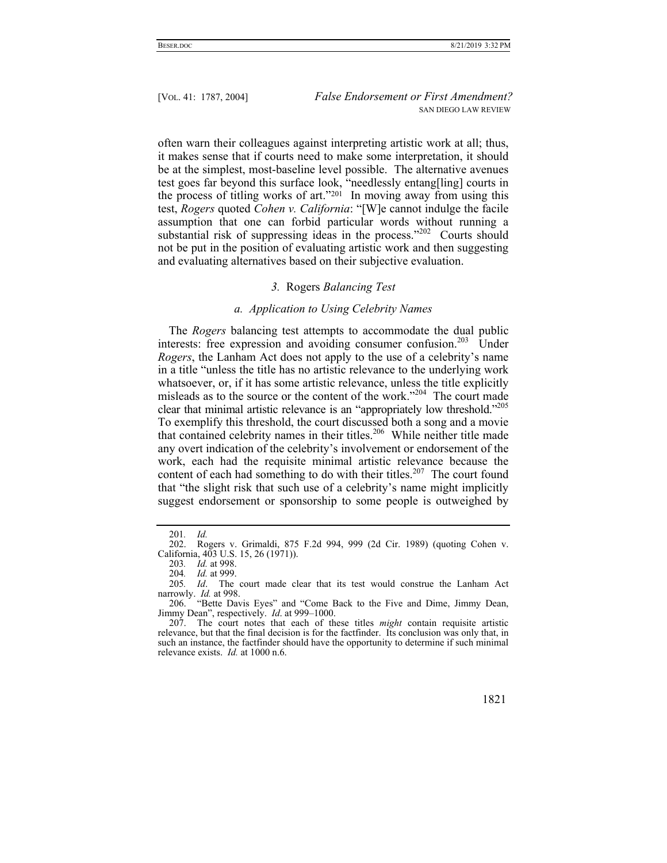often warn their colleagues against interpreting artistic work at all; thus, it makes sense that if courts need to make some interpretation, it should be at the simplest, most-baseline level possible. The alternative avenues test goes far beyond this surface look, "needlessly entang[ling] courts in the process of titling works of art."201 In moving away from using this test, *Rogers* quoted *Cohen v. California*: "[W]e cannot indulge the facile assumption that one can forbid particular words without running a substantial risk of suppressing ideas in the process."<sup>202</sup> Courts should not be put in the position of evaluating artistic work and then suggesting and evaluating alternatives based on their subjective evaluation.

## *3.* Rogers *Balancing Test*

#### *a. Application to Using Celebrity Names*

The *Rogers* balancing test attempts to accommodate the dual public interests: free expression and avoiding consumer confusion.<sup>203</sup> Under *Rogers*, the Lanham Act does not apply to the use of a celebrity's name in a title "unless the title has no artistic relevance to the underlying work whatsoever, or, if it has some artistic relevance, unless the title explicitly misleads as to the source or the content of the work."<sup>204</sup> The court made clear that minimal artistic relevance is an "appropriately low threshold."205 To exemplify this threshold, the court discussed both a song and a movie that contained celebrity names in their titles.206 While neither title made any overt indication of the celebrity's involvement or endorsement of the work, each had the requisite minimal artistic relevance because the content of each had something to do with their titles.<sup>207</sup> The court found that "the slight risk that such use of a celebrity's name might implicitly suggest endorsement or sponsorship to some people is outweighed by

 <sup>207.</sup> The court notes that each of these titles *might* contain requisite artistic relevance, but that the final decision is for the factfinder. Its conclusion was only that, in such an instance, the factfinder should have the opportunity to determine if such minimal relevance exists. *Id.* at 1000 n.6.



<sup>201</sup>*. Id.*

 <sup>202.</sup> Rogers v. Grimaldi, 875 F.2d 994, 999 (2d Cir. 1989) (quoting Cohen v. California, 403 U.S. 15, 26 (1971)).

<sup>203</sup>*. Id.* at 998.

<sup>204</sup>*. Id.* at 999.

<sup>205</sup>*. Id*. The court made clear that its test would construe the Lanham Act narrowly. *Id.* at 998.

 <sup>206. &</sup>quot;Bette Davis Eyes" and "Come Back to the Five and Dime, Jimmy Dean, Jimmy Dean", respectively. *Id*. at 999–1000.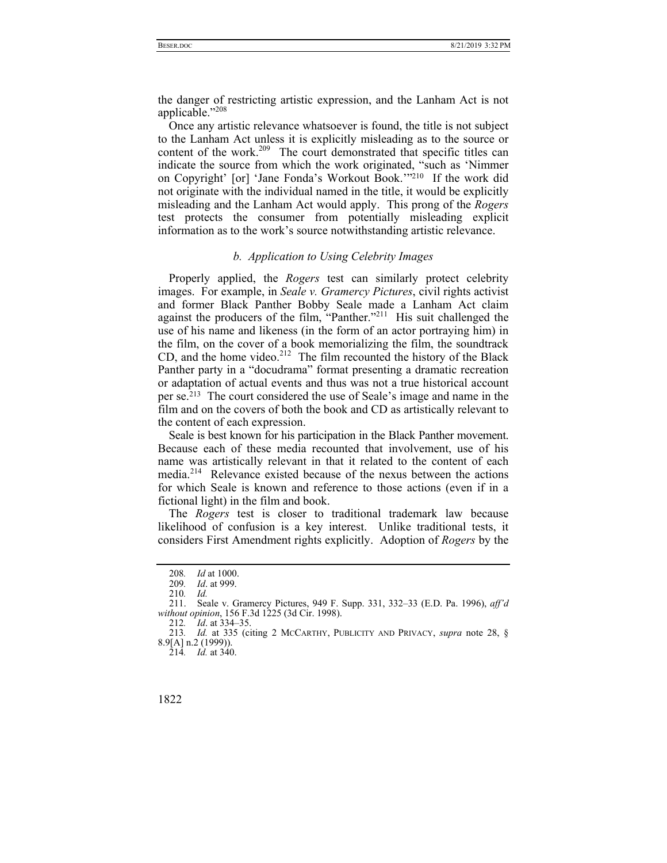the danger of restricting artistic expression, and the Lanham Act is not applicable."208

Once any artistic relevance whatsoever is found, the title is not subject to the Lanham Act unless it is explicitly misleading as to the source or content of the work.<sup>209</sup> The court demonstrated that specific titles can indicate the source from which the work originated, "such as 'Nimmer on Copyright' [or] 'Jane Fonda's Workout Book.'"210 If the work did not originate with the individual named in the title, it would be explicitly misleading and the Lanham Act would apply. This prong of the *Rogers*  test protects the consumer from potentially misleading explicit information as to the work's source notwithstanding artistic relevance.

## *b. Application to Using Celebrity Images*

Properly applied, the *Rogers* test can similarly protect celebrity images. For example, in *Seale v. Gramercy Pictures*, civil rights activist and former Black Panther Bobby Seale made a Lanham Act claim against the producers of the film, "Panther."<sup>211</sup> His suit challenged the use of his name and likeness (in the form of an actor portraying him) in the film, on the cover of a book memorializing the film, the soundtrack CD, and the home video.<sup>212</sup> The film recounted the history of the Black Panther party in a "docudrama" format presenting a dramatic recreation or adaptation of actual events and thus was not a true historical account per se.213 The court considered the use of Seale's image and name in the film and on the covers of both the book and CD as artistically relevant to the content of each expression.

Seale is best known for his participation in the Black Panther movement. Because each of these media recounted that involvement, use of his name was artistically relevant in that it related to the content of each media.<sup>214</sup> Relevance existed because of the nexus between the actions for which Seale is known and reference to those actions (even if in a fictional light) in the film and book.

The *Rogers* test is closer to traditional trademark law because likelihood of confusion is a key interest. Unlike traditional tests, it considers First Amendment rights explicitly. Adoption of *Rogers* by the

<sup>214</sup>*. Id.* at 340.



<sup>208</sup>*. Id* at 1000.

<sup>209</sup>*. Id*. at 999.

<sup>210</sup>*. Id.*

 <sup>211.</sup> Seale v. Gramercy Pictures, 949 F. Supp. 331, 332–33 (E.D. Pa. 1996), *aff'd without opinion*, 156 F.3d 1225 (3d Cir. 1998).

<sup>212</sup>*. Id*. at 334–35.

<sup>213</sup>*. Id.* at 335 (citing 2 MCCARTHY, PUBLICITY AND PRIVACY, *supra* note 28, § 8.9[A] n.2 (1999)).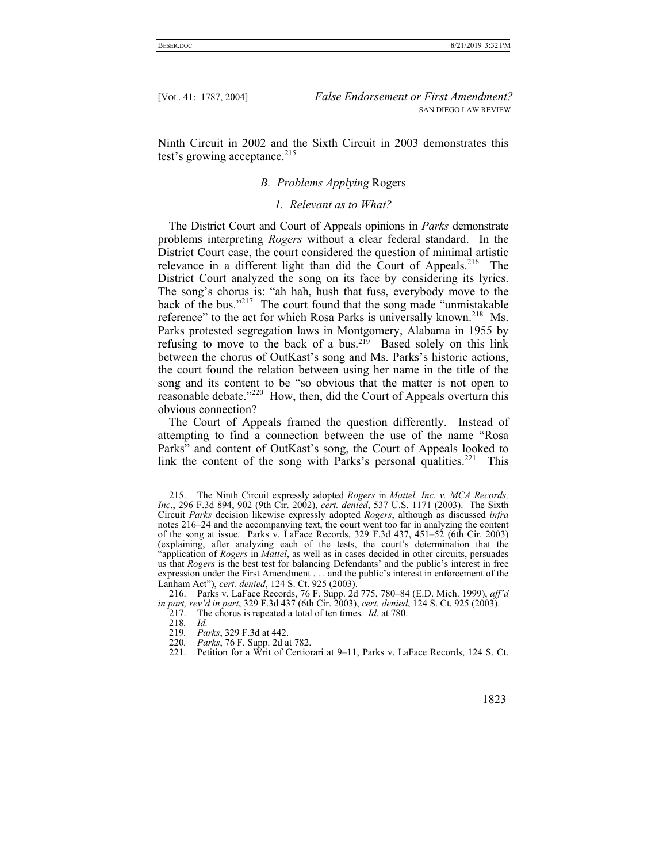Ninth Circuit in 2002 and the Sixth Circuit in 2003 demonstrates this test's growing acceptance. $215$ 

## *B. Problems Applying* Rogers

## *1. Relevant as to What?*

The District Court and Court of Appeals opinions in *Parks* demonstrate problems interpreting *Rogers* without a clear federal standard. In the District Court case, the court considered the question of minimal artistic relevance in a different light than did the Court of Appeals.<sup>216</sup> The District Court analyzed the song on its face by considering its lyrics. The song's chorus is: "ah hah, hush that fuss, everybody move to the back of the bus."<sup>217</sup> The court found that the song made "unmistakable reference" to the act for which Rosa Parks is universally known.<sup>218</sup> Ms. Parks protested segregation laws in Montgomery, Alabama in 1955 by refusing to move to the back of a bus.219 Based solely on this link between the chorus of OutKast's song and Ms. Parks's historic actions, the court found the relation between using her name in the title of the song and its content to be "so obvious that the matter is not open to reasonable debate."220 How, then, did the Court of Appeals overturn this obvious connection?

The Court of Appeals framed the question differently. Instead of attempting to find a connection between the use of the name "Rosa Parks" and content of OutKast's song, the Court of Appeals looked to link the content of the song with Parks's personal qualities.<sup>221</sup> This

220*. Parks*, 76 F. Supp. 2d at 782.

 <sup>215.</sup> The Ninth Circuit expressly adopted *Rogers* in *Mattel, Inc. v. MCA Records, Inc*., 296 F.3d 894, 902 (9th Cir. 2002), *cert. denied*, 537 U.S. 1171 (2003). The Sixth Circuit *Parks* decision likewise expressly adopted *Rogers*, although as discussed *infra* notes 216–24 and the accompanying text, the court went too far in analyzing the content of the song at issue*.* Parks v. LaFace Records, 329 F.3d 437, 451–52 (6th Cir. 2003) (explaining, after analyzing each of the tests, the court's determination that the "application of *Rogers* in *Mattel*, as well as in cases decided in other circuits, persuades us that *Rogers* is the best test for balancing Defendants' and the public's interest in free expression under the First Amendment . . . and the public's interest in enforcement of the Lanham Act"), *cert. denied*, 124 S. Ct. 925 (2003).

 <sup>216.</sup> Parks v. LaFace Records, 76 F. Supp. 2d 775, 780–84 (E.D. Mich. 1999), *aff'd in part, rev'd in part*, 329 F.3d 437 (6th Cir. 2003), *cert. denied*, 124 S. Ct. 925 (2003).

 <sup>217.</sup> The chorus is repeated a total of ten times*. Id*. at 780.

<sup>218</sup>*. Id.*

<sup>219</sup>*. Parks*, 329 F.3d at 442.

 <sup>221.</sup> Petition for a Writ of Certiorari at 9–11, Parks v. LaFace Records, 124 S. Ct.

 <sup>1823</sup>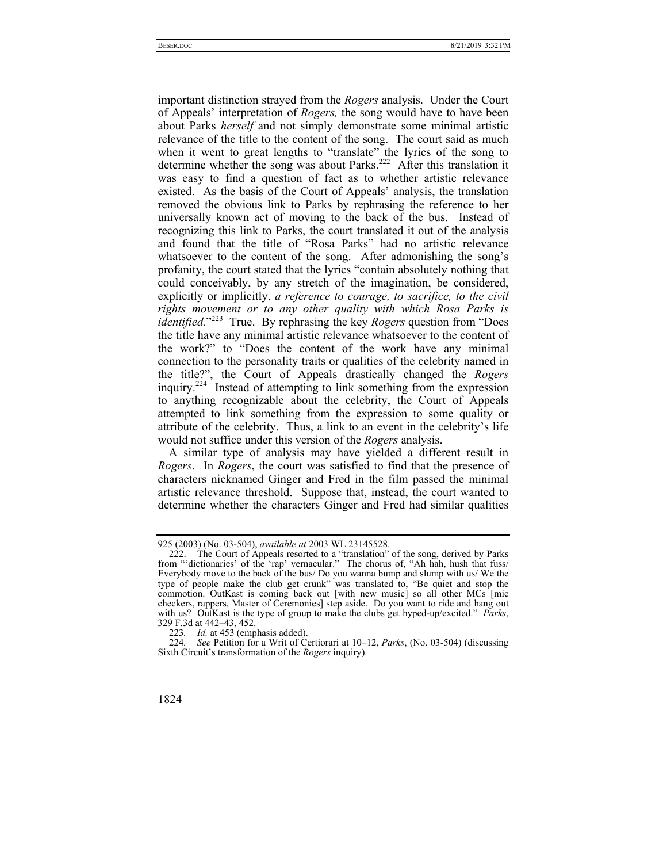important distinction strayed from the *Rogers* analysis. Under the Court of Appeals' interpretation of *Rogers,* the song would have to have been about Parks *herself* and not simply demonstrate some minimal artistic relevance of the title to the content of the song. The court said as much when it went to great lengths to "translate" the lyrics of the song to determine whether the song was about Parks.<sup>222</sup> After this translation it was easy to find a question of fact as to whether artistic relevance existed. As the basis of the Court of Appeals' analysis, the translation removed the obvious link to Parks by rephrasing the reference to her universally known act of moving to the back of the bus. Instead of recognizing this link to Parks, the court translated it out of the analysis and found that the title of "Rosa Parks" had no artistic relevance whatsoever to the content of the song. After admonishing the song's profanity, the court stated that the lyrics "contain absolutely nothing that could conceivably, by any stretch of the imagination, be considered, explicitly or implicitly, *a reference to courage, to sacrifice, to the civil rights movement or to any other quality with which Rosa Parks is identified.*"223 True. By rephrasing the key *Rogers* question from "Does the title have any minimal artistic relevance whatsoever to the content of the work?" to "Does the content of the work have any minimal connection to the personality traits or qualities of the celebrity named in the title?", the Court of Appeals drastically changed the *Rogers*  inquiry.224 Instead of attempting to link something from the expression to anything recognizable about the celebrity, the Court of Appeals attempted to link something from the expression to some quality or attribute of the celebrity. Thus, a link to an event in the celebrity's life would not suffice under this version of the *Rogers* analysis.

A similar type of analysis may have yielded a different result in *Rogers*. In *Rogers*, the court was satisfied to find that the presence of characters nicknamed Ginger and Fred in the film passed the minimal artistic relevance threshold. Suppose that, instead, the court wanted to determine whether the characters Ginger and Fred had similar qualities

<sup>224</sup>*. See* Petition for a Writ of Certiorari at 10–12, *Parks*, (No. 03-504) (discussing Sixth Circuit's transformation of the *Rogers* inquiry).



<sup>925 (2003) (</sup>No. 03-504), *available at* 2003 WL 23145528.

 <sup>222.</sup> The Court of Appeals resorted to a "translation" of the song, derived by Parks from ""dictionaries' of the 'rap' vernacular." The chorus of, "Ah hah, hush that fuss/ Everybody move to the back of the bus/ Do you wanna bump and slump with us/ We the type of people make the club get crunk" was translated to, "Be quiet and stop the commotion. OutKast is coming back out [with new music] so all other MCs [mic checkers, rappers, Master of Ceremonies] step aside. Do you want to ride and hang out with us? OutKast is the type of group to make the clubs get hyped-up/excited." *Parks*, 329 F.3d at 442–43, 452.

<sup>223</sup>*. Id.* at 453 (emphasis added).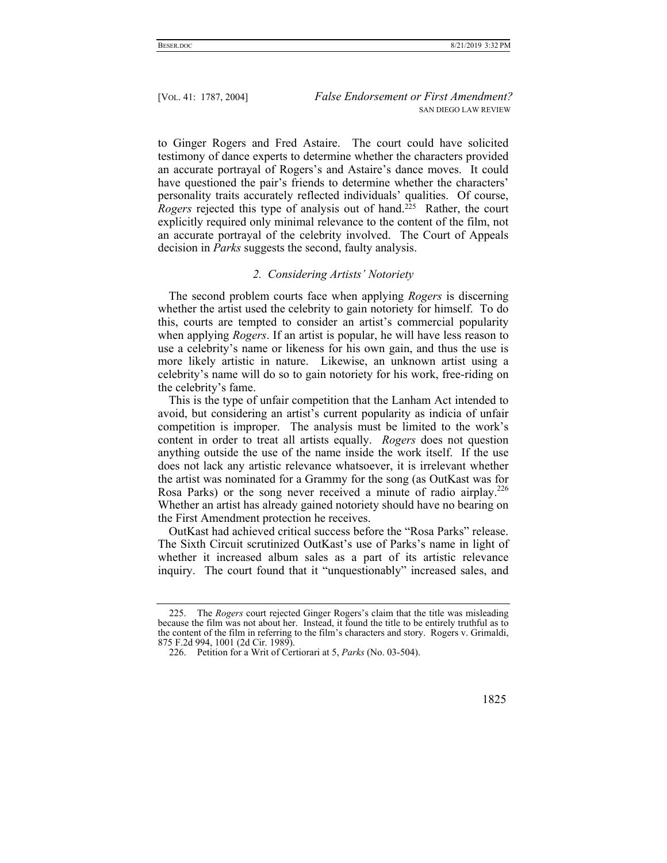to Ginger Rogers and Fred Astaire. The court could have solicited testimony of dance experts to determine whether the characters provided an accurate portrayal of Rogers's and Astaire's dance moves. It could have questioned the pair's friends to determine whether the characters' personality traits accurately reflected individuals' qualities. Of course, *Rogers* rejected this type of analysis out of hand.<sup>225</sup> Rather, the court explicitly required only minimal relevance to the content of the film, not an accurate portrayal of the celebrity involved. The Court of Appeals decision in *Parks* suggests the second, faulty analysis.

#### *2. Considering Artists' Notoriety*

The second problem courts face when applying *Rogers* is discerning whether the artist used the celebrity to gain notoriety for himself. To do this, courts are tempted to consider an artist's commercial popularity when applying *Rogers*. If an artist is popular, he will have less reason to use a celebrity's name or likeness for his own gain, and thus the use is more likely artistic in nature. Likewise, an unknown artist using a celebrity's name will do so to gain notoriety for his work, free-riding on the celebrity's fame.

This is the type of unfair competition that the Lanham Act intended to avoid, but considering an artist's current popularity as indicia of unfair competition is improper. The analysis must be limited to the work's content in order to treat all artists equally. *Rogers* does not question anything outside the use of the name inside the work itself. If the use does not lack any artistic relevance whatsoever, it is irrelevant whether the artist was nominated for a Grammy for the song (as OutKast was for Rosa Parks) or the song never received a minute of radio airplay.<sup>226</sup> Whether an artist has already gained notoriety should have no bearing on the First Amendment protection he receives.

OutKast had achieved critical success before the "Rosa Parks" release. The Sixth Circuit scrutinized OutKast's use of Parks's name in light of whether it increased album sales as a part of its artistic relevance inquiry. The court found that it "unquestionably" increased sales, and

 <sup>225.</sup> The *Rogers* court rejected Ginger Rogers's claim that the title was misleading because the film was not about her. Instead, it found the title to be entirely truthful as to the content of the film in referring to the film's characters and story. Rogers v. Grimaldi, 875 F.2d 994, 1001 (2d Cir. 1989).

 <sup>226.</sup> Petition for a Writ of Certiorari at 5, *Parks* (No. 03-504).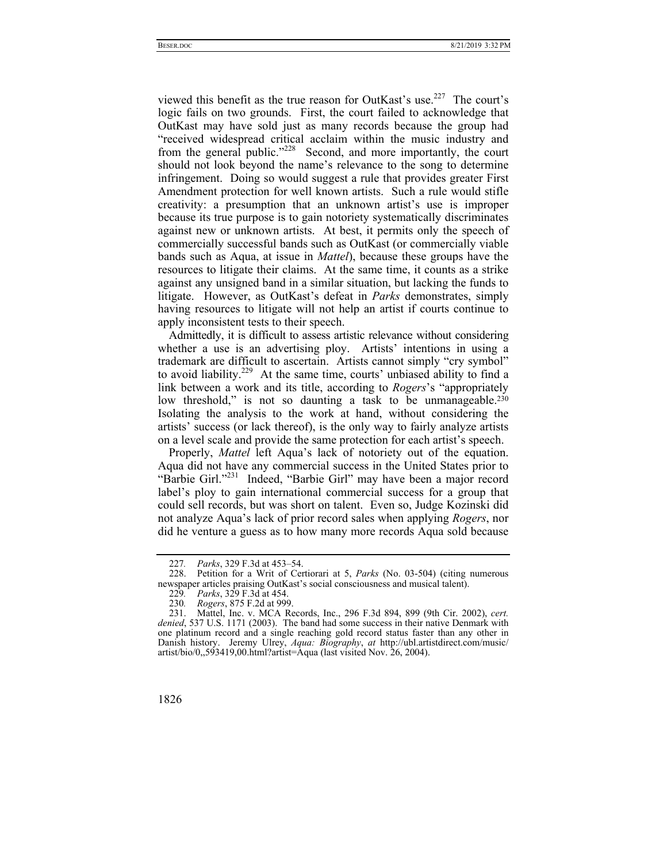viewed this benefit as the true reason for OutKast's use.<sup>227</sup> The court's logic fails on two grounds. First, the court failed to acknowledge that OutKast may have sold just as many records because the group had "received widespread critical acclaim within the music industry and from the general public."<sup>228</sup> Second, and more importantly, the court should not look beyond the name's relevance to the song to determine infringement. Doing so would suggest a rule that provides greater First Amendment protection for well known artists. Such a rule would stifle creativity: a presumption that an unknown artist's use is improper because its true purpose is to gain notoriety systematically discriminates against new or unknown artists. At best, it permits only the speech of commercially successful bands such as OutKast (or commercially viable bands such as Aqua, at issue in *Mattel*), because these groups have the resources to litigate their claims. At the same time, it counts as a strike against any unsigned band in a similar situation, but lacking the funds to litigate. However, as OutKast's defeat in *Parks* demonstrates, simply having resources to litigate will not help an artist if courts continue to apply inconsistent tests to their speech.

Admittedly, it is difficult to assess artistic relevance without considering whether a use is an advertising ploy. Artists' intentions in using a trademark are difficult to ascertain. Artists cannot simply "cry symbol" to avoid liability.<sup>229</sup> At the same time, courts' unbiased ability to find a link between a work and its title, according to *Rogers*'s "appropriately low threshold," is not so daunting a task to be unmanageable.<sup>230</sup> Isolating the analysis to the work at hand, without considering the artists' success (or lack thereof), is the only way to fairly analyze artists on a level scale and provide the same protection for each artist's speech.

Properly, *Mattel* left Aqua's lack of notoriety out of the equation. Aqua did not have any commercial success in the United States prior to "Barbie Girl."231 Indeed, "Barbie Girl" may have been a major record label's ploy to gain international commercial success for a group that could sell records, but was short on talent. Even so, Judge Kozinski did not analyze Aqua's lack of prior record sales when applying *Rogers*, nor did he venture a guess as to how many more records Aqua sold because

 <sup>231.</sup> Mattel, Inc. v. MCA Records, Inc., 296 F.3d 894, 899 (9th Cir. 2002), *cert. denied*, 537 U.S. 1171 (2003). The band had some success in their native Denmark with one platinum record and a single reaching gold record status faster than any other in Danish history. Jeremy Ulrey, *Aqua: Biography*, *at* http://ubl.artistdirect.com/music/ artist/bio/0,,593419,00.html?artist=Aqua (last visited Nov. 26, 2004).



<sup>227</sup>*. Parks*, 329 F.3d at 453–54.

 <sup>228.</sup> Petition for a Writ of Certiorari at 5, *Parks* (No. 03-504) (citing numerous newspaper articles praising OutKast's social consciousness and musical talent).

<sup>229</sup>*. Parks*, 329 F.3d at 454.

<sup>230</sup>*. Rogers*, 875 F.2d at 999.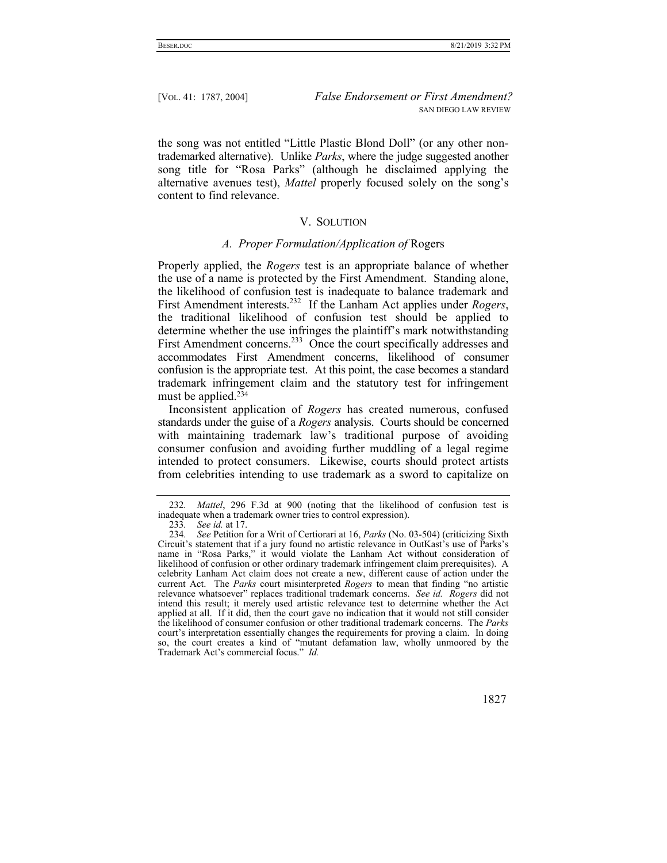the song was not entitled "Little Plastic Blond Doll" (or any other nontrademarked alternative). Unlike *Parks*, where the judge suggested another song title for "Rosa Parks" (although he disclaimed applying the alternative avenues test), *Mattel* properly focused solely on the song's content to find relevance.

## V. SOLUTION

#### *A. Proper Formulation/Application of* Rogers

Properly applied, the *Rogers* test is an appropriate balance of whether the use of a name is protected by the First Amendment. Standing alone, the likelihood of confusion test is inadequate to balance trademark and First Amendment interests.232 If the Lanham Act applies under *Rogers*, the traditional likelihood of confusion test should be applied to determine whether the use infringes the plaintiff's mark notwithstanding First Amendment concerns.<sup>233</sup> Once the court specifically addresses and accommodates First Amendment concerns, likelihood of consumer confusion is the appropriate test. At this point, the case becomes a standard trademark infringement claim and the statutory test for infringement must be applied.234

Inconsistent application of *Rogers* has created numerous, confused standards under the guise of a *Rogers* analysis. Courts should be concerned with maintaining trademark law's traditional purpose of avoiding consumer confusion and avoiding further muddling of a legal regime intended to protect consumers. Likewise, courts should protect artists from celebrities intending to use trademark as a sword to capitalize on

<sup>234</sup>*. See* Petition for a Writ of Certiorari at 16, *Parks* (No. 03-504) (criticizing Sixth Circuit's statement that if a jury found no artistic relevance in OutKast's use of Parks's name in "Rosa Parks," it would violate the Lanham Act without consideration of likelihood of confusion or other ordinary trademark infringement claim prerequisites). A celebrity Lanham Act claim does not create a new, different cause of action under the current Act. The *Parks* court misinterpreted *Rogers* to mean that finding "no artistic relevance whatsoever" replaces traditional trademark concerns. *See id. Rogers* did not intend this result; it merely used artistic relevance test to determine whether the Act applied at all. If it did, then the court gave no indication that it would not still consider the likelihood of consumer confusion or other traditional trademark concerns. The *Parks* court's interpretation essentially changes the requirements for proving a claim. In doing so, the court creates a kind of "mutant defamation law, wholly unmoored by the Trademark Act's commercial focus." *Id.* 



<sup>232</sup>*. Mattel*, 296 F.3d at 900 (noting that the likelihood of confusion test is inadequate when a trademark owner tries to control expression).

<sup>233</sup>*. See id.* at 17.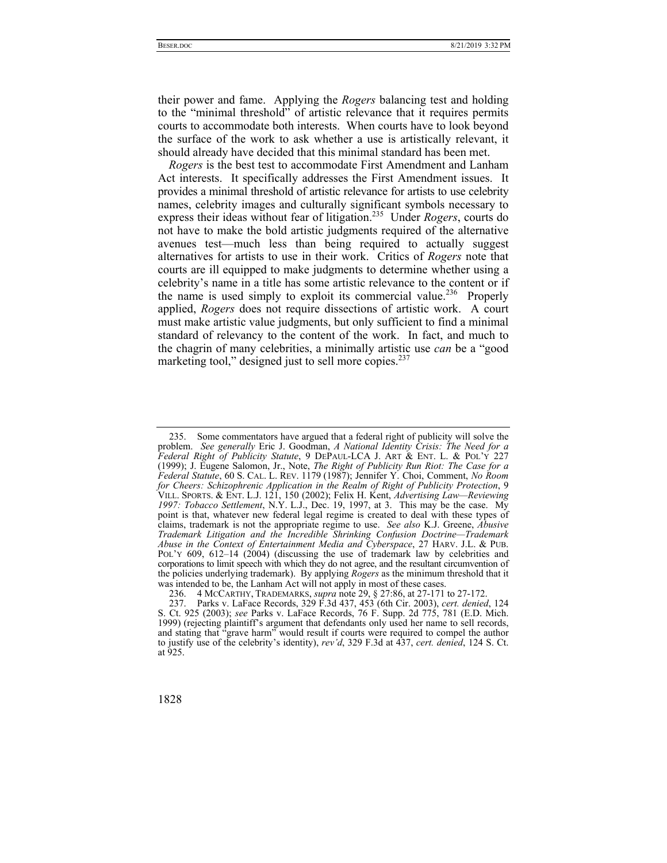their power and fame. Applying the *Rogers* balancing test and holding to the "minimal threshold" of artistic relevance that it requires permits courts to accommodate both interests. When courts have to look beyond the surface of the work to ask whether a use is artistically relevant, it should already have decided that this minimal standard has been met.

*Rogers* is the best test to accommodate First Amendment and Lanham Act interests. It specifically addresses the First Amendment issues. It provides a minimal threshold of artistic relevance for artists to use celebrity names, celebrity images and culturally significant symbols necessary to express their ideas without fear of litigation.235 Under *Rogers*, courts do not have to make the bold artistic judgments required of the alternative avenues test—much less than being required to actually suggest alternatives for artists to use in their work. Critics of *Rogers* note that courts are ill equipped to make judgments to determine whether using a celebrity's name in a title has some artistic relevance to the content or if the name is used simply to exploit its commercial value.<sup>236</sup> Properly applied, *Rogers* does not require dissections of artistic work. A court must make artistic value judgments, but only sufficient to find a minimal standard of relevancy to the content of the work. In fact, and much to the chagrin of many celebrities, a minimally artistic use *can* be a "good marketing tool," designed just to sell more copies.<sup>237</sup>

 <sup>235.</sup> Some commentators have argued that a federal right of publicity will solve the problem. *See generally* Eric J. Goodman, *A National Identity Crisis: The Need for a Federal Right of Publicity Statute*, 9 DEPAUL-LCA J. ART & ENT. L. & POL'Y 227 (1999); J. Eugene Salomon, Jr., Note, *The Right of Publicity Run Riot: The Case for a Federal Statute*, 60 S. CAL. L. REV. 1179 (1987); Jennifer Y. Choi, Comment, *No Room for Cheers: Schizophrenic Application in the Realm of Right of Publicity Protection*, 9 VILL. SPORTS. & ENT. L.J. 121, 150 (2002); Felix H. Kent, *Advertising Law—Reviewing 1997: Tobacco Settlement*, N.Y. L.J., Dec. 19, 1997, at 3. This may be the case. My point is that, whatever new federal legal regime is created to deal with these types of claims, trademark is not the appropriate regime to use. *See also* K.J. Greene, *Abusive Trademark Litigation and the Incredible Shrinking Confusion Doctrine—Trademark Abuse in the Context of Entertainment Media and Cyberspace*, 27 HARV. J.L. & PUB. POL'Y 609, 612–14 (2004) (discussing the use of trademark law by celebrities and corporations to limit speech with which they do not agree, and the resultant circumvention of the policies underlying trademark). By applying *Rogers* as the minimum threshold that it was intended to be, the Lanham Act will not apply in most of these cases.

 <sup>236. 4</sup> MCCARTHY, TRADEMARKS, *supra* note 29, § 27:86, at 27-171 to 27-172.

 <sup>237.</sup> Parks v. LaFace Records, 329 F.3d 437, 453 (6th Cir. 2003), *cert. denied*, 124 S. Ct. 925 (2003); *see* Parks v. LaFace Records, 76 F. Supp. 2d 775, 781 (E.D. Mich. 1999) (rejecting plaintiff's argument that defendants only used her name to sell records, and stating that "grave harm" would result if courts were required to compel the author to justify use of the celebrity's identity), *rev'd*, 329 F.3d at 437, *cert. denied*, 124 S. Ct. at 925.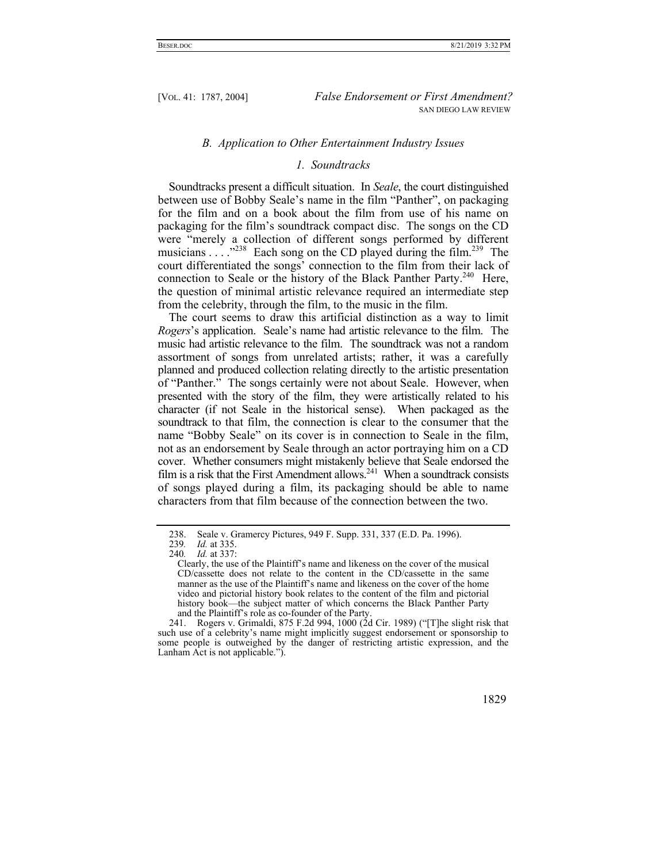#### *B. Application to Other Entertainment Industry Issues*

## *1. Soundtracks*

Soundtracks present a difficult situation. In *Seale*, the court distinguished between use of Bobby Seale's name in the film "Panther", on packaging for the film and on a book about the film from use of his name on packaging for the film's soundtrack compact disc. The songs on the CD were "merely a collection of different songs performed by different musicians  $\ldots$ <sup>238</sup> Each song on the CD played during the film.<sup>239</sup> The court differentiated the songs' connection to the film from their lack of connection to Seale or the history of the Black Panther Party.<sup>240</sup> Here, the question of minimal artistic relevance required an intermediate step from the celebrity, through the film, to the music in the film.

The court seems to draw this artificial distinction as a way to limit *Rogers*'s application. Seale's name had artistic relevance to the film. The music had artistic relevance to the film. The soundtrack was not a random assortment of songs from unrelated artists; rather, it was a carefully planned and produced collection relating directly to the artistic presentation of "Panther." The songs certainly were not about Seale. However, when presented with the story of the film, they were artistically related to his character (if not Seale in the historical sense). When packaged as the soundtrack to that film, the connection is clear to the consumer that the name "Bobby Seale" on its cover is in connection to Seale in the film, not as an endorsement by Seale through an actor portraying him on a CD cover. Whether consumers might mistakenly believe that Seale endorsed the film is a risk that the First Amendment allows.<sup>241</sup> When a soundtrack consists of songs played during a film, its packaging should be able to name characters from that film because of the connection between the two.

 <sup>241.</sup> Rogers v. Grimaldi, 875 F.2d 994, 1000 (2d Cir. 1989) ("[T]he slight risk that such use of a celebrity's name might implicitly suggest endorsement or sponsorship to some people is outweighed by the danger of restricting artistic expression, and the Lanham Act is not applicable.").



<sup>238.</sup> Seale v. Gramercy Pictures, 949 F. Supp. 331, 337 (E.D. Pa. 1996).<br>239. Id. at 335.

<sup>239</sup>*. Id.* at 335.

<sup>240</sup>*. Id.* at 337:

Clearly, the use of the Plaintiff's name and likeness on the cover of the musical CD/cassette does not relate to the content in the CD/cassette in the same manner as the use of the Plaintiff's name and likeness on the cover of the home video and pictorial history book relates to the content of the film and pictorial history book—the subject matter of which concerns the Black Panther Party and the Plaintiff's role as co-founder of the Party.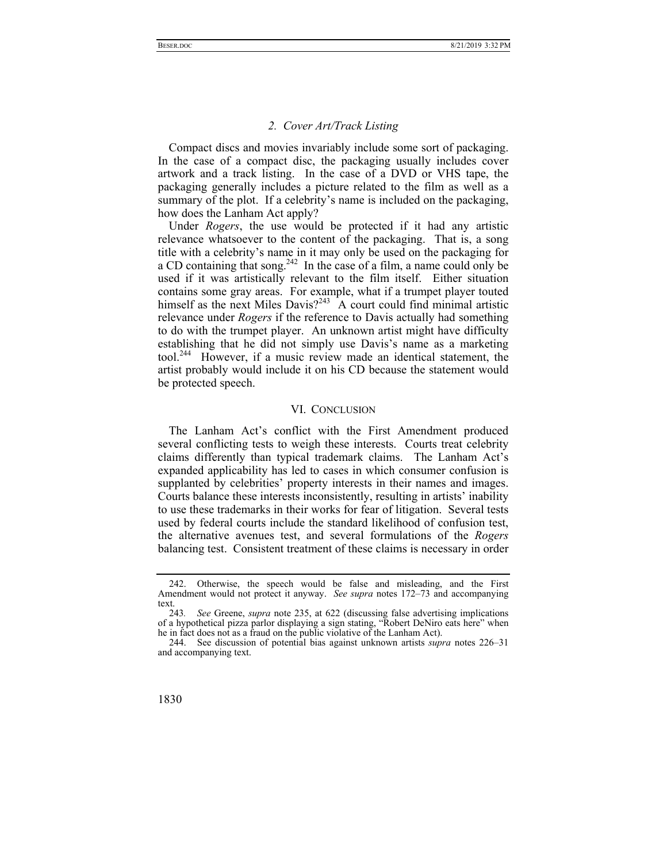# *2. Cover Art/Track Listing*

Compact discs and movies invariably include some sort of packaging. In the case of a compact disc, the packaging usually includes cover artwork and a track listing. In the case of a DVD or VHS tape, the packaging generally includes a picture related to the film as well as a summary of the plot. If a celebrity's name is included on the packaging, how does the Lanham Act apply?

Under *Rogers*, the use would be protected if it had any artistic relevance whatsoever to the content of the packaging. That is, a song title with a celebrity's name in it may only be used on the packaging for a CD containing that song.<sup>242</sup> In the case of a film, a name could only be used if it was artistically relevant to the film itself. Either situation contains some gray areas. For example, what if a trumpet player touted himself as the next Miles Davis?<sup>243</sup> A court could find minimal artistic relevance under *Rogers* if the reference to Davis actually had something to do with the trumpet player. An unknown artist might have difficulty establishing that he did not simply use Davis's name as a marketing tool.<sup>244</sup> However, if a music review made an identical statement, the artist probably would include it on his CD because the statement would be protected speech.

#### VI. CONCLUSION

The Lanham Act's conflict with the First Amendment produced several conflicting tests to weigh these interests. Courts treat celebrity claims differently than typical trademark claims. The Lanham Act's expanded applicability has led to cases in which consumer confusion is supplanted by celebrities' property interests in their names and images. Courts balance these interests inconsistently, resulting in artists' inability to use these trademarks in their works for fear of litigation. Several tests used by federal courts include the standard likelihood of confusion test, the alternative avenues test, and several formulations of the *Rogers*  balancing test. Consistent treatment of these claims is necessary in order

 <sup>244.</sup> See discussion of potential bias against unknown artists *supra* notes 226–31 and accompanying text.



 <sup>242.</sup> Otherwise, the speech would be false and misleading, and the First Amendment would not protect it anyway. *See supra* notes 172–73 and accompanying text.

<sup>243</sup>*. See* Greene, *supra* note 235, at 622 (discussing false advertising implications of a hypothetical pizza parlor displaying a sign stating, "Robert DeNiro eats here" when he in fact does not as a fraud on the public violative of the Lanham Act).